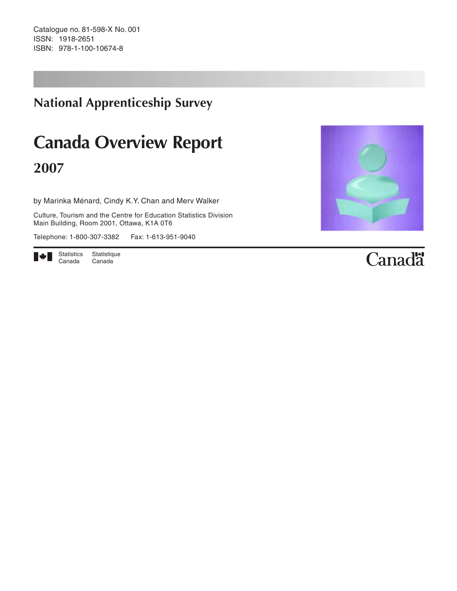Catalogue no. 81-598-X No. 001 ISSN: 1918-2651 ISBN: 978-1-100-10674-8

# **National Apprenticeship Survey**

# **Canada Overview Report 2007**

by Marinka Ménard, Cindy K.Y. Chan and Merv Walker

Culture, Tourism and the Centre for Education Statistics Division Main Building, Room 2001, Ottawa, K1A 0T6

Telephone: 1-800-307-3382 Fax: 1-613-951-9040





# Canadä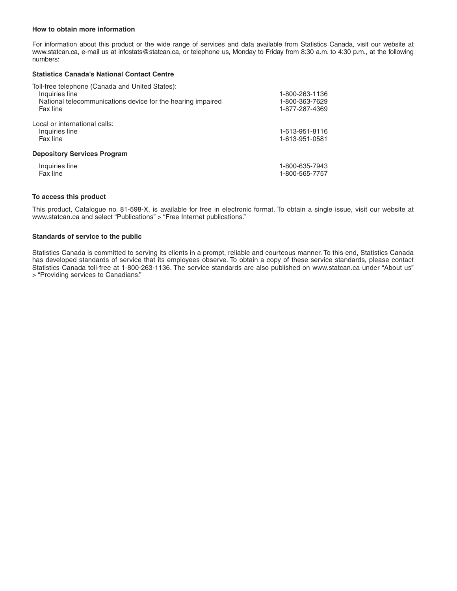#### **How to obtain more information**

For information about this product or the wide range of services and data available from Statistics Canada, visit our website at www.statcan.ca, e-mail us at infostats@statcan.ca, or telephone us, Monday to Friday from 8:30 a.m. to 4:30 p.m., at the following numbers:

#### **Statistics Canada's National Contact Centre**

| Toll-free telephone (Canada and United States):             |                |
|-------------------------------------------------------------|----------------|
| Inquiries line                                              | 1-800-263-1136 |
| National telecommunications device for the hearing impaired | 1-800-363-7629 |
| Fax line                                                    | 1-877-287-4369 |
| Local or international calls:                               |                |
| Inquiries line                                              | 1-613-951-8116 |
| Fax line                                                    | 1-613-951-0581 |
| <b>Depository Services Program</b>                          |                |
| Inquiries line                                              | 1-800-635-7943 |
| Fax line                                                    | 1-800-565-7757 |
|                                                             |                |

#### **To access this product**

This product, Catalogue no. 81-598-X, is available for free in electronic format. To obtain a single issue, visit our website at www.statcan.ca and select "Publications" > "Free Internet publications."

#### **Standards of service to the public**

Statistics Canada is committed to serving its clients in a prompt, reliable and courteous manner. To this end, Statistics Canada has developed standards of service that its employees observe. To obtain a copy of these service standards, please contact Statistics Canada toll-free at 1-800-263-1136. The service standards are also published on www.statcan.ca under "About us" > "Providing services to Canadians."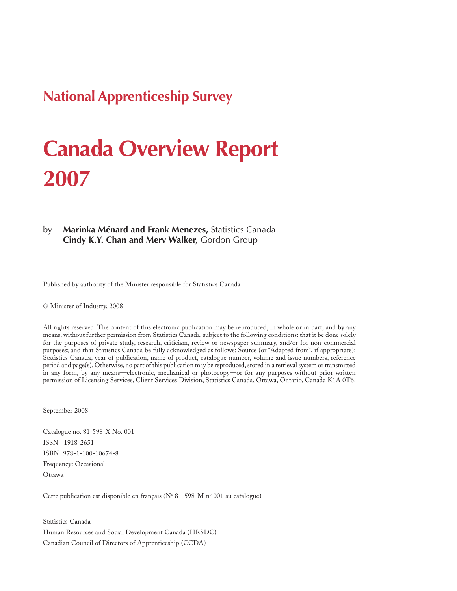# **National Apprenticeship Survey**

# **Canada Overview Report 2007**

#### by **Marinka Ménard and Frank Menezes,** Statistics Canada **Cindy K.Y. Chan and Merv Walker,** Gordon Group

Published by authority of the Minister responsible for Statistics Canada

© Minister of Industry, 2008

All rights reserved. The content of this electronic publication may be reproduced, in whole or in part, and by any means, without further permission from Statistics Canada, subject to the following conditions: that it be done solely for the purposes of private study, research, criticism, review or newspaper summary, and/or for non-commercial purposes; and that Statistics Canada be fully acknowledged as follows: Source (or "Adapted from", if appropriate): Statistics Canada, year of publication, name of product, catalogue number, volume and issue numbers, reference period and page(s). Otherwise, no part of this publication may be reproduced, stored in a retrieval system or transmitted in any form, by any means—electronic, mechanical or photocopy—or for any purposes without prior written permission of Licensing Services, Client Services Division, Statistics Canada, Ottawa, Ontario, Canada K1A 0T6.

September 2008

Catalogue no. 81-598-X No. 001 ISSN 1918-2651 ISBN 978-1-100-10674-8 Frequency: Occasional Ottawa

Cette publication est disponible en français (N° 81-598-M n° 001 au catalogue)

Statistics Canada Human Resources and Social Development Canada (HRSDC) Canadian Council of Directors of Apprenticeship (CCDA)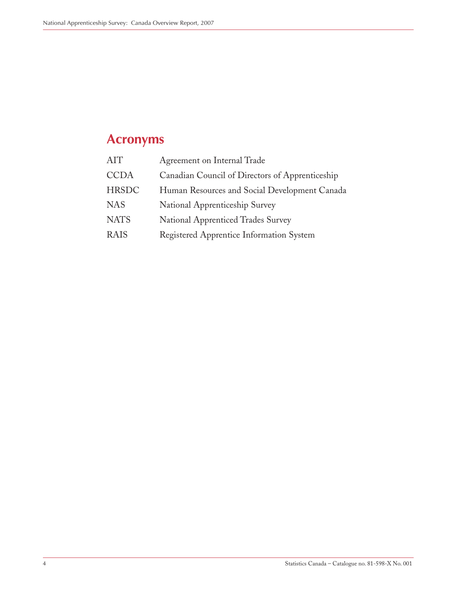# <span id="page-3-0"></span>**Acronyms**

| AIT          | Agreement on Internal Trade                     |
|--------------|-------------------------------------------------|
| <b>CCDA</b>  | Canadian Council of Directors of Apprenticeship |
| <b>HRSDC</b> | Human Resources and Social Development Canada   |
| <b>NAS</b>   | National Apprenticeship Survey                  |
| <b>NATS</b>  | <b>National Apprenticed Trades Survey</b>       |
| <b>RAIS</b>  | Registered Apprentice Information System        |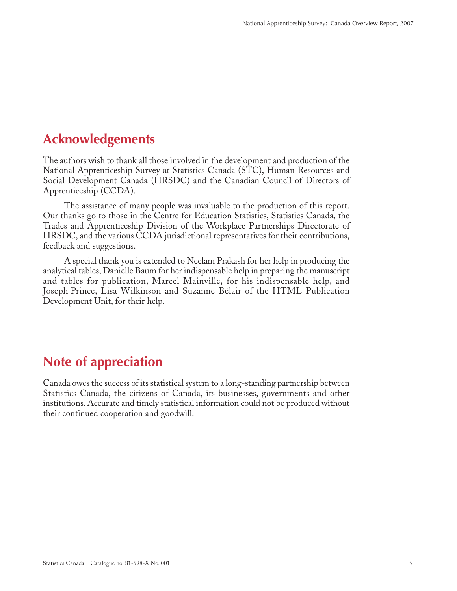# <span id="page-4-0"></span>**Acknowledgements**

The authors wish to thank all those involved in the development and production of the National Apprenticeship Survey at Statistics Canada (STC), Human Resources and Social Development Canada (HRSDC) and the Canadian Council of Directors of Apprenticeship (CCDA).

The assistance of many people was invaluable to the production of this report. Our thanks go to those in the Centre for Education Statistics, Statistics Canada, the Trades and Apprenticeship Division of the Workplace Partnerships Directorate of HRSDC, and the various CCDA jurisdictional representatives for their contributions, feedback and suggestions.

A special thank you is extended to Neelam Prakash for her help in producing the analytical tables, Danielle Baum for her indispensable help in preparing the manuscript and tables for publication, Marcel Mainville, for his indispensable help, and Joseph Prince, Lisa Wilkinson and Suzanne Bélair of the HTML Publication Development Unit, for their help.

## **Note of appreciation**

Canada owes the success of its statistical system to a long-standing partnership between Statistics Canada, the citizens of Canada, its businesses, governments and other institutions. Accurate and timely statistical information could not be produced without their continued cooperation and goodwill.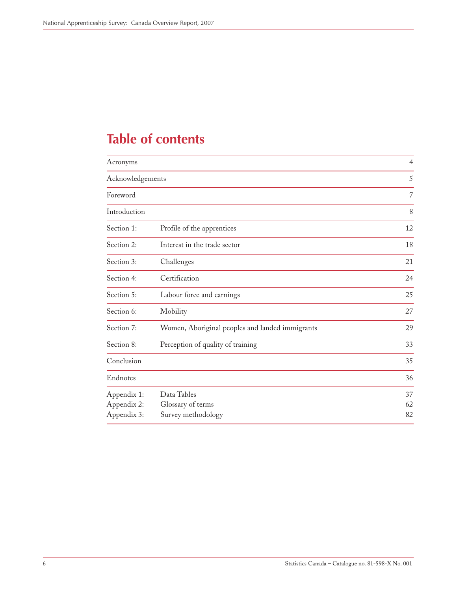# **Table of contents**

| Acronyms                                  |                                                        | $\overline{4}$ |
|-------------------------------------------|--------------------------------------------------------|----------------|
| Acknowledgements                          |                                                        | 5              |
| Foreword                                  |                                                        | 7              |
| Introduction                              |                                                        | 8              |
| Section 1:                                | Profile of the apprentices                             | 12             |
| Section 2:                                | Interest in the trade sector                           | 18             |
| Section 3:                                | Challenges                                             | 21             |
| Section 4:                                | Certification                                          | 24             |
| Section 5:                                | Labour force and earnings                              | 25             |
| Section 6:                                | Mobility                                               | 27             |
| Section 7:                                | Women, Aboriginal peoples and landed immigrants        | 29             |
| Section 8:                                | Perception of quality of training                      | 33             |
| Conclusion                                |                                                        | 35             |
| Endnotes                                  |                                                        | 36             |
| Appendix 1:<br>Appendix 2:<br>Appendix 3: | Data Tables<br>Glossary of terms<br>Survey methodology | 37<br>62<br>82 |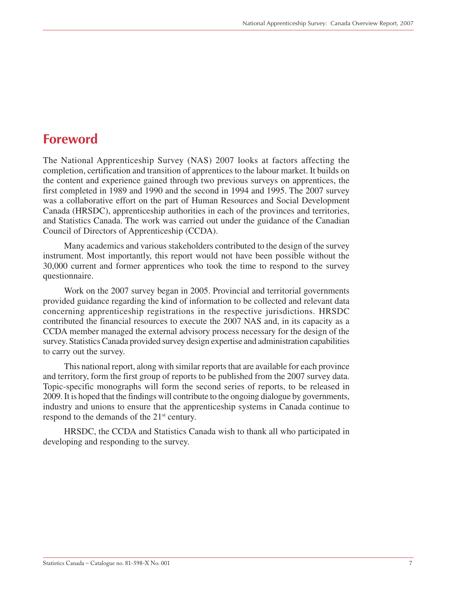### <span id="page-6-0"></span>**Foreword**

The National Apprenticeship Survey (NAS) 2007 looks at factors affecting the completion, certification and transition of apprentices to the labour market. It builds on the content and experience gained through two previous surveys on apprentices, the first completed in 1989 and 1990 and the second in 1994 and 1995. The 2007 survey was a collaborative effort on the part of Human Resources and Social Development Canada (HRSDC), apprenticeship authorities in each of the provinces and territories, and Statistics Canada. The work was carried out under the guidance of the Canadian Council of Directors of Apprenticeship (CCDA).

Many academics and various stakeholders contributed to the design of the survey instrument. Most importantly, this report would not have been possible without the 30,000 current and former apprentices who took the time to respond to the survey questionnaire.

Work on the 2007 survey began in 2005. Provincial and territorial governments provided guidance regarding the kind of information to be collected and relevant data concerning apprenticeship registrations in the respective jurisdictions. HRSDC contributed the financial resources to execute the 2007 NAS and, in its capacity as a CCDA member managed the external advisory process necessary for the design of the survey. Statistics Canada provided survey design expertise and administration capabilities to carry out the survey.

This national report, along with similar reports that are available for each province and territory, form the first group of reports to be published from the 2007 survey data. Topic-specific monographs will form the second series of reports, to be released in 2009. It is hoped that the findings will contribute to the ongoing dialogue by governments, industry and unions to ensure that the apprenticeship systems in Canada continue to respond to the demands of the 21<sup>st</sup> century.

HRSDC, the CCDA and Statistics Canada wish to thank all who participated in developing and responding to the survey.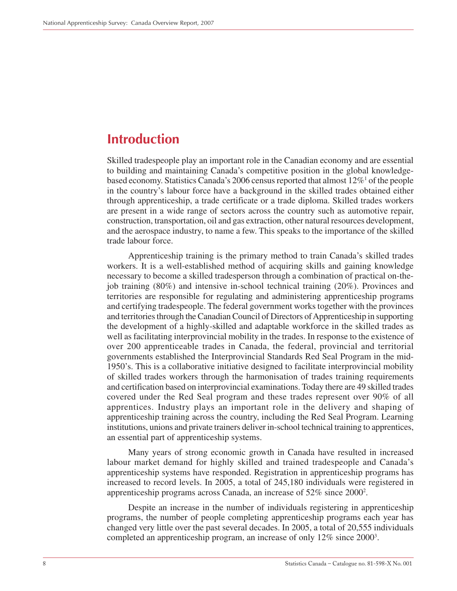### <span id="page-7-0"></span>**Introduction**

Skilled tradespeople play an important role in the Canadian economy and are essential to building and maintaining Canada's competitive position in the global knowledgebased economy. Statistics Canada's 2006 census reported that almost  $12\%$ <sup>1</sup> of the people in the country's labour force have a background in the skilled trades obtained either through apprenticeship, a trade certificate or a trade diploma. Skilled trades workers are present in a wide range of sectors across the country such as automotive repair, construction, transportation, oil and gas extraction, other natural resources development, and the aerospace industry, to name a few. This speaks to the importance of the skilled trade labour force.

Apprenticeship training is the primary method to train Canada's skilled trades workers. It is a well-established method of acquiring skills and gaining knowledge necessary to become a skilled tradesperson through a combination of practical on-thejob training (80%) and intensive in-school technical training (20%). Provinces and territories are responsible for regulating and administering apprenticeship programs and certifying tradespeople. The federal government works together with the provinces and territories through the Canadian Council of Directors of Apprenticeship in supporting the development of a highly-skilled and adaptable workforce in the skilled trades as well as facilitating interprovincial mobility in the trades. In response to the existence of over 200 apprenticeable trades in Canada, the federal, provincial and territorial governments established the Interprovincial Standards Red Seal Program in the mid-1950's. This is a collaborative initiative designed to facilitate interprovincial mobility of skilled trades workers through the harmonisation of trades training requirements and certification based on interprovincial examinations. Today there are 49 skilled trades covered under the Red Seal program and these trades represent over 90% of all apprentices. Industry plays an important role in the delivery and shaping of apprenticeship training across the country, including the Red Seal Program. Learning institutions, unions and private trainers deliver in-school technical training to apprentices, an essential part of apprenticeship systems.

Many years of strong economic growth in Canada have resulted in increased labour market demand for highly skilled and trained tradespeople and Canada's apprenticeship systems have responded. Registration in apprenticeship programs has increased to record levels. In 2005, a total of 245,180 individuals were registered in apprenticeship programs across Canada, an increase of 52% since 20002 .

Despite an increase in the number of individuals registering in apprenticeship programs, the number of people completing apprenticeship programs each year has changed very little over the past several decades. In 2005, a total of 20,555 individuals completed an apprenticeship program, an increase of only 12% since 2000<sup>3</sup>.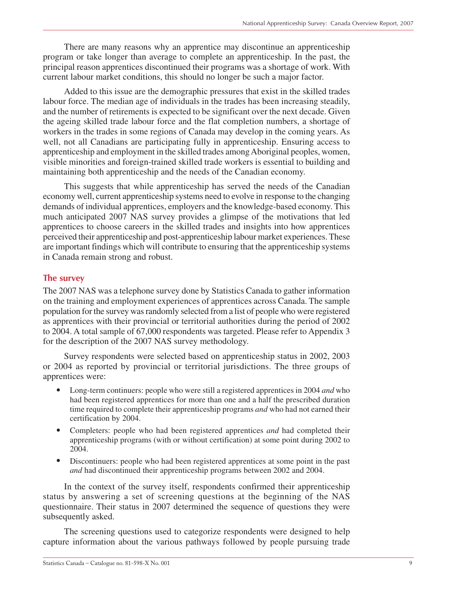There are many reasons why an apprentice may discontinue an apprenticeship program or take longer than average to complete an apprenticeship. In the past, the principal reason apprentices discontinued their programs was a shortage of work. With current labour market conditions, this should no longer be such a major factor.

Added to this issue are the demographic pressures that exist in the skilled trades labour force. The median age of individuals in the trades has been increasing steadily, and the number of retirements is expected to be significant over the next decade. Given the ageing skilled trade labour force and the flat completion numbers, a shortage of workers in the trades in some regions of Canada may develop in the coming years. As well, not all Canadians are participating fully in apprenticeship. Ensuring access to apprenticeship and employment in the skilled trades among Aboriginal peoples, women, visible minorities and foreign-trained skilled trade workers is essential to building and maintaining both apprenticeship and the needs of the Canadian economy.

This suggests that while apprenticeship has served the needs of the Canadian economy well, current apprenticeship systems need to evolve in response to the changing demands of individual apprentices, employers and the knowledge-based economy. This much anticipated 2007 NAS survey provides a glimpse of the motivations that led apprentices to choose careers in the skilled trades and insights into how apprentices perceived their apprenticeship and post-apprenticeship labour market experiences. These are important findings which will contribute to ensuring that the apprenticeship systems in Canada remain strong and robust.

### **The survey**

The 2007 NAS was a telephone survey done by Statistics Canada to gather information on the training and employment experiences of apprentices across Canada. The sample population for the survey was randomly selected from a list of people who were registered as apprentices with their provincial or territorial authorities during the period of 2002 to 2004. A total sample of 67,000 respondents was targeted. Please refer to Appendix 3 for the description of the 2007 NAS survey methodology.

Survey respondents were selected based on apprenticeship status in 2002, 2003 or 2004 as reported by provincial or territorial jurisdictions. The three groups of apprentices were:

- Long-term continuers: people who were still a registered apprentices in 2004 *and* who had been registered apprentices for more than one and a half the prescribed duration time required to complete their apprenticeship programs *and* who had not earned their certification by 2004.
- Completers: people who had been registered apprentices *and* had completed their apprenticeship programs (with or without certification) at some point during 2002 to 2004.
- Discontinuers: people who had been registered apprentices at some point in the past *and* had discontinued their apprenticeship programs between 2002 and 2004.

In the context of the survey itself, respondents confirmed their apprenticeship status by answering a set of screening questions at the beginning of the NAS questionnaire. Their status in 2007 determined the sequence of questions they were subsequently asked.

The screening questions used to categorize respondents were designed to help capture information about the various pathways followed by people pursuing trade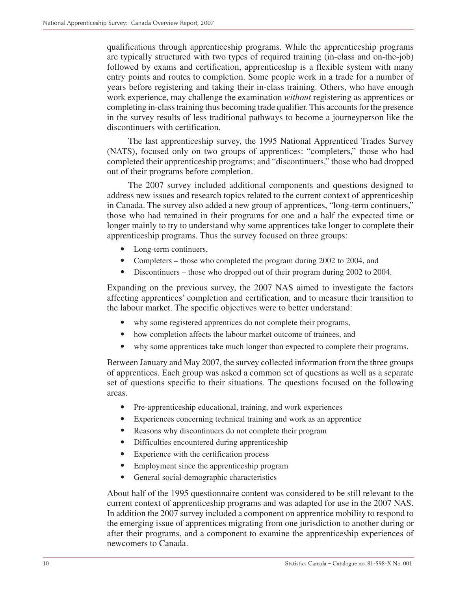qualifications through apprenticeship programs. While the apprenticeship programs are typically structured with two types of required training (in-class and on-the-job) followed by exams and certification, apprenticeship is a flexible system with many entry points and routes to completion. Some people work in a trade for a number of years before registering and taking their in-class training. Others, who have enough work experience, may challenge the examination *without* registering as apprentices or completing in-class training thus becoming trade qualifier. This accounts for the presence in the survey results of less traditional pathways to become a journeyperson like the discontinuers with certification.

The last apprenticeship survey, the 1995 National Apprenticed Trades Survey (NATS), focused only on two groups of apprentices: "completers," those who had completed their apprenticeship programs; and "discontinuers," those who had dropped out of their programs before completion.

The 2007 survey included additional components and questions designed to address new issues and research topics related to the current context of apprenticeship in Canada. The survey also added a new group of apprentices, "long-term continuers," those who had remained in their programs for one and a half the expected time or longer mainly to try to understand why some apprentices take longer to complete their apprenticeship programs. Thus the survey focused on three groups:

- Long-term continuers,
- Completers those who completed the program during 2002 to 2004, and
- Discontinuers those who dropped out of their program during 2002 to 2004.

Expanding on the previous survey, the 2007 NAS aimed to investigate the factors affecting apprentices' completion and certification, and to measure their transition to the labour market. The specific objectives were to better understand:

- why some registered apprentices do not complete their programs,
- how completion affects the labour market outcome of trainees, and
- why some apprentices take much longer than expected to complete their programs.

Between January and May 2007, the survey collected information from the three groups of apprentices. Each group was asked a common set of questions as well as a separate set of questions specific to their situations. The questions focused on the following areas.

- Pre-apprenticeship educational, training, and work experiences
- Experiences concerning technical training and work as an apprentice
- Reasons why discontinuers do not complete their program
- Difficulties encountered during apprenticeship
- Experience with the certification process
- Employment since the apprenticeship program
- General social-demographic characteristics

About half of the 1995 questionnaire content was considered to be still relevant to the current context of apprenticeship programs and was adapted for use in the 2007 NAS. In addition the 2007 survey included a component on apprentice mobility to respond to the emerging issue of apprentices migrating from one jurisdiction to another during or after their programs, and a component to examine the apprenticeship experiences of newcomers to Canada.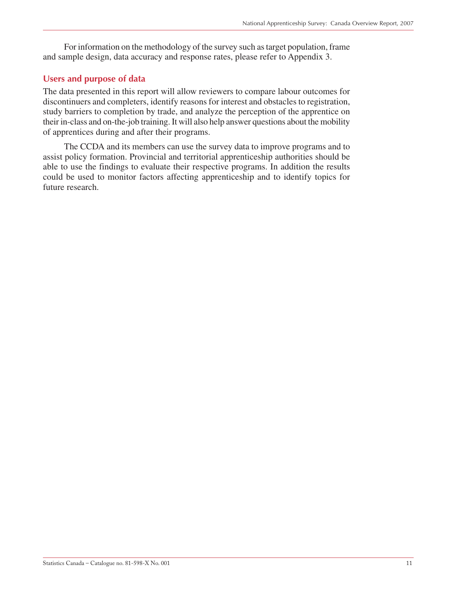For information on the methodology of the survey such as target population, frame and sample design, data accuracy and response rates, please refer to Appendix 3.

### **Users and purpose of data**

The data presented in this report will allow reviewers to compare labour outcomes for discontinuers and completers, identify reasons for interest and obstacles to registration, study barriers to completion by trade, and analyze the perception of the apprentice on their in-class and on-the-job training. It will also help answer questions about the mobility of apprentices during and after their programs.

The CCDA and its members can use the survey data to improve programs and to assist policy formation. Provincial and territorial apprenticeship authorities should be able to use the findings to evaluate their respective programs. In addition the results could be used to monitor factors affecting apprenticeship and to identify topics for future research.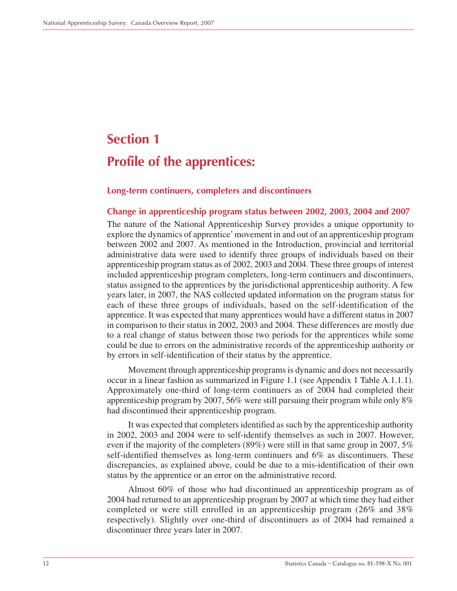# <span id="page-11-0"></span>**Section 1 Profile of the apprentices:**

#### **Long-term continuers, completers and discontinuers**

#### **Change in apprenticeship program status between 2002, 2003, 2004 and 2007**

The nature of the National Apprenticeship Survey provides a unique opportunity to explore the dynamics of apprentice' movement in and out of an apprenticeship program between 2002 and 2007. As mentioned in the Introduction, provincial and territorial administrative data were used to identify three groups of individuals based on their apprenticeship program status as of 2002, 2003 and 2004. These three groups of interest included apprenticeship program completers, long-term continuers and discontinuers, status assigned to the apprentices by the jurisdictional apprenticeship authority. A few years later, in 2007, the NAS collected updated information on the program status for each of these three groups of individuals, based on the self-identification of the apprentice. It was expected that many apprentices would have a different status in 2007 in comparison to their status in 2002, 2003 and 2004. These differences are mostly due to a real change of status between those two periods for the apprentices while some could be due to errors on the administrative records of the apprenticeship authority or by errors in self-identification of their status by the apprentice.

Movement through apprenticeship programs is dynamic and does not necessarily occur in a linear fashion as summarized in Figure 1.1 (see Appendix 1 Table A.1.1.1). Approximately one-third of long-term continuers as of 2004 had completed their apprenticeship program by 2007, 56% were still pursuing their program while only 8% had discontinued their apprenticeship program.

It was expected that completers identified as such by the apprenticeship authority in 2002, 2003 and 2004 were to self-identify themselves as such in 2007. However, even if the majority of the completers (89%) were still in that same group in 2007, 5% self-identified themselves as long-term continuers and 6% as discontinuers. These discrepancies, as explained above, could be due to a mis-identification of their own status by the apprentice or an error on the administrative record.

Almost 60% of those who had discontinued an apprenticeship program as of 2004 had returned to an apprenticeship program by 2007 at which time they had either completed or were still enrolled in an apprenticeship program (26% and 38% respectively). Slightly over one-third of discontinuers as of 2004 had remained a discontinuer three years later in 2007.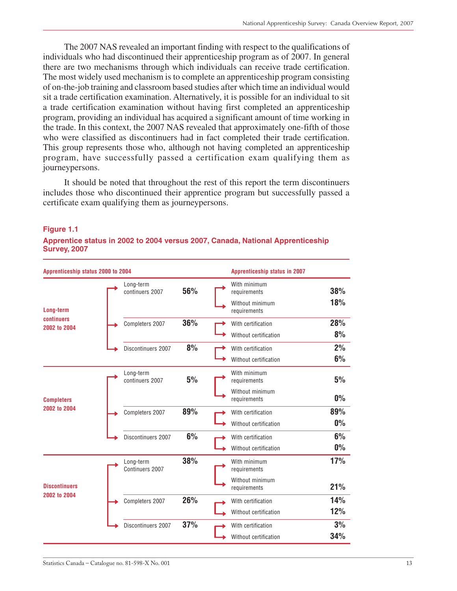The 2007 NAS revealed an important finding with respect to the qualifications of individuals who had discontinued their apprenticeship program as of 2007. In general there are two mechanisms through which individuals can receive trade certification. The most widely used mechanism is to complete an apprenticeship program consisting of on-the-job training and classroom based studies after which time an individual would sit a trade certification examination. Alternatively, it is possible for an individual to sit a trade certification examination without having first completed an apprenticeship program, providing an individual has acquired a significant amount of time working in the trade. In this context, the 2007 NAS revealed that approximately one-fifth of those who were classified as discontinuers had in fact completed their trade certification. This group represents those who, although not having completed an apprenticeship program, have successfully passed a certification exam qualifying them as journeypersons.

It should be noted that throughout the rest of this report the term discontinuers includes those who discontinued their apprentice program but successfully passed a certificate exam qualifying them as journeypersons.

| Apprenticeship status 2000 to 2004   |                              |     | <b>Apprenticeship status in 2007</b> |       |
|--------------------------------------|------------------------------|-----|--------------------------------------|-------|
|                                      | Long-term<br>continuers 2007 | 56% | With minimum<br>requirements         | 38%   |
| Long-term                            |                              |     | Without minimum<br>requirements      | 18%   |
| continuers<br>2002 to 2004           | Completers 2007              | 36% | With certification                   | 28%   |
|                                      |                              |     | Without certification                | 8%    |
|                                      | Discontinuers 2007           | 8%  | With certification                   | 2%    |
|                                      |                              |     | Without certification                | 6%    |
|                                      | Long-term<br>continuers 2007 | 5%  | With minimum<br>requirements         | 5%    |
| <b>Completers</b>                    |                              |     | Without minimum<br>requirements      | $0\%$ |
| 2002 to 2004                         | Completers 2007              | 89% | With certification                   | 89%   |
|                                      |                              |     | Without certification                | $0\%$ |
|                                      | Discontinuers 2007           | 6%  | With certification                   | 6%    |
|                                      |                              |     | Without certification                | $0\%$ |
|                                      | Long-term<br>Continuers 2007 | 38% | With minimum<br>requirements         | 17%   |
| <b>Discontinuers</b><br>2002 to 2004 |                              |     | Without minimum<br>requirements      | 21%   |
|                                      | Completers 2007              | 26% | With certification                   | 14%   |
|                                      |                              |     | Without certification                | 12%   |
|                                      | Discontinuers 2007           | 37% | With certification                   | 3%    |
|                                      |                              |     | Without certification                | 34%   |

#### **Figure 1.1**

**Apprentice status in 2002 to 2004 versus 2007, Canada, National Apprenticeship Survey, 2007**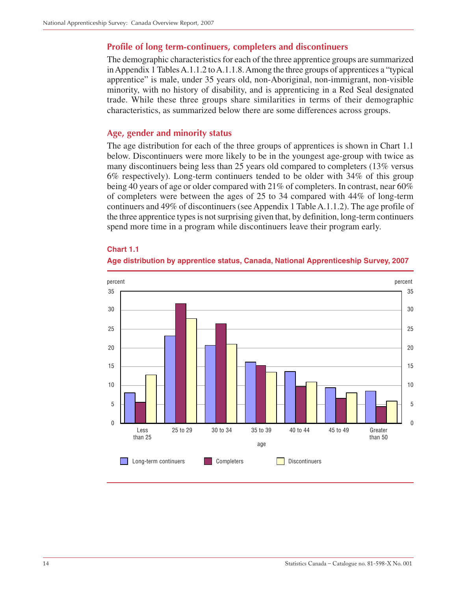### **Profile of long term-continuers, completers and discontinuers**

The demographic characteristics for each of the three apprentice groups are summarized in Appendix 1 Tables A.1.1.2 to A.1.1.8. Among the three groups of apprentices a "typical apprentice" is male, under 35 years old, non-Aboriginal, non-immigrant, non-visible minority, with no history of disability, and is apprenticing in a Red Seal designated trade. While these three groups share similarities in terms of their demographic characteristics, as summarized below there are some differences across groups.

#### **Age, gender and minority status**

The age distribution for each of the three groups of apprentices is shown in Chart 1.1 below. Discontinuers were more likely to be in the youngest age-group with twice as many discontinuers being less than 25 years old compared to completers (13% versus 6% respectively). Long-term continuers tended to be older with 34% of this group being 40 years of age or older compared with 21% of completers. In contrast, near 60% of completers were between the ages of 25 to 34 compared with 44% of long-term continuers and 49% of discontinuers (see Appendix 1 Table A.1.1.2). The age profile of the three apprentice types is not surprising given that, by definition, long-term continuers spend more time in a program while discontinuers leave their program early.

#### **Chart 1.1**



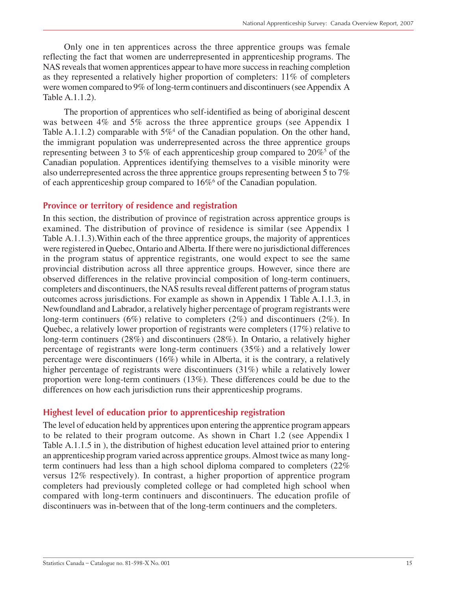Only one in ten apprentices across the three apprentice groups was female reflecting the fact that women are underrepresented in apprenticeship programs. The NAS reveals that women apprentices appear to have more success in reaching completion as they represented a relatively higher proportion of completers: 11% of completers were women compared to 9% of long-term continuers and discontinuers (see Appendix A Table A.1.1.2).

The proportion of apprentices who self-identified as being of aboriginal descent was between 4% and 5% across the three apprentice groups (see Appendix 1) Table A.1.1.2) comparable with  $5\%$ <sup>4</sup> of the Canadian population. On the other hand, the immigrant population was underrepresented across the three apprentice groups representing between 3 to 5% of each apprenticeship group compared to  $20\%$ <sup>5</sup> of the Canadian population. Apprentices identifying themselves to a visible minority were also underrepresented across the three apprentice groups representing between 5 to 7% of each apprenticeship group compared to  $16\%$ <sup>6</sup> of the Canadian population.

### **Province or territory of residence and registration**

In this section, the distribution of province of registration across apprentice groups is examined. The distribution of province of residence is similar (see Appendix 1 Table A.1.1.3).Within each of the three apprentice groups, the majority of apprentices were registered in Quebec, Ontario and Alberta. If there were no jurisdictional differences in the program status of apprentice registrants, one would expect to see the same provincial distribution across all three apprentice groups. However, since there are observed differences in the relative provincial composition of long-term continuers, completers and discontinuers, the NAS results reveal different patterns of program status outcomes across jurisdictions. For example as shown in Appendix 1 Table A.1.1.3, in Newfoundland and Labrador, a relatively higher percentage of program registrants were long-term continuers (6%) relative to completers (2%) and discontinuers (2%). In Quebec, a relatively lower proportion of registrants were completers (17%) relative to long-term continuers (28%) and discontinuers (28%). In Ontario, a relatively higher percentage of registrants were long-term continuers (35%) and a relatively lower percentage were discontinuers (16%) while in Alberta, it is the contrary, a relatively higher percentage of registrants were discontinuers (31%) while a relatively lower proportion were long-term continuers (13%). These differences could be due to the differences on how each jurisdiction runs their apprenticeship programs.

### **Highest level of education prior to apprenticeship registration**

The level of education held by apprentices upon entering the apprentice program appears to be related to their program outcome. As shown in Chart 1.2 (see Appendix 1 Table A.1.1.5 in ), the distribution of highest education level attained prior to entering an apprenticeship program varied across apprentice groups. Almost twice as many longterm continuers had less than a high school diploma compared to completers (22% versus 12% respectively). In contrast, a higher proportion of apprentice program completers had previously completed college or had completed high school when compared with long-term continuers and discontinuers. The education profile of discontinuers was in-between that of the long-term continuers and the completers.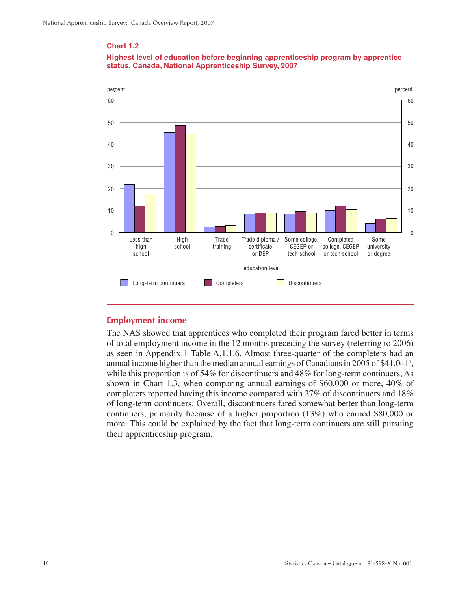#### **Chart 1.2**



#### **Highest level of education before beginning apprenticeship program by apprentice status, Canada, National Apprenticeship Survey, 2007**

### **Employment income**

The NAS showed that apprentices who completed their program fared better in terms of total employment income in the 12 months preceding the survey (referring to 2006) as seen in Appendix 1 Table A.1.1.6. Almost three-quarter of the completers had an annual income higher than the median annual earnings of Canadians in 2005 of \$41,0417 , while this proportion is of 54% for discontinuers and 48% for long-term continuers, As shown in Chart 1.3, when comparing annual earnings of \$60,000 or more, 40% of completers reported having this income compared with 27% of discontinuers and 18% of long-term continuers. Overall, discontinuers fared somewhat better than long-term continuers, primarily because of a higher proportion (13%) who earned \$80,000 or more. This could be explained by the fact that long-term continuers are still pursuing their apprenticeship program.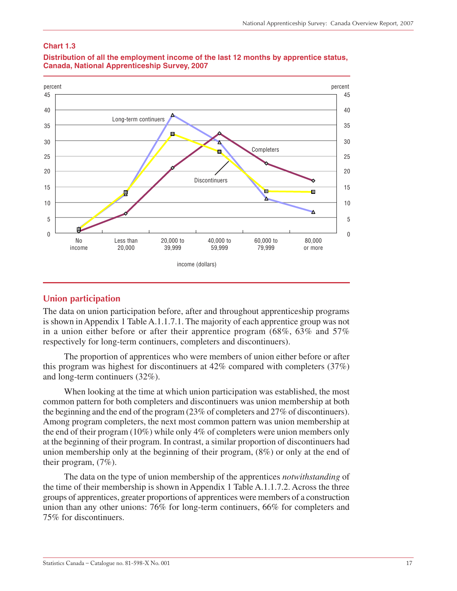#### **Chart 1.3**



#### **Distribution of all the employment income of the last 12 months by apprentice status, Canada, National Apprenticeship Survey, 2007**

### **Union participation**

The data on union participation before, after and throughout apprenticeship programs is shown in Appendix 1 Table A.1.1.7.1. The majority of each apprentice group was not in a union either before or after their apprentice program (68%, 63% and 57% respectively for long-term continuers, completers and discontinuers).

The proportion of apprentices who were members of union either before or after this program was highest for discontinuers at 42% compared with completers (37%) and long-term continuers (32%).

When looking at the time at which union participation was established, the most common pattern for both completers and discontinuers was union membership at both the beginning and the end of the program (23% of completers and 27% of discontinuers). Among program completers, the next most common pattern was union membership at the end of their program (10%) while only 4% of completers were union members only at the beginning of their program. In contrast, a similar proportion of discontinuers had union membership only at the beginning of their program, (8%) or only at the end of their program, (7%).

The data on the type of union membership of the apprentices *notwithstanding* of the time of their membership is shown in Appendix 1 Table A.1.1.7.2. Across the three groups of apprentices, greater proportions of apprentices were members of a construction union than any other unions: 76% for long-term continuers, 66% for completers and 75% for discontinuers.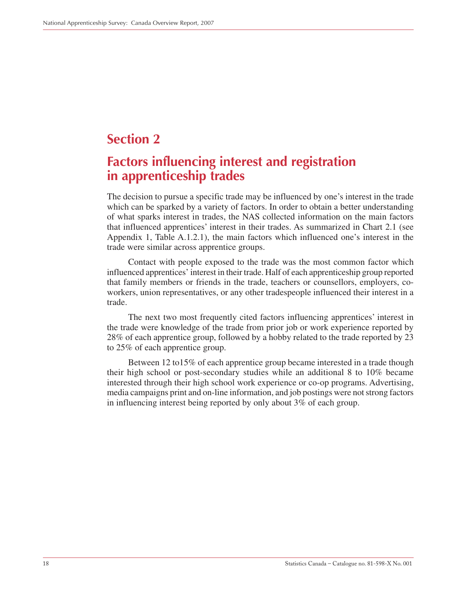# <span id="page-17-0"></span>**Section 2**

# **Factors influencing interest and registration in apprenticeship trades**

The decision to pursue a specific trade may be influenced by one's interest in the trade which can be sparked by a variety of factors. In order to obtain a better understanding of what sparks interest in trades, the NAS collected information on the main factors that influenced apprentices' interest in their trades. As summarized in Chart 2.1 (see Appendix 1, Table A.1.2.1), the main factors which influenced one's interest in the trade were similar across apprentice groups.

Contact with people exposed to the trade was the most common factor which influenced apprentices' interest in their trade. Half of each apprenticeship group reported that family members or friends in the trade, teachers or counsellors, employers, coworkers, union representatives, or any other tradespeople influenced their interest in a trade.

The next two most frequently cited factors influencing apprentices' interest in the trade were knowledge of the trade from prior job or work experience reported by 28% of each apprentice group, followed by a hobby related to the trade reported by 23 to 25% of each apprentice group.

Between 12 to15% of each apprentice group became interested in a trade though their high school or post-secondary studies while an additional 8 to 10% became interested through their high school work experience or co-op programs. Advertising, media campaigns print and on-line information, and job postings were not strong factors in influencing interest being reported by only about 3% of each group.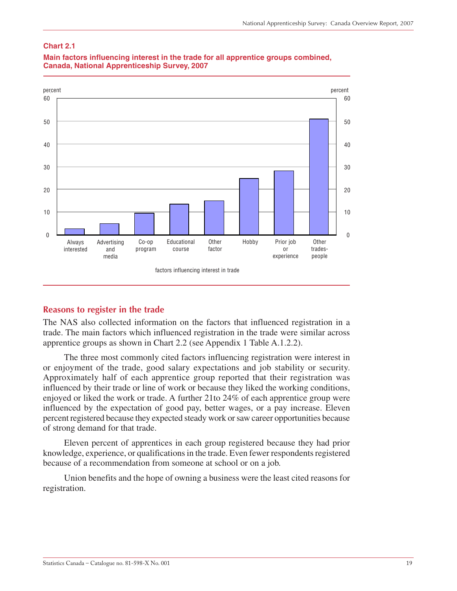#### **Chart 2.1**



#### **Main factors influencing interest in the trade for all apprentice groups combined, Canada, National Apprenticeship Survey, 2007**

#### **Reasons to register in the trade**

The NAS also collected information on the factors that influenced registration in a trade. The main factors which influenced registration in the trade were similar across apprentice groups as shown in Chart 2.2 (see Appendix 1 Table A.1.2.2).

The three most commonly cited factors influencing registration were interest in or enjoyment of the trade, good salary expectations and job stability or security. Approximately half of each apprentice group reported that their registration was influenced by their trade or line of work or because they liked the working conditions, enjoyed or liked the work or trade. A further 21to 24% of each apprentice group were influenced by the expectation of good pay, better wages, or a pay increase. Eleven percent registered because they expected steady work or saw career opportunities because of strong demand for that trade.

Eleven percent of apprentices in each group registered because they had prior knowledge, experience, or qualifications in the trade. Even fewer respondents registered because of a recommendation from someone at school or on a job.

Union benefits and the hope of owning a business were the least cited reasons for registration.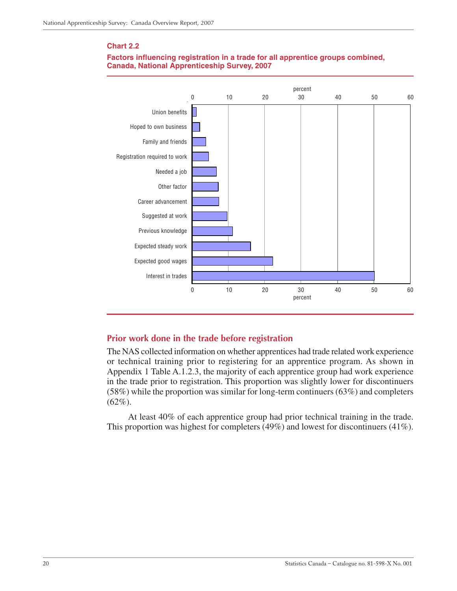#### **Chart 2.2**





### **Prior work done in the trade before registration**

The NAS collected information on whether apprentices had trade related work experience or technical training prior to registering for an apprentice program. As shown in Appendix 1 Table A.1.2.3, the majority of each apprentice group had work experience in the trade prior to registration. This proportion was slightly lower for discontinuers (58%) while the proportion was similar for long-term continuers (63%) and completers  $(62\%)$ .

At least 40% of each apprentice group had prior technical training in the trade. This proportion was highest for completers (49%) and lowest for discontinuers (41%).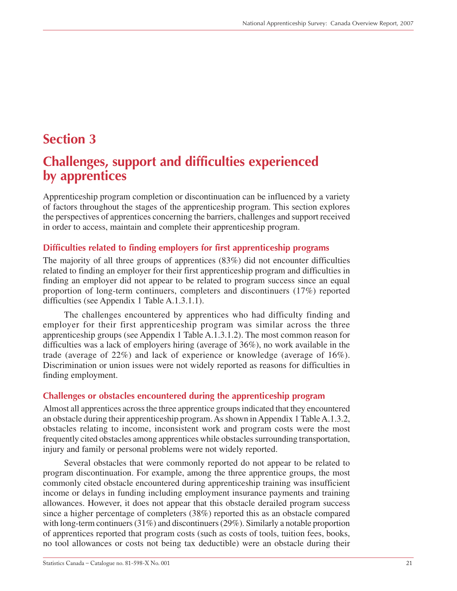# <span id="page-20-0"></span>**Section 3**

# **Challenges, support and difficulties experienced by apprentices**

Apprenticeship program completion or discontinuation can be influenced by a variety of factors throughout the stages of the apprenticeship program. This section explores the perspectives of apprentices concerning the barriers, challenges and support received in order to access, maintain and complete their apprenticeship program.

### **Difficulties related to finding employers for first apprenticeship programs**

The majority of all three groups of apprentices (83%) did not encounter difficulties related to finding an employer for their first apprenticeship program and difficulties in finding an employer did not appear to be related to program success since an equal proportion of long-term continuers, completers and discontinuers (17%) reported difficulties (see Appendix 1 Table A.1.3.1.1).

The challenges encountered by apprentices who had difficulty finding and employer for their first apprenticeship program was similar across the three apprenticeship groups (see Appendix 1 Table A.1.3.1.2). The most common reason for difficulties was a lack of employers hiring (average of 36%), no work available in the trade (average of 22%) and lack of experience or knowledge (average of 16%). Discrimination or union issues were not widely reported as reasons for difficulties in finding employment.

### **Challenges or obstacles encountered during the apprenticeship program**

Almost all apprentices across the three apprentice groups indicated that they encountered an obstacle during their apprenticeship program. As shown in Appendix 1 Table A.1.3.2, obstacles relating to income, inconsistent work and program costs were the most frequently cited obstacles among apprentices while obstacles surrounding transportation, injury and family or personal problems were not widely reported.

Several obstacles that were commonly reported do not appear to be related to program discontinuation. For example, among the three apprentice groups, the most commonly cited obstacle encountered during apprenticeship training was insufficient income or delays in funding including employment insurance payments and training allowances. However, it does not appear that this obstacle derailed program success since a higher percentage of completers (38%) reported this as an obstacle compared with long-term continuers (31%) and discontinuers (29%). Similarly a notable proportion of apprentices reported that program costs (such as costs of tools, tuition fees, books, no tool allowances or costs not being tax deductible) were an obstacle during their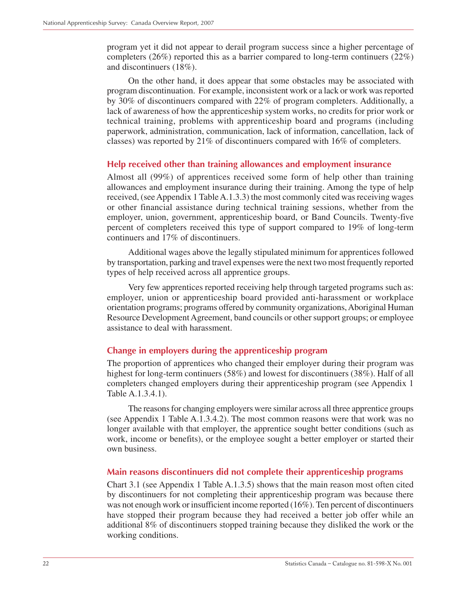program yet it did not appear to derail program success since a higher percentage of completers (26%) reported this as a barrier compared to long-term continuers (22%) and discontinuers (18%).

On the other hand, it does appear that some obstacles may be associated with program discontinuation. For example, inconsistent work or a lack or work was reported by 30% of discontinuers compared with 22% of program completers. Additionally, a lack of awareness of how the apprenticeship system works, no credits for prior work or technical training, problems with apprenticeship board and programs (including paperwork, administration, communication, lack of information, cancellation, lack of classes) was reported by 21% of discontinuers compared with 16% of completers.

### **Help received other than training allowances and employment insurance**

Almost all (99%) of apprentices received some form of help other than training allowances and employment insurance during their training. Among the type of help received, (see Appendix 1 Table A.1.3.3) the most commonly cited was receiving wages or other financial assistance during technical training sessions, whether from the employer, union, government, apprenticeship board, or Band Councils. Twenty-five percent of completers received this type of support compared to 19% of long-term continuers and 17% of discontinuers.

Additional wages above the legally stipulated minimum for apprentices followed by transportation, parking and travel expenses were the next two most frequently reported types of help received across all apprentice groups.

Very few apprentices reported receiving help through targeted programs such as: employer, union or apprenticeship board provided anti-harassment or workplace orientation programs; programs offered by community organizations, Aboriginal Human Resource Development Agreement, band councils or other support groups; or employee assistance to deal with harassment.

### **Change in employers during the apprenticeship program**

The proportion of apprentices who changed their employer during their program was highest for long-term continuers (58%) and lowest for discontinuers (38%). Half of all completers changed employers during their apprenticeship program (see Appendix 1 Table A.1.3.4.1).

The reasons for changing employers were similar across all three apprentice groups (see Appendix 1 Table A.1.3.4.2). The most common reasons were that work was no longer available with that employer, the apprentice sought better conditions (such as work, income or benefits), or the employee sought a better employer or started their own business.

### **Main reasons discontinuers did not complete their apprenticeship programs**

Chart 3.1 (see Appendix 1 Table A.1.3.5) shows that the main reason most often cited by discontinuers for not completing their apprenticeship program was because there was not enough work or insufficient income reported (16%). Ten percent of discontinuers have stopped their program because they had received a better job offer while an additional 8% of discontinuers stopped training because they disliked the work or the working conditions.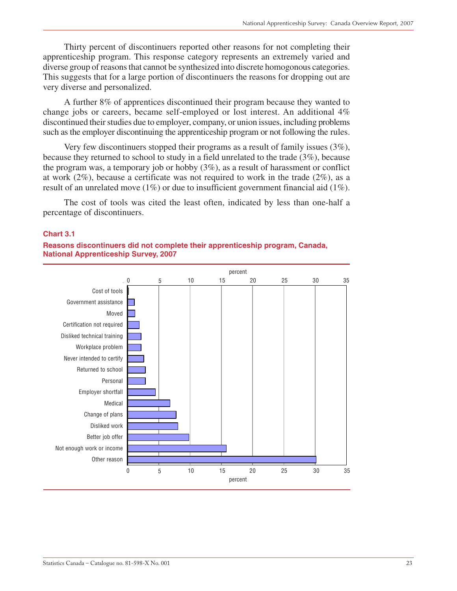Thirty percent of discontinuers reported other reasons for not completing their apprenticeship program. This response category represents an extremely varied and diverse group of reasons that cannot be synthesized into discrete homogonous categories. This suggests that for a large portion of discontinuers the reasons for dropping out are very diverse and personalized.

A further 8% of apprentices discontinued their program because they wanted to change jobs or careers, became self-employed or lost interest. An additional 4% discontinued their studies due to employer, company, or union issues, including problems such as the employer discontinuing the apprenticeship program or not following the rules.

Very few discontinuers stopped their programs as a result of family issues (3%), because they returned to school to study in a field unrelated to the trade (3%), because the program was, a temporary job or hobby (3%), as a result of harassment or conflict at work (2%), because a certificate was not required to work in the trade (2%), as a result of an unrelated move (1%) or due to insufficient government financial aid (1%).

The cost of tools was cited the least often, indicated by less than one-half a percentage of discontinuers.

#### **Chart 3.1**



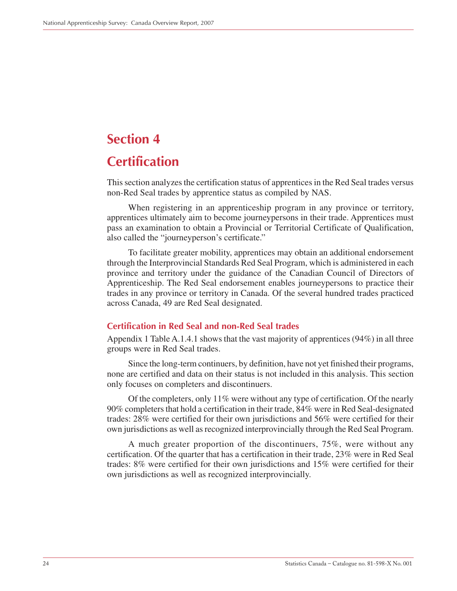# <span id="page-23-0"></span>**Section 4**

# **Certification**

This section analyzes the certification status of apprentices in the Red Seal trades versus non-Red Seal trades by apprentice status as compiled by NAS.

When registering in an apprenticeship program in any province or territory, apprentices ultimately aim to become journeypersons in their trade. Apprentices must pass an examination to obtain a Provincial or Territorial Certificate of Qualification, also called the "journeyperson's certificate."

To facilitate greater mobility, apprentices may obtain an additional endorsement through the Interprovincial Standards Red Seal Program, which is administered in each province and territory under the guidance of the Canadian Council of Directors of Apprenticeship. The Red Seal endorsement enables journeypersons to practice their trades in any province or territory in Canada. Of the several hundred trades practiced across Canada, 49 are Red Seal designated.

### **Certification in Red Seal and non-Red Seal trades**

Appendix 1 Table A.1.4.1 shows that the vast majority of apprentices (94%) in all three groups were in Red Seal trades.

Since the long-term continuers, by definition, have not yet finished their programs, none are certified and data on their status is not included in this analysis. This section only focuses on completers and discontinuers.

Of the completers, only 11% were without any type of certification. Of the nearly 90% completers that hold a certification in their trade, 84% were in Red Seal-designated trades: 28% were certified for their own jurisdictions and 56% were certified for their own jurisdictions as well as recognized interprovincially through the Red Seal Program.

A much greater proportion of the discontinuers, 75%, were without any certification. Of the quarter that has a certification in their trade, 23% were in Red Seal trades: 8% were certified for their own jurisdictions and 15% were certified for their own jurisdictions as well as recognized interprovincially.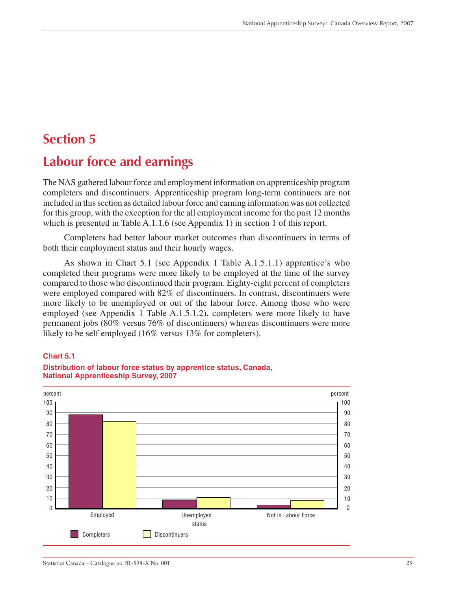# <span id="page-24-0"></span>**Section 5**

# **Labour force and earnings**

The NAS gathered labour force and employment information on apprenticeship program completers and discontinuers. Apprenticeship program long-term continuers are not included in this section as detailed labour force and earning information was not collected for this group, with the exception for the all employment income for the past 12 months which is presented in Table A.1.1.6 (see Appendix 1) in section 1 of this report.

Completers had better labour market outcomes than discontinuers in terms of both their employment status and their hourly wages.

As shown in Chart 5.1 (see Appendix 1 Table A.1.5.1.1) apprentice's who completed their programs were more likely to be employed at the time of the survey compared to those who discontinued their program. Eighty-eight percent of completers were employed compared with 82% of discontinuers. In contrast, discontinuers were more likely to be unemployed or out of the labour force. Among those who were employed (see Appendix 1 Table A.1.5.1.2), completers were more likely to have permanent jobs (80% versus 76% of discontinuers) whereas discontinuers were more likely to be self employed (16% versus 13% for completers).

#### **Chart 5.1**



#### **Distribution of labour force status by apprentice status, Canada, National Apprenticeship Survey, 2007**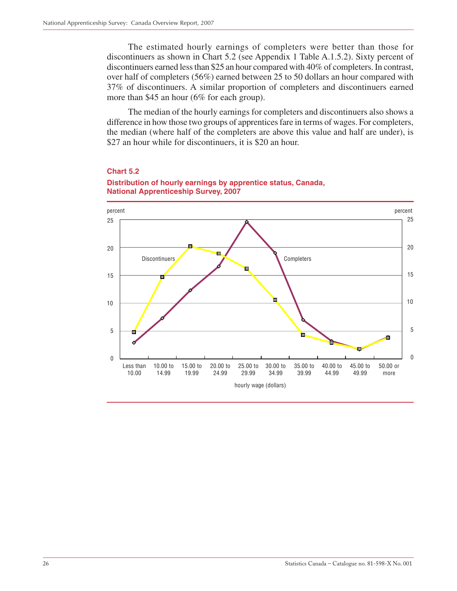The estimated hourly earnings of completers were better than those for discontinuers as shown in Chart 5.2 (see Appendix 1 Table A.1.5.2). Sixty percent of discontinuers earned less than \$25 an hour compared with 40% of completers. In contrast, over half of completers (56%) earned between 25 to 50 dollars an hour compared with 37% of discontinuers. A similar proportion of completers and discontinuers earned more than \$45 an hour (6% for each group).

The median of the hourly earnings for completers and discontinuers also shows a difference in how those two groups of apprentices fare in terms of wages. For completers, the median (where half of the completers are above this value and half are under), is \$27 an hour while for discontinuers, it is \$20 an hour.



#### **Chart 5.2**

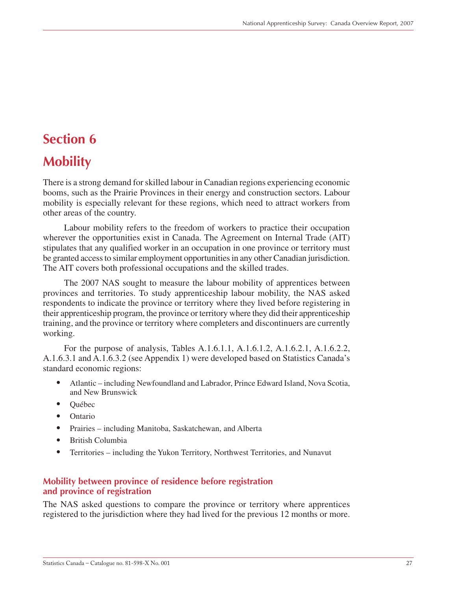# <span id="page-26-0"></span>**Section 6**

# **Mobility**

There is a strong demand for skilled labour in Canadian regions experiencing economic booms, such as the Prairie Provinces in their energy and construction sectors. Labour mobility is especially relevant for these regions, which need to attract workers from other areas of the country.

Labour mobility refers to the freedom of workers to practice their occupation wherever the opportunities exist in Canada. The Agreement on Internal Trade (AIT) stipulates that any qualified worker in an occupation in one province or territory must be granted access to similar employment opportunities in any other Canadian jurisdiction. The AIT covers both professional occupations and the skilled trades.

The 2007 NAS sought to measure the labour mobility of apprentices between provinces and territories. To study apprenticeship labour mobility, the NAS asked respondents to indicate the province or territory where they lived before registering in their apprenticeship program, the province or territory where they did their apprenticeship training, and the province or territory where completers and discontinuers are currently working.

For the purpose of analysis, Tables A.1.6.1.1, A.1.6.1.2, A.1.6.2.1, A.1.6.2.2, A.1.6.3.1 and A.1.6.3.2 (see Appendix 1) were developed based on Statistics Canada's standard economic regions:

- Atlantic including Newfoundland and Labrador, Prince Edward Island, Nova Scotia, and New Brunswick
- Québec
- Ontario
- Prairies including Manitoba, Saskatchewan, and Alberta
- British Columbia
- Territories including the Yukon Territory, Northwest Territories, and Nunavut

### **Mobility between province of residence before registration and province of registration**

The NAS asked questions to compare the province or territory where apprentices registered to the jurisdiction where they had lived for the previous 12 months or more.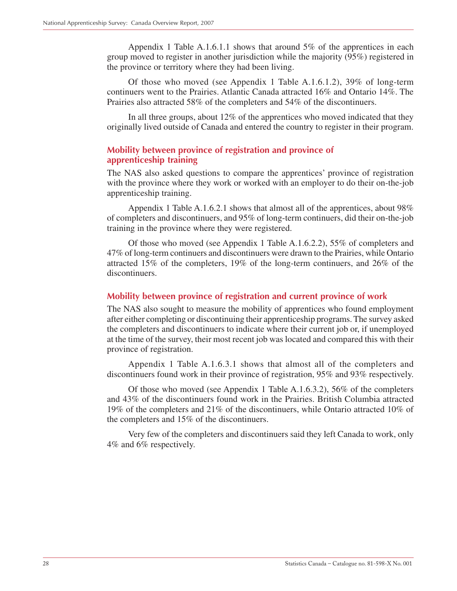Appendix 1 Table A.1.6.1.1 shows that around 5% of the apprentices in each group moved to register in another jurisdiction while the majority (95%) registered in the province or territory where they had been living.

Of those who moved (see Appendix 1 Table A.1.6.1.2), 39% of long-term continuers went to the Prairies. Atlantic Canada attracted 16% and Ontario 14%. The Prairies also attracted 58% of the completers and 54% of the discontinuers.

In all three groups, about 12% of the apprentices who moved indicated that they originally lived outside of Canada and entered the country to register in their program.

### **Mobility between province of registration and province of apprenticeship training**

The NAS also asked questions to compare the apprentices' province of registration with the province where they work or worked with an employer to do their on-the-job apprenticeship training.

Appendix 1 Table A.1.6.2.1 shows that almost all of the apprentices, about 98% of completers and discontinuers, and 95% of long-term continuers, did their on-the-job training in the province where they were registered.

Of those who moved (see Appendix 1 Table A.1.6.2.2), 55% of completers and 47% of long-term continuers and discontinuers were drawn to the Prairies, while Ontario attracted 15% of the completers, 19% of the long-term continuers, and 26% of the discontinuers.

### **Mobility between province of registration and current province of work**

The NAS also sought to measure the mobility of apprentices who found employment after either completing or discontinuing their apprenticeship programs. The survey asked the completers and discontinuers to indicate where their current job or, if unemployed at the time of the survey, their most recent job was located and compared this with their province of registration.

Appendix 1 Table A.1.6.3.1 shows that almost all of the completers and discontinuers found work in their province of registration, 95% and 93% respectively.

Of those who moved (see Appendix 1 Table A.1.6.3.2), 56% of the completers and 43% of the discontinuers found work in the Prairies. British Columbia attracted 19% of the completers and 21% of the discontinuers, while Ontario attracted 10% of the completers and 15% of the discontinuers.

Very few of the completers and discontinuers said they left Canada to work, only 4% and 6% respectively.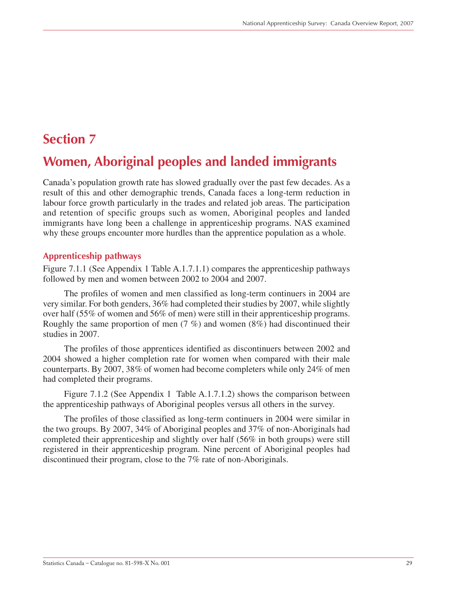## <span id="page-28-0"></span>**Section 7**

# **Women, Aboriginal peoples and landed immigrants**

Canada's population growth rate has slowed gradually over the past few decades. As a result of this and other demographic trends, Canada faces a long-term reduction in labour force growth particularly in the trades and related job areas. The participation and retention of specific groups such as women, Aboriginal peoples and landed immigrants have long been a challenge in apprenticeship programs. NAS examined why these groups encounter more hurdles than the apprentice population as a whole.

### **Apprenticeship pathways**

Figure 7.1.1 (See Appendix 1 Table A.1.7.1.1) compares the apprenticeship pathways followed by men and women between 2002 to 2004 and 2007.

The profiles of women and men classified as long-term continuers in 2004 are very similar. For both genders, 36% had completed their studies by 2007, while slightly over half (55% of women and 56% of men) were still in their apprenticeship programs. Roughly the same proportion of men  $(7 \%)$  and women  $(8\%)$  had discontinued their studies in 2007.

The profiles of those apprentices identified as discontinuers between 2002 and 2004 showed a higher completion rate for women when compared with their male counterparts. By 2007, 38% of women had become completers while only 24% of men had completed their programs.

Figure 7.1.2 (See Appendix 1 Table A.1.7.1.2) shows the comparison between the apprenticeship pathways of Aboriginal peoples versus all others in the survey.

The profiles of those classified as long-term continuers in 2004 were similar in the two groups. By 2007, 34% of Aboriginal peoples and 37% of non-Aboriginals had completed their apprenticeship and slightly over half (56% in both groups) were still registered in their apprenticeship program. Nine percent of Aboriginal peoples had discontinued their program, close to the 7% rate of non-Aboriginals.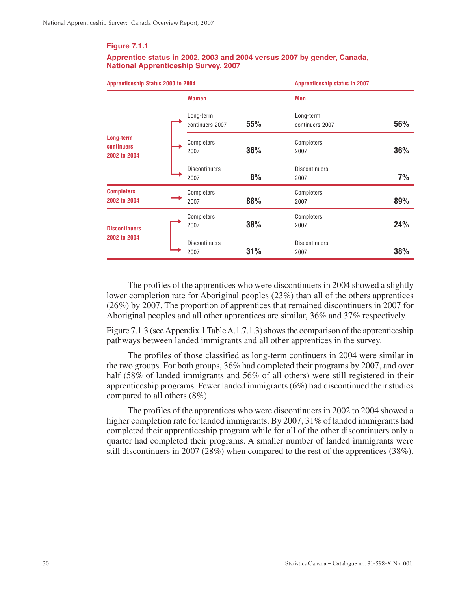#### **Figure 7.1.1**

#### **Apprentice status in 2002, 2003 and 2004 versus 2007 by gender, Canada, National Apprenticeship Survey, 2007**

| Apprenticeship Status 2000 to 2004      |  |                              |     |                              | <b>Apprenticeship status in 2007</b> |  |
|-----------------------------------------|--|------------------------------|-----|------------------------------|--------------------------------------|--|
|                                         |  | <b>Women</b>                 |     | <b>Men</b>                   |                                      |  |
|                                         |  | Long-term<br>continuers 2007 | 55% | Long-term<br>continuers 2007 | 56%                                  |  |
| Long-term<br>continuers<br>2002 to 2004 |  | Completers<br>2007           | 36% | Completers<br>2007           | 36%                                  |  |
|                                         |  | <b>Discontinuers</b><br>2007 | 8%  | <b>Discontinuers</b><br>2007 | 7%                                   |  |
| <b>Completers</b><br>2002 to 2004       |  | Completers<br>2007           | 88% | Completers<br>2007           | 89%                                  |  |
| <b>Discontinuers</b><br>2002 to 2004    |  | Completers<br>2007           | 38% | Completers<br>2007           | 24%                                  |  |
|                                         |  | <b>Discontinuers</b><br>2007 | 31% | <b>Discontinuers</b><br>2007 | 38%                                  |  |

The profiles of the apprentices who were discontinuers in 2004 showed a slightly lower completion rate for Aboriginal peoples (23%) than all of the others apprentices (26%) by 2007. The proportion of apprentices that remained discontinuers in 2007 for Aboriginal peoples and all other apprentices are similar, 36% and 37% respectively.

Figure 7.1.3 (see Appendix 1 Table A.1.7.1.3) shows the comparison of the apprenticeship pathways between landed immigrants and all other apprentices in the survey.

The profiles of those classified as long-term continuers in 2004 were similar in the two groups. For both groups, 36% had completed their programs by 2007, and over half (58% of landed immigrants and 56% of all others) were still registered in their apprenticeship programs. Fewer landed immigrants (6%) had discontinued their studies compared to all others (8%).

The profiles of the apprentices who were discontinuers in 2002 to 2004 showed a higher completion rate for landed immigrants. By 2007, 31% of landed immigrants had completed their apprenticeship program while for all of the other discontinuers only a quarter had completed their programs. A smaller number of landed immigrants were still discontinuers in 2007 (28%) when compared to the rest of the apprentices (38%).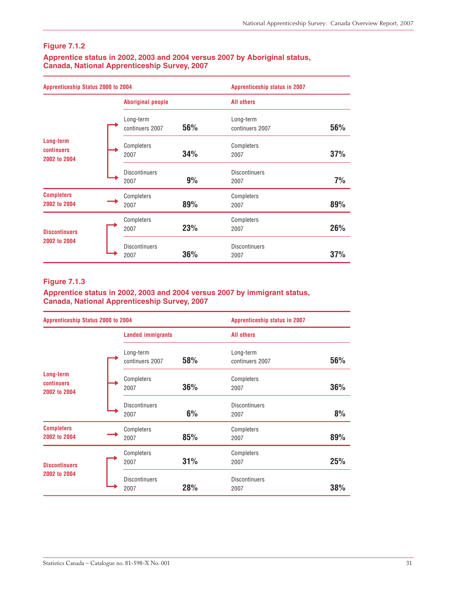### **Figure 7.1.2**

#### **Apprentice status in 2002, 2003 and 2004 versus 2007 by Aboriginal status, Canada, National Apprenticeship Survey, 2007**

| Apprenticeship Status 2000 to 2004      |  |                              | <b>Apprenticeship status in 2007</b> |                              |     |
|-----------------------------------------|--|------------------------------|--------------------------------------|------------------------------|-----|
|                                         |  | <b>Aboriginal people</b>     |                                      | <b>All others</b>            |     |
|                                         |  | Long-term<br>continuers 2007 | 56%                                  | Long-term<br>continuers 2007 | 56% |
| Long-term<br>continuers<br>2002 to 2004 |  | Completers<br>2007           | 34%                                  | Completers<br>2007           | 37% |
|                                         |  | <b>Discontinuers</b><br>2007 | 9%                                   | <b>Discontinuers</b><br>2007 | 7%  |
| <b>Completers</b><br>2002 to 2004       |  | Completers<br>2007           | 89%                                  | Completers<br>2007           | 89% |
| <b>Discontinuers</b><br>2002 to 2004    |  | Completers<br>2007           | 23%                                  | Completers<br>2007           | 26% |
|                                         |  | <b>Discontinuers</b><br>2007 | 36%                                  | <b>Discontinuers</b><br>2007 | 37% |

#### **Figure 7.1.3**

#### **Apprentice status in 2002, 2003 and 2004 versus 2007 by immigrant status, Canada, National Apprenticeship Survey, 2007**

| Apprenticeship Status 2000 to 2004      |  |                              | <b>Apprenticeship status in 2007</b> |                              |     |
|-----------------------------------------|--|------------------------------|--------------------------------------|------------------------------|-----|
|                                         |  | <b>Landed immigrants</b>     |                                      | <b>All others</b>            |     |
|                                         |  | Long-term<br>continuers 2007 | 58%                                  | Long-term<br>continuers 2007 | 56% |
| Long-term<br>continuers<br>2002 to 2004 |  | Completers<br>2007           | 36%                                  | Completers<br>2007           | 36% |
|                                         |  | <b>Discontinuers</b><br>2007 | 6%                                   | <b>Discontinuers</b><br>2007 | 8%  |
| <b>Completers</b><br>2002 to 2004       |  | Completers<br>2007           | 85%                                  | Completers<br>2007           | 89% |
| <b>Discontinuers</b><br>2002 to 2004    |  | Completers<br>2007           | 31%                                  | Completers<br>2007           | 25% |
|                                         |  | <b>Discontinuers</b><br>2007 | 28%                                  | <b>Discontinuers</b><br>2007 | 38% |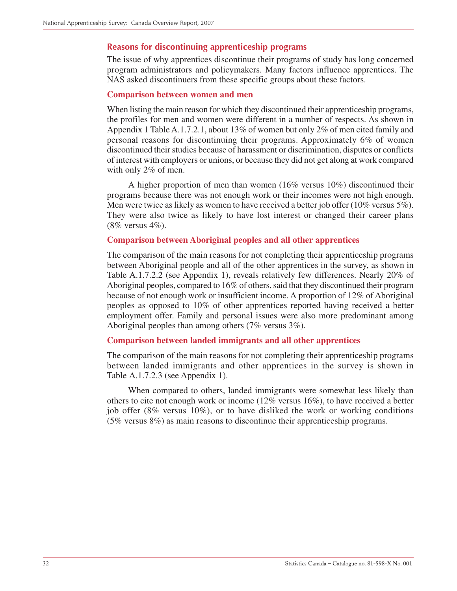### **Reasons for discontinuing apprenticeship programs**

The issue of why apprentices discontinue their programs of study has long concerned program administrators and policymakers. Many factors influence apprentices. The NAS asked discontinuers from these specific groups about these factors.

#### **Comparison between women and men**

When listing the main reason for which they discontinued their apprenticeship programs, the profiles for men and women were different in a number of respects. As shown in Appendix 1 Table A.1.7.2.1, about 13% of women but only 2% of men cited family and personal reasons for discontinuing their programs. Approximately 6% of women discontinued their studies because of harassment or discrimination, disputes or conflicts of interest with employers or unions, or because they did not get along at work compared with only 2% of men.

A higher proportion of men than women (16% versus 10%) discontinued their programs because there was not enough work or their incomes were not high enough. Men were twice as likely as women to have received a better job offer (10% versus 5%). They were also twice as likely to have lost interest or changed their career plans (8% versus 4%).

### **Comparison between Aboriginal peoples and all other apprentices**

The comparison of the main reasons for not completing their apprenticeship programs between Aboriginal people and all of the other apprentices in the survey, as shown in Table A.1.7.2.2 (see Appendix 1), reveals relatively few differences. Nearly 20% of Aboriginal peoples, compared to 16% of others, said that they discontinued their program because of not enough work or insufficient income. A proportion of 12% of Aboriginal peoples as opposed to 10% of other apprentices reported having received a better employment offer. Family and personal issues were also more predominant among Aboriginal peoples than among others (7% versus 3%).

#### **Comparison between landed immigrants and all other apprentices**

The comparison of the main reasons for not completing their apprenticeship programs between landed immigrants and other apprentices in the survey is shown in Table A.1.7.2.3 (see Appendix 1).

When compared to others, landed immigrants were somewhat less likely than others to cite not enough work or income (12% versus 16%), to have received a better job offer (8% versus 10%), or to have disliked the work or working conditions (5% versus 8%) as main reasons to discontinue their apprenticeship programs.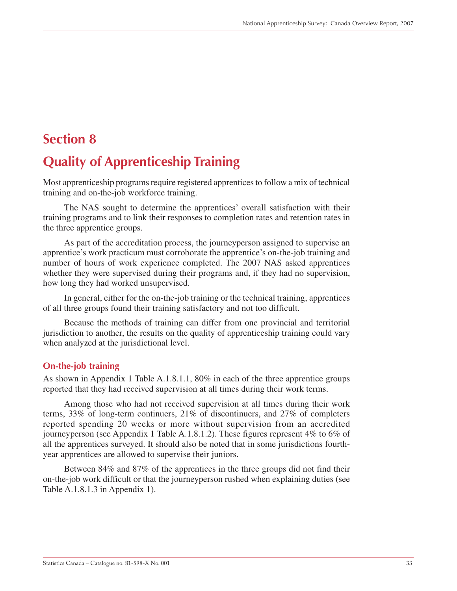# <span id="page-32-0"></span>**Section 8**

# **Quality of Apprenticeship Training**

Most apprenticeship programs require registered apprentices to follow a mix of technical training and on-the-job workforce training.

The NAS sought to determine the apprentices' overall satisfaction with their training programs and to link their responses to completion rates and retention rates in the three apprentice groups.

As part of the accreditation process, the journeyperson assigned to supervise an apprentice's work practicum must corroborate the apprentice's on-the-job training and number of hours of work experience completed. The 2007 NAS asked apprentices whether they were supervised during their programs and, if they had no supervision, how long they had worked unsupervised.

In general, either for the on-the-job training or the technical training, apprentices of all three groups found their training satisfactory and not too difficult.

Because the methods of training can differ from one provincial and territorial jurisdiction to another, the results on the quality of apprenticeship training could vary when analyzed at the jurisdictional level.

### **On-the-job training**

As shown in Appendix 1 Table A.1.8.1.1, 80% in each of the three apprentice groups reported that they had received supervision at all times during their work terms.

Among those who had not received supervision at all times during their work terms, 33% of long-term continuers, 21% of discontinuers, and 27% of completers reported spending 20 weeks or more without supervision from an accredited journeyperson (see Appendix 1 Table A.1.8.1.2). These figures represent 4% to 6% of all the apprentices surveyed. It should also be noted that in some jurisdictions fourthyear apprentices are allowed to supervise their juniors.

Between 84% and 87% of the apprentices in the three groups did not find their on-the-job work difficult or that the journeyperson rushed when explaining duties (see Table A.1.8.1.3 in Appendix 1).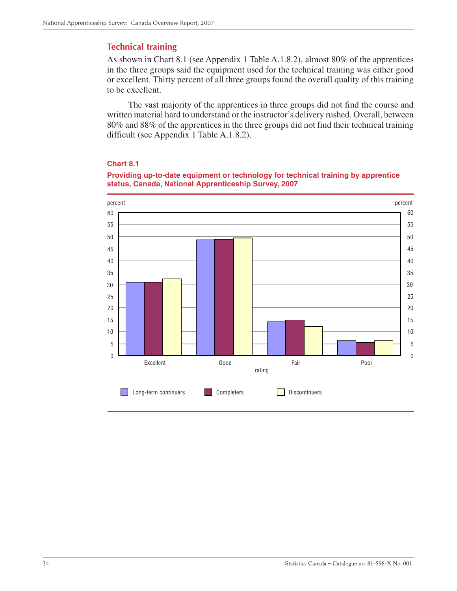### **Technical training**

As shown in Chart 8.1 (see Appendix 1 Table A.1.8.2), almost 80% of the apprentices in the three groups said the equipment used for the technical training was either good or excellent. Thirty percent of all three groups found the overall quality of this training to be excellent.

The vast majority of the apprentices in three groups did not find the course and written material hard to understand or the instructor's delivery rushed. Overall, between 80% and 88% of the apprentices in the three groups did not find their technical training difficult (see Appendix 1 Table A.1.8.2).

### **Chart 8.1**

#### **Providing up-to-date equipment or technology for technical training by apprentice status, Canada, National Apprenticeship Survey, 2007**

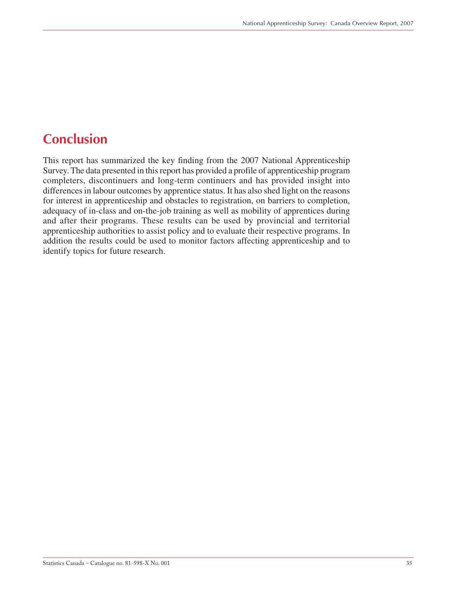# <span id="page-34-0"></span>**Conclusion**

This report has summarized the key finding from the 2007 National Apprenticeship Survey. The data presented in this report has provided a profile of apprenticeship program completers, discontinuers and long-term continuers and has provided insight into differences in labour outcomes by apprentice status. It has also shed light on the reasons for interest in apprenticeship and obstacles to registration, on barriers to completion, adequacy of in-class and on-the-job training as well as mobility of apprentices during and after their programs. These results can be used by provincial and territorial apprenticeship authorities to assist policy and to evaluate their respective programs. In addition the results could be used to monitor factors affecting apprenticeship and to identify topics for future research.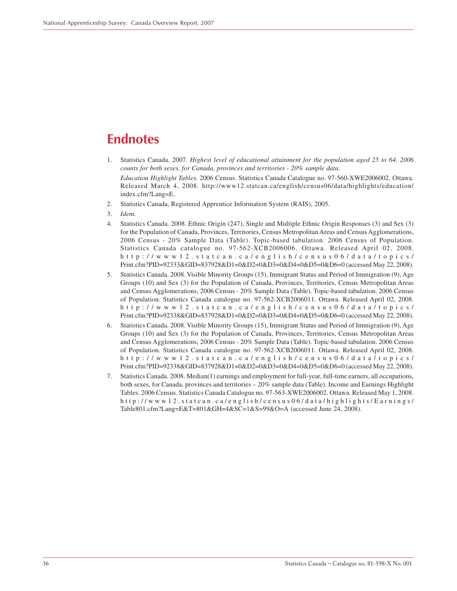## <span id="page-35-0"></span>**Endnotes**

- 1. Statistics Canada. 2007. *Highest level of educational attainment for the population aged 25 to 64, 2006 counts for both sexes, for Canada, provinces and territories - 20% sample data*. *Education Highlight Tables.* 2006 Census. Statistics Canada Catalogue no. 97-560-XWE2006002. Ottawa. Released March 4, 2008. http://www12.statcan.ca/english/census06/data/highlights/education/ index.cfm?Lang=E.
- 2. Statistics Canada, Registered Apprentice Information System (RAIS), 2005.
- 3. *Idem.*
- 4. Statistics Canada. 2008. Ethnic Origin (247), Single and Multiple Ethnic Origin Responses (3) and Sex (3) for the Population of Canada, Provinces, Territories, Census Metropolitan Areas and Census Agglomerations, 2006 Census - 20% Sample Data (Table). Topic-based tabulation. 2006 Census of Population. Statistics Canada catalogue no. 97-562-XCB2006006. Ottawa. Released April 02, 2008. http://www12.statcan.ca/english/census06/data/topics/ Print.cfm?PID=92333&GID=837928&D1=0&D2=0&D3=0&D4=0&D5=0&D6=0 (accessed May 22, 2008).
- 5. Statistics Canada. 2008. Visible Minority Groups (15), Immigrant Status and Period of Immigration (9), Age Groups (10) and Sex (3) for the Population of Canada, Provinces, Territories, Census Metropolitan Areas and Census Agglomerations, 2006 Census - 20% Sample Data (Table). Topic-based tabulation. 2006 Census of Population. Statistics Canada catalogue no. 97-562-XCB2006011. Ottawa. Released April 02, 2008. http://www12.statcan.ca/english/census06/data/topics/ Print.cfm?PID=92338&GID=837928&D1=0&D2=0&D3=0&D4=0&D5=0&D6=0 (accessed May 22, 2008).
- 6. Statistics Canada. 2008. Visible Minority Groups (15), Immigrant Status and Period of Immigration (9), Age Groups (10) and Sex (3) for the Population of Canada, Provinces, Territories, Census Metropolitan Areas and Census Agglomerations, 2006 Census - 20% Sample Data (Table). Topic-based tabulation. 2006 Census of Population. Statistics Canada catalogue no. 97-562-XCB2006011. Ottawa. Released April 02, 2008. http://www12.statcan.ca/english/census06/data/topics/ Print.cfm?PID=92338&GID=837928&D1=0&D2=0&D3=0&D4=0&D5=0&D6=0 (accessed May 22, 2008).
- 7. Statistics Canada. 2008. Median(1) earnings and employment for full-year, full-time earners, all occupations, both sexes, for Canada, provinces and territories – 20% sample data (Table). Income and Earnings Highlight Tables. 2006 Census. Statistics Canada Catalogue no. 97-563-XWE2006002. Ottawa. Released May 1, 2008. http://www12.statcan.ca/english/census06/data/highlights/Earnings/ Table801.cfm?Lang=E&T=801&GH=4&SC=1&S=99&O=A (accessed June 24, 2008).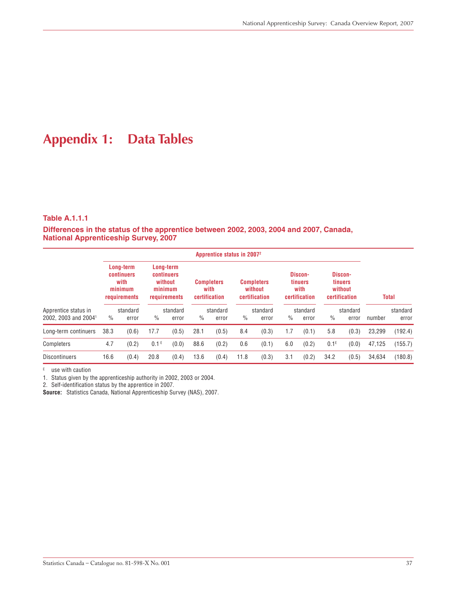# **Appendix 1: Data Tables**

#### **Table A.1.1.1**

**Differences in the status of the apprentice between 2002, 2003, 2004 and 2007, Canada, National Apprenticeship Survey, 2007**

|                                  |                                                            |          |                  |                                                               | Apprentice status in 2007 <sup>2</sup> |                                            |               |                                               |               |                                                    |         |                                                       |        |              |
|----------------------------------|------------------------------------------------------------|----------|------------------|---------------------------------------------------------------|----------------------------------------|--------------------------------------------|---------------|-----------------------------------------------|---------------|----------------------------------------------------|---------|-------------------------------------------------------|--------|--------------|
|                                  | Long-term<br>continuers<br>with<br>minimum<br>requirements |          |                  | Long-term<br>continuers<br>without<br>minimum<br>requirements |                                        | <b>Completers</b><br>with<br>certification |               | <b>Completers</b><br>without<br>certification |               | Discon-<br><b>tinuers</b><br>with<br>certification |         | Discon-<br><b>tinuers</b><br>without<br>certification |        | <b>Total</b> |
| Apprentice status in             |                                                            | standard |                  | standard                                                      |                                        | standard                                   |               | standard                                      |               | standard                                           |         | standard                                              |        | standard     |
| 2002, 2003 and 2004 <sup>1</sup> | $\frac{0}{0}$                                              | error    | $\%$             | error                                                         | $\%$                                   | error                                      | $\frac{0}{0}$ | error                                         | $\frac{0}{0}$ | error                                              | $\%$    | error                                                 | number | error        |
| Long-term continuers             | 38.3                                                       | (0.6)    | 17.7             | (0.5)                                                         | 28.1                                   | (0.5)                                      | 8.4           | (0.3)                                         | 1.7           | (0.1)                                              | 5.8     | (0.3)                                                 | 23,299 | (192.4)      |
| Completers                       | 4.7                                                        | (0.2)    | 0.1 <sup>E</sup> | (0.0)                                                         | 88.6                                   | (0.2)                                      | 0.6           | (0.1)                                         | 6.0           | (0.2)                                              | $0.1^E$ | (0.0)                                                 | 47,125 | (155.7)      |
| <b>Discontinuers</b>             | 16.6                                                       | (0.4)    | 20.8             | (0.4)                                                         | 13.6                                   | (0.4)                                      | 11.8          | (0.3)                                         | 3.1           | (0.2)                                              | 34.2    | (0.5)                                                 | 34.634 | (180.8)      |

 $E$  use with caution

1. Status given by the apprenticeship authority in 2002, 2003 or 2004.

2. Self-identification status by the apprentice in 2007.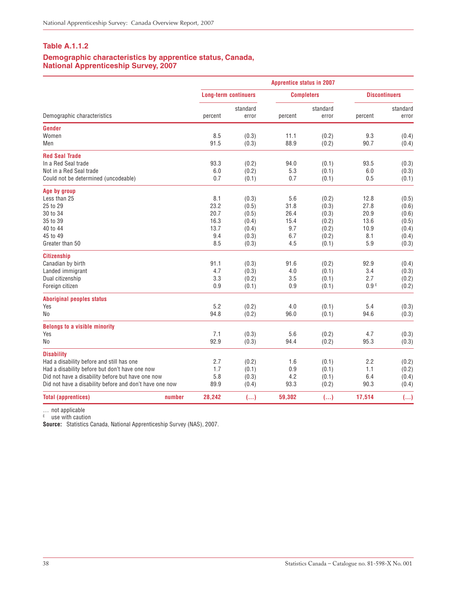#### **Demographic characteristics by apprentice status, Canada, National Apprenticeship Survey, 2007**

|                                                         |         | <b>Apprentice status in 2007</b> |         |                   |                  |                      |  |  |  |  |
|---------------------------------------------------------|---------|----------------------------------|---------|-------------------|------------------|----------------------|--|--|--|--|
|                                                         |         | <b>Long-term continuers</b>      |         | <b>Completers</b> |                  | <b>Discontinuers</b> |  |  |  |  |
| Demographic characteristics                             | percent | standard<br>error                | percent | standard<br>error | percent          | standard<br>error    |  |  |  |  |
| Gender                                                  |         |                                  |         |                   |                  |                      |  |  |  |  |
| Women                                                   | 8.5     | (0.3)                            | 11.1    | (0.2)             | 9.3              | (0.4)                |  |  |  |  |
| Men                                                     | 91.5    | (0.3)                            | 88.9    | (0.2)             | 90.7             | (0.4)                |  |  |  |  |
| <b>Red Seal Trade</b>                                   |         |                                  |         |                   |                  |                      |  |  |  |  |
| In a Red Seal trade                                     | 93.3    | (0.2)                            | 94.0    | (0.1)             | 93.5             | (0.3)                |  |  |  |  |
| Not in a Red Seal trade                                 | 6.0     | (0.2)                            | 5.3     | (0.1)             | 6.0              | (0.3)                |  |  |  |  |
| Could not be determined (uncodeable)                    | 0.7     | (0.1)                            | 0.7     | (0.1)             | 0.5              | (0.1)                |  |  |  |  |
| Age by group                                            |         |                                  |         |                   |                  |                      |  |  |  |  |
| Less than 25                                            | 8.1     | (0.3)                            | 5.6     | (0.2)             | 12.8             | (0.5)                |  |  |  |  |
| 25 to 29                                                | 23.2    | (0.5)                            | 31.8    | (0.3)             | 27.8             | (0.6)                |  |  |  |  |
| 30 to 34                                                | 20.7    | (0.5)                            | 26.4    | (0.3)             | 20.9             | (0.6)                |  |  |  |  |
| 35 to 39                                                | 16.3    | (0.4)                            | 15.4    | (0.2)             | 13.6             | (0.5)                |  |  |  |  |
| 40 to 44                                                | 13.7    | (0.4)                            | 9.7     | (0.2)             | 10.9             | (0.4)                |  |  |  |  |
| 45 to 49                                                | 9.4     | (0.3)                            | 6.7     | (0.2)             | 8.1              | (0.4)                |  |  |  |  |
| Greater than 50                                         | 8.5     | (0.3)                            | 4.5     | (0.1)             | 5.9              | (0.3)                |  |  |  |  |
| <b>Citizenship</b>                                      |         |                                  |         |                   |                  |                      |  |  |  |  |
| Canadian by birth                                       | 91.1    | (0.3)                            | 91.6    | (0.2)             | 92.9             | (0.4)                |  |  |  |  |
| Landed immigrant                                        | 4.7     | (0.3)                            | 4.0     | (0.1)             | 3.4              | (0.3)                |  |  |  |  |
| Dual citizenship                                        | 3.3     | (0.2)                            | 3.5     | (0.1)             | 2.7              | (0.2)                |  |  |  |  |
| Foreign citizen                                         | 0.9     | (0.1)                            | 0.9     | (0.1)             | 0.9 <sup>E</sup> | (0.2)                |  |  |  |  |
| <b>Aboriginal peoples status</b>                        |         |                                  |         |                   |                  |                      |  |  |  |  |
| Yes                                                     | 5.2     | (0.2)                            | 4.0     | (0.1)             | 5.4              | (0.3)                |  |  |  |  |
| No                                                      | 94.8    | (0.2)                            | 96.0    | (0.1)             | 94.6             | (0.3)                |  |  |  |  |
| <b>Belongs to a visible minority</b>                    |         |                                  |         |                   |                  |                      |  |  |  |  |
| Yes                                                     | 7.1     | (0.3)                            | 5.6     | (0.2)             | 4.7              | (0.3)                |  |  |  |  |
| No                                                      | 92.9    | (0.3)                            | 94.4    | (0.2)             | 95.3             | (0.3)                |  |  |  |  |
| <b>Disability</b>                                       |         |                                  |         |                   |                  |                      |  |  |  |  |
| Had a disability before and still has one               | 2.7     | (0.2)                            | 1.6     | (0.1)             | 2.2              | (0.2)                |  |  |  |  |
| Had a disability before but don't have one now          | 1.7     | (0.1)                            | 0.9     | (0.1)             | 1.1              | (0.2)                |  |  |  |  |
| Did not have a disability before but have one now       | 5.8     | (0.3)                            | 4.2     | (0.1)             | 6.4              | (0.4)                |  |  |  |  |
| Did not have a disability before and don't have one now | 89.9    | (0.4)                            | 93.3    | (0.2)             | 90.3             | (0.4)                |  |  |  |  |
| <b>Total (apprentices)</b><br>number                    | 28,242  | $(\ldots)$                       | 59,302  | ()                | 17,514           | ()                   |  |  |  |  |

… not applicable

<sup>E</sup> use with caution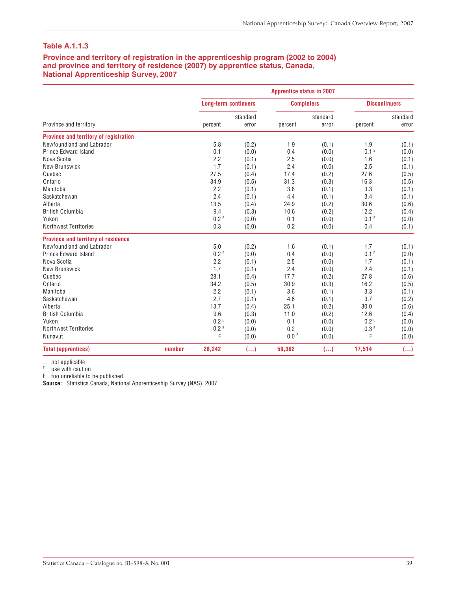#### **Province and territory of registration in the apprenticeship program (2002 to 2004) and province and territory of residence (2007) by apprentice status, Canada, National Apprenticeship Survey, 2007**

|                                        |        |                             |          | <b>Apprentice status in 2007</b> |          |                      |          |
|----------------------------------------|--------|-----------------------------|----------|----------------------------------|----------|----------------------|----------|
|                                        |        | <b>Long-term continuers</b> |          | <b>Completers</b>                |          | <b>Discontinuers</b> |          |
|                                        |        |                             | standard |                                  | standard |                      | standard |
| Province and territory                 |        | percent                     | error    | percent                          | error    | percent              | error    |
| Province and territory of registration |        |                             |          |                                  |          |                      |          |
| Newfoundland and Labrador              |        | 5.8                         | (0.2)    | 1.9                              | (0.1)    | 1.9                  | (0.1)    |
| <b>Prince Edward Island</b>            |        | 0.1                         | (0.0)    | 0.4                              | (0.0)    | 0.1 <sup>E</sup>     | (0.0)    |
| Nova Scotia                            |        | 2.2                         | (0.1)    | 2.5                              | (0.0)    | 1.6                  | (0.1)    |
| <b>New Brunswick</b>                   |        | 1.7                         | (0.1)    | 2.4                              | (0.0)    | 2.5                  | (0.1)    |
| Quebec                                 |        | 27.5                        | (0.4)    | 17.4                             | (0.2)    | 27.6                 | (0.5)    |
| Ontario                                |        | 34.9                        | (0.5)    | 31.3                             | (0.3)    | 16.3                 | (0.5)    |
| Manitoba                               |        | 2.2                         | (0.1)    | 3.8                              | (0.1)    | 3.3                  | (0.1)    |
| Saskatchewan                           |        | 2.4                         | (0.1)    | 4.4                              | (0.1)    | 3.4                  | (0.1)    |
| Alberta                                |        | 13.5                        | (0.4)    | 24.9                             | (0.2)    | 30.6                 | (0.6)    |
| <b>British Columbia</b>                |        | 9.4                         | (0.3)    | 10.6                             | (0.2)    | 12.2                 | (0.4)    |
| Yukon                                  |        | 0.2 <sup>E</sup>            | (0.0)    | 0.1                              | (0.0)    | 0.1 <sup>E</sup>     | (0.0)    |
| <b>Northwest Territories</b>           |        | 0.3                         | (0.0)    | 0.2                              | (0.0)    | 0.4                  | (0.1)    |
| Province and territory of residence    |        |                             |          |                                  |          |                      |          |
| Newfoundland and Labrador              |        | 5.0                         | (0.2)    | 1.6                              | (0.1)    | 1.7                  | (0.1)    |
| <b>Prince Edward Island</b>            |        | 0.2 <sup>E</sup>            | (0.0)    | 0.4                              | (0.0)    | 0.1 <sup>E</sup>     | (0.0)    |
| Nova Scotia                            |        | 2.2                         | (0.1)    | 2.5                              | (0.0)    | 1.7                  | (0.1)    |
| New Brunswick                          |        | 1.7                         | (0.1)    | 2.4                              | (0.0)    | 2.4                  | (0.1)    |
| Quebec                                 |        | 28.1                        | (0.4)    | 17.7                             | (0.2)    | 27.8                 | (0.6)    |
| Ontario                                |        | 34.2                        | (0.5)    | 30.9                             | (0.3)    | 16.2                 | (0.5)    |
| Manitoba                               |        | 2.2                         | (0.1)    | 3.6                              | (0.1)    | 3.3                  | (0.1)    |
| Saskatchewan                           |        | 2.7                         | (0.1)    | 4.6                              | (0.1)    | 3.7                  | (0.2)    |
| Alberta                                |        | 13.7                        | (0.4)    | 25.1                             | (0.2)    | 30.0                 | (0.6)    |
| <b>British Columbia</b>                |        | 9.6                         | (0.3)    | 11.0                             | (0.2)    | 12.6                 | (0.4)    |
| Yukon                                  |        | 0.2 <sup>E</sup>            | (0.0)    | 0.1                              | (0.0)    | 0.2 <sup>E</sup>     | (0.0)    |
| <b>Northwest Territories</b>           |        | 0.2 <sup>E</sup>            | (0.0)    | 0.2                              | (0.0)    | 0.3E                 | (0.0)    |
| Nunavut                                |        | F                           | (0.0)    | 0.0 <sup>E</sup>                 | (0.0)    | F                    | (0.0)    |
| <b>Total (apprentices)</b>             | number | 28,242                      | ()       | 59,302                           | ()       | 17,514               | ()       |

… not applicable

<sup>E</sup> use with caution

F too unreliable to be published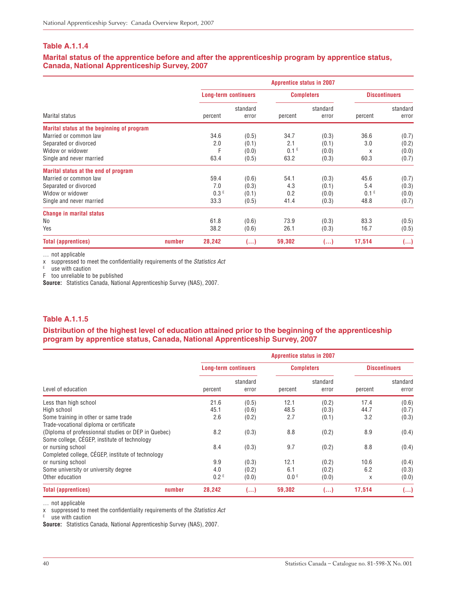#### **Marital status of the apprentice before and after the apprenticeship program by apprentice status, Canada, National Apprenticeship Survey, 2007**

|                                            | <b>Apprentice status in 2007</b> |                             |                   |                  |                   |                      |                   |  |  |  |
|--------------------------------------------|----------------------------------|-----------------------------|-------------------|------------------|-------------------|----------------------|-------------------|--|--|--|
|                                            |                                  | <b>Long-term continuers</b> |                   |                  | <b>Completers</b> | <b>Discontinuers</b> |                   |  |  |  |
| Marital status                             |                                  | percent                     | standard<br>error | percent          | standard<br>error | percent              | standard<br>error |  |  |  |
| Marital status at the beginning of program |                                  |                             |                   |                  |                   |                      |                   |  |  |  |
| Married or common law                      |                                  | 34.6                        | (0.5)             | 34.7             | (0.3)             | 36.6                 | (0.7)             |  |  |  |
| Separated or divorced                      |                                  | 2.0                         | (0.1)             | 2.1              | (0.1)             | 3.0                  | (0.2)             |  |  |  |
| Widow or widower                           |                                  | F                           | (0.0)             | 0.1 <sup>E</sup> | (0.0)             | X                    | (0.0)             |  |  |  |
| Single and never married                   |                                  | 63.4                        | (0.5)             | 63.2             | (0.3)             | 60.3                 | (0.7)             |  |  |  |
| Marital status at the end of program       |                                  |                             |                   |                  |                   |                      |                   |  |  |  |
| Married or common law                      |                                  | 59.4                        | (0.6)             | 54.1             | (0.3)             | 45.6                 | (0.7)             |  |  |  |
| Separated or divorced                      |                                  | 7.0                         | (0.3)             | 4.3              | (0.1)             | 5.4                  | (0.3)             |  |  |  |
| Widow or widower                           |                                  | 0.3E                        | (0.1)             | 0.2              | (0.0)             | 0.1 <sup>E</sup>     | (0.0)             |  |  |  |
| Single and never married                   |                                  | 33.3                        | (0.5)             | 41.4             | (0.3)             | 48.8                 | (0.7)             |  |  |  |
| <b>Change in marital status</b>            |                                  |                             |                   |                  |                   |                      |                   |  |  |  |
| No                                         |                                  | 61.8                        | (0.6)             | 73.9             | (0.3)             | 83.3                 | (0.5)             |  |  |  |
| Yes                                        |                                  | 38.2                        | (0.6)             | 26.1             | (0.3)             | 16.7                 | (0.5)             |  |  |  |
| <b>Total (apprentices)</b>                 | number                           | 28,242                      | ()                | 59,302           | ()                | 17,514               | ()                |  |  |  |

… not applicable

x suppressed to meet the confidentiality requirements of the Statistics Act

 $E$  use with caution

F too unreliable to be published

**Source:** Statistics Canada, National Apprenticeship Survey (NAS), 2007.

#### **Table A.1.1.5**

**Distribution of the highest level of education attained prior to the beginning of the apprenticeship program by apprentice status, Canada, National Apprenticeship Survey, 2007**

|                                                     | <b>Apprentice status in 2007</b> |                   |                  |                   |            |                      |  |  |  |  |
|-----------------------------------------------------|----------------------------------|-------------------|------------------|-------------------|------------|----------------------|--|--|--|--|
|                                                     | <b>Long-term continuers</b>      |                   |                  | <b>Completers</b> |            | <b>Discontinuers</b> |  |  |  |  |
| Level of education                                  | percent                          | standard<br>error | percent          | standard<br>error | percent    | standard<br>error    |  |  |  |  |
| Less than high school                               | 21.6                             | (0.5)             | 12.1             | (0.2)             | 17.4       | (0.6)                |  |  |  |  |
| High school                                         | 45.1                             | (0.6)             | 48.5             | (0.3)             | 44.7       | (0.7)                |  |  |  |  |
| Some training in other or same trade                | 2.6                              | (0.2)             | 2.7              | (0.1)             | 3.2<br>8.9 | (0.3)<br>(0.4)       |  |  |  |  |
| Trade-vocational diploma or certificate             |                                  |                   |                  |                   |            |                      |  |  |  |  |
| (Diploma of professionnal studies or DEP in Quebec) | 8.2                              | (0.3)             | 8.8              | (0.2)             |            |                      |  |  |  |  |
| Some college, CEGEP, institute of technology        |                                  |                   |                  |                   |            |                      |  |  |  |  |
| or nursing school                                   | 8.4                              | (0.3)             | 9.7              | (0.2)             | 8.8        | (0.4)                |  |  |  |  |
| Completed college, CÉGEP, institute of technology   |                                  |                   |                  |                   |            |                      |  |  |  |  |
| or nursing school                                   | 9.9                              | (0.3)             | 12.1             | (0.2)             | 10.6       | (0.4)                |  |  |  |  |
| Some university or university degree                | 4.0                              | (0.2)             | 6.1              | (0.2)             | 6.2        | (0.3)                |  |  |  |  |
| Other education                                     | 0.2 <sup>E</sup>                 | (0.0)             | 0.0 <sup>E</sup> | (0.0)             | X          | (0.0)                |  |  |  |  |
| <b>Total (apprentices)</b><br>number                | 28,242                           | ()                | 59,302           | ()                | 17,514     | ()                   |  |  |  |  |

… not applicable

x suppressed to meet the confidentiality requirements of the Statistics Act

 $E$  use with caution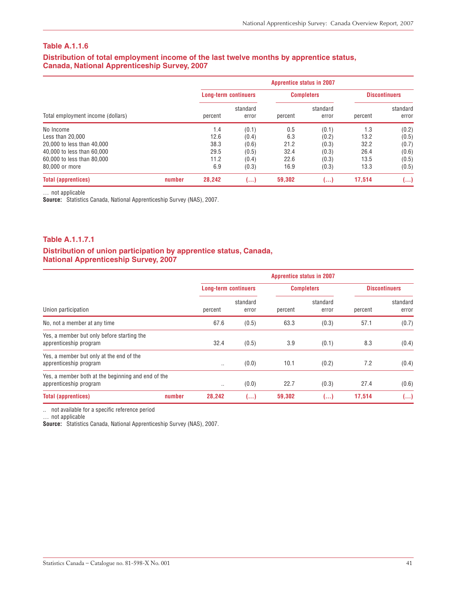#### **Distribution of total employment income of the last twelve months by apprentice status, Canada, National Apprenticeship Survey, 2007**

|                                   |        | <b>Apprentice status in 2007</b> |                             |         |                   |                      |                   |  |  |  |  |
|-----------------------------------|--------|----------------------------------|-----------------------------|---------|-------------------|----------------------|-------------------|--|--|--|--|
|                                   |        |                                  | <b>Long-term continuers</b> |         | <b>Completers</b> | <b>Discontinuers</b> |                   |  |  |  |  |
| Total employment income (dollars) |        | percent                          | standard<br>error           | percent | standard<br>error | percent              | standard<br>error |  |  |  |  |
| No Income                         |        | 1.4                              | (0.1)                       | 0.5     | (0.1)             | 1.3                  | (0.2)             |  |  |  |  |
| Less than 20,000                  |        | 12.6                             | (0.4)                       | 6.3     | (0.2)             | 13.2                 | (0.5)             |  |  |  |  |
| 20,000 to less than 40,000        |        | 38.3                             | (0.6)                       | 21.2    | (0.3)             | 32.2                 | (0.7)             |  |  |  |  |
| 40,000 to less than 60,000        |        | 29.5                             | (0.5)                       | 32.4    | (0.3)             | 26.4                 | (0.6)             |  |  |  |  |
| 60,000 to less than 80,000        |        | 11.2                             | (0.4)                       | 22.6    | (0.3)             | 13.5                 | (0.5)             |  |  |  |  |
| 80,000 or more                    |        | 6.9                              | (0.3)                       | 16.9    | (0.3)             | 13.3                 | (0.5)             |  |  |  |  |
| <b>Total (apprentices)</b>        | number | 28.242                           | ()                          | 59.302  | ()                | 17.514               | ()                |  |  |  |  |

… not applicable

**Source:** Statistics Canada, National Apprenticeship Survey (NAS), 2007.

#### **Table A.1.1.7.1**

#### **Distribution of union participation by apprentice status, Canada, National Apprenticeship Survey, 2007**

|                                                                              | <b>Apprentice status in 2007</b> |                             |         |                   |         |                      |  |  |  |
|------------------------------------------------------------------------------|----------------------------------|-----------------------------|---------|-------------------|---------|----------------------|--|--|--|
|                                                                              |                                  | <b>Long-term continuers</b> |         | <b>Completers</b> |         | <b>Discontinuers</b> |  |  |  |
| Union participation                                                          | percent                          | standard<br>error           | percent | standard<br>error | percent | standard<br>error    |  |  |  |
| No, not a member at any time                                                 | 67.6                             | (0.5)                       | 63.3    | (0.3)             | 57.1    | (0.7)                |  |  |  |
| Yes, a member but only before starting the<br>apprenticeship program         | 32.4                             | (0.5)                       | 3.9     | (0.1)             | 8.3     | (0.4)                |  |  |  |
| Yes, a member but only at the end of the<br>apprenticeship program           | $\cdot$ .                        | (0.0)                       | 10.1    | (0.2)             | 7.2     | (0.4)                |  |  |  |
| Yes, a member both at the beginning and end of the<br>apprenticeship program | $\cdot$ .                        | (0.0)                       | 22.7    | (0.3)             | 27.4    | (0.6)                |  |  |  |
| <b>Total (apprentices)</b><br>number                                         | 28,242                           | ()                          | 59,302  | ()                | 17,514  | ()                   |  |  |  |

.. not available for a specific reference period

… not applicable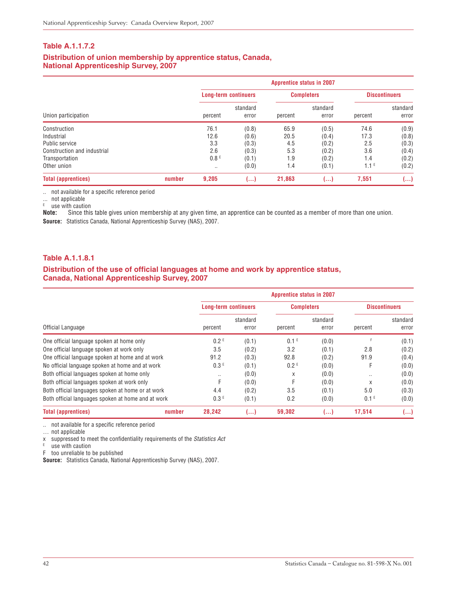#### **Distribution of union membership by apprentice status, Canada, National Apprenticeship Survey, 2007**

|                                                              |        | <b>Apprentice status in 2007</b> |                         |                     |                         |                                |                         |  |  |  |  |
|--------------------------------------------------------------|--------|----------------------------------|-------------------------|---------------------|-------------------------|--------------------------------|-------------------------|--|--|--|--|
|                                                              |        | <b>Long-term continuers</b>      |                         | <b>Completers</b>   |                         | <b>Discontinuers</b>           |                         |  |  |  |  |
| Union participation                                          |        | percent                          | standard<br>error       | percent             | standard<br>error       | percent                        | standard<br>error       |  |  |  |  |
| Construction<br>Industrial<br>Public service                 |        | 76.1<br>12.6<br>3.3              | (0.8)<br>(0.6)<br>(0.3) | 65.9<br>20.5<br>4.5 | (0.5)<br>(0.4)<br>(0.2) | 74.6<br>17.3<br>2.5            | (0.9)<br>(0.8)<br>(0.3) |  |  |  |  |
| Construction and industrial<br>Transportation<br>Other union |        | 2.6<br>0.8 <sup>E</sup><br>      | (0.3)<br>(0.1)<br>(0.0) | 5.3<br>1.9<br>1.4   | (0.2)<br>(0.2)<br>(0.1) | 3.6<br>1.4<br>1.1 <sup>E</sup> | (0.4)<br>(0.2)<br>(0.2) |  |  |  |  |
| <b>Total (apprentices)</b>                                   | number | 9,205                            | ()                      | 21,863              | ()                      | 7,551                          | (…)                     |  |  |  |  |

.. not available for a specific reference period

... not applicable

<sup>E</sup> use with caution

**Note:** Since this table gives union membership at any given time, an apprentice can be counted as a member of more than one union. **Source:** Statistics Canada, National Apprenticeship Survey (NAS), 2007.

#### **Table A.1.1.8.1**

#### **Distribution of the use of official languages at home and work by apprentice status, Canada, National Apprenticeship Survey, 2007**

|                                                    | <b>Apprentice status in 2007</b> |                   |                   |                   |                      |                   |  |  |  |  |
|----------------------------------------------------|----------------------------------|-------------------|-------------------|-------------------|----------------------|-------------------|--|--|--|--|
|                                                    | <b>Long-term continuers</b>      |                   | <b>Completers</b> |                   | <b>Discontinuers</b> |                   |  |  |  |  |
| Official Language                                  | percent                          | standard<br>error | percent           | standard<br>error | percent              | standard<br>error |  |  |  |  |
| One official language spoken at home only          | 0.2 <sup>E</sup>                 | (0.1)             | 0.1 <sup>E</sup>  | (0.0)             | F                    | (0.1)             |  |  |  |  |
| One official language spoken at work only          | 3.5                              | (0.2)             | 3.2               | (0.1)             | 2.8                  | (0.2)             |  |  |  |  |
| One official language spoken at home and at work   | 91.2                             | (0.3)             | 92.8              | (0.2)             | 91.9                 | (0.4)             |  |  |  |  |
| No official language spoken at home and at work    | 0.3E                             | (0.1)             | 0.2 <sup>E</sup>  | (0.0)             |                      | (0.0)             |  |  |  |  |
| Both official languages spoken at home only        | $\cdot$ .                        | (0.0)             | X                 | (0.0)             | $\cdot$ .            | (0.0)             |  |  |  |  |
| Both official languages spoken at work only        | F                                | (0.0)             | F                 | (0.0)             | X                    | (0.0)             |  |  |  |  |
| Both official languages spoken at home or at work  | 4.4                              | (0.2)             | 3.5               | (0.1)             | 5.0                  | (0.3)             |  |  |  |  |
| Both official languages spoken at home and at work | 0.3E                             | (0.1)             | 0.2               | (0.0)             | 0.1 <sup>E</sup>     | (0.0)             |  |  |  |  |
| <b>Total (apprentices)</b><br>number               | 28,242                           | $($ )             | 59,302            | ()                | 17,514               | ()                |  |  |  |  |

.. not available for a specific reference period

… not applicable

x suppressed to meet the confidentiality requirements of the Statistics Act

 $E$  use with caution

F too unreliable to be published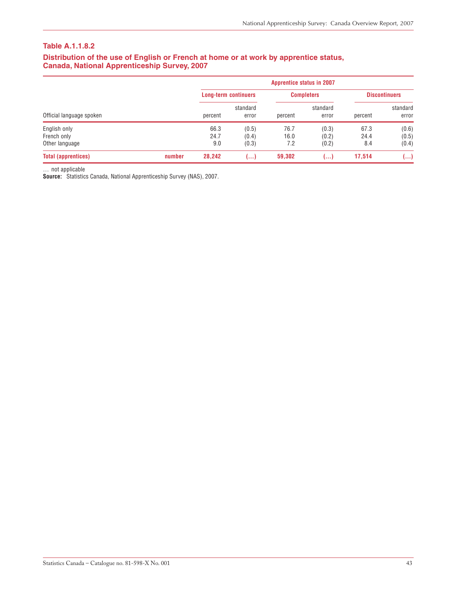#### **Distribution of the use of English or French at home or at work by apprentice status, Canada, National Apprenticeship Survey, 2007**

|                            |        | <b>Apprentice status in 2007</b> |                   |         |                   |                      |                   |  |  |  |
|----------------------------|--------|----------------------------------|-------------------|---------|-------------------|----------------------|-------------------|--|--|--|
|                            |        | <b>Long-term continuers</b>      |                   |         | <b>Completers</b> | <b>Discontinuers</b> |                   |  |  |  |
| Official language spoken   |        | percent                          | standard<br>error | percent | standard<br>error | percent              | standard<br>error |  |  |  |
| English only               |        | 66.3                             | (0.5)             | 76.7    | (0.3)             | 67.3                 | (0.6)             |  |  |  |
| French only                |        | 24.7                             | (0.4)             | 16.0    | (0.2)             | 24.4                 | (0.5)             |  |  |  |
| Other language             |        | 9.0                              | (0.3)             | 7.2     | (0.2)             | 8.4                  | (0.4)             |  |  |  |
| <b>Total (apprentices)</b> | number | 28,242                           | المعما            | 59,302  | ()                | 17,514               | ()                |  |  |  |

… not applicable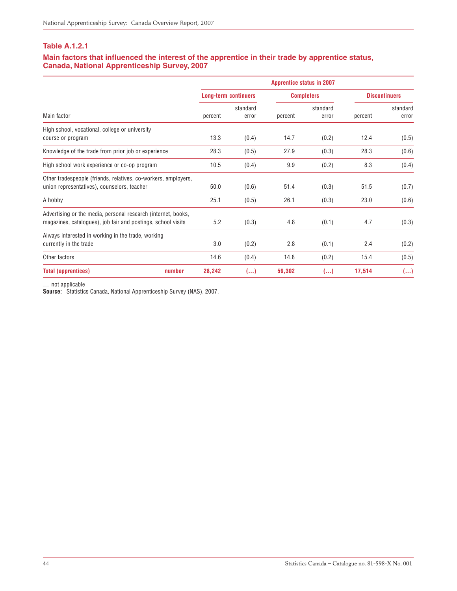#### **Main factors that influenced the interest of the apprentice in their trade by apprentice status, Canada, National Apprenticeship Survey, 2007**

|                                                                                                                               |         |                             |         | <b>Apprentice status in 2007</b> |         |                      |
|-------------------------------------------------------------------------------------------------------------------------------|---------|-----------------------------|---------|----------------------------------|---------|----------------------|
|                                                                                                                               |         | <b>Long-term continuers</b> |         | <b>Completers</b>                |         | <b>Discontinuers</b> |
| Main factor                                                                                                                   | percent | standard<br>error           | percent | standard<br>error                | percent | standard<br>error    |
| High school, vocational, college or university<br>course or program                                                           | 13.3    | (0.4)                       | 14.7    | (0.2)                            | 12.4    | (0.5)                |
| Knowledge of the trade from prior job or experience                                                                           | 28.3    | (0.5)                       | 27.9    | (0.3)                            | 28.3    | (0.6)                |
| High school work experience or co-op program                                                                                  | 10.5    | (0.4)                       | 9.9     | (0.2)                            | 8.3     | (0.4)                |
| Other tradespeople (friends, relatives, co-workers, employers,<br>union representatives), counselors, teacher                 | 50.0    | (0.6)                       | 51.4    | (0.3)                            | 51.5    | (0.7)                |
| A hobby                                                                                                                       | 25.1    | (0.5)                       | 26.1    | (0.3)                            | 23.0    | (0.6)                |
| Advertising or the media, personal research (internet, books,<br>magazines, catalogues), job fair and postings, school visits | 5.2     | (0.3)                       | 4.8     | (0.1)                            | 4.7     | (0.3)                |
| Always interested in working in the trade, working<br>currently in the trade                                                  | 3.0     | (0.2)                       | 2.8     | (0.1)                            | 2.4     | (0.2)                |
| Other factors                                                                                                                 | 14.6    | (0.4)                       | 14.8    | (0.2)                            | 15.4    | (0.5)                |
| <b>Total (apprentices)</b><br>number                                                                                          | 28,242  | ()                          | 59,302  | ()                               | 17,514  | ()                   |

… not applicable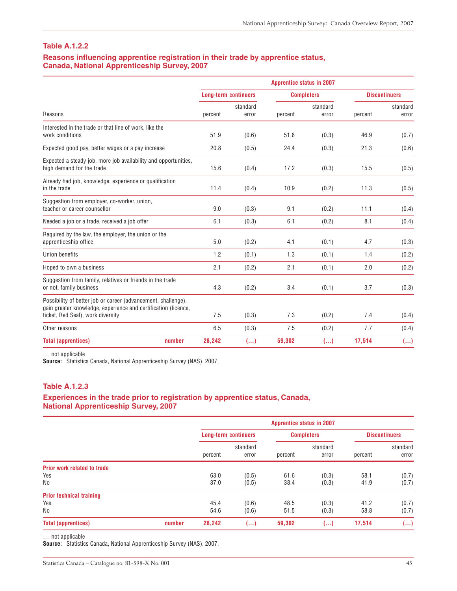#### **Reasons influencing apprentice registration in their trade by apprentice status, Canada, National Apprenticeship Survey, 2007**

|                                                                                                                                 |                             |                   | <b>Apprentice status in 2007</b> |                   |         |                      |
|---------------------------------------------------------------------------------------------------------------------------------|-----------------------------|-------------------|----------------------------------|-------------------|---------|----------------------|
|                                                                                                                                 | <b>Long-term continuers</b> |                   | <b>Completers</b>                |                   |         | <b>Discontinuers</b> |
| Reasons                                                                                                                         | percent                     | standard<br>error | percent                          | standard<br>error | percent | standard<br>error    |
| Interested in the trade or that line of work, like the<br>work conditions                                                       | 51.9                        | (0.6)             | 51.8                             | (0.3)             | 46.9    | (0.7)                |
| Expected good pay, better wages or a pay increase                                                                               | 20.8                        | (0.5)             | 24.4                             | (0.3)             | 21.3    | (0.6)                |
| Expected a steady job, more job availability and opportunities,<br>high demand for the trade                                    | 15.6                        | (0.4)             | 17.2                             | (0.3)             | 15.5    | (0.5)                |
| Already had job, knowledge, experience or qualification<br>in the trade                                                         | 11.4                        | (0.4)             | 10.9                             | (0.2)             | 11.3    | (0.5)                |
| Suggestion from employer, co-worker, union,<br>teacher or career counsellor                                                     | 9.0                         | (0.3)             | 9.1                              | (0.2)             | 11.1    | (0.4)                |
| Needed a job or a trade, received a job offer                                                                                   | 6.1                         | (0.3)             | 6.1                              | (0.2)             | 8.1     | (0.4)                |
| Required by the law, the employer, the union or the<br>apprenticeship office                                                    | 5.0                         | (0.2)             | 4.1                              | (0.1)             | 4.7     | (0.3)                |
| Union benefits                                                                                                                  | 1.2                         | (0.1)             | 1.3                              | (0.1)             | 1.4     | (0.2)                |
| Hoped to own a business                                                                                                         | 2.1                         | (0.2)             | 2.1                              | (0.1)             | 2.0     | (0.2)                |
| Suggestion from family, relatives or friends in the trade<br>or not, family business                                            | 4.3                         | (0.2)             | 3.4                              | (0.1)             | 3.7     | (0.3)                |
| Possibility of better job or career (advancement, challenge),<br>gain greater knowledge, experience and certification (licence, |                             |                   |                                  |                   |         |                      |
| ticket, Red Seal), work diversity                                                                                               | 7.5                         | (0.3)             | 7.3                              | (0.2)             | 7.4     | (0.4)                |
| Other reasons                                                                                                                   | 6.5                         | (0.3)             | 7.5                              | (0.2)             | 7.7     | (0.4)                |
| <b>Total (apprentices)</b><br>number                                                                                            | 28,242                      | ()                | 59,302                           | ()                | 17,514  | ()                   |

… not applicable

Source: Statistics Canada, National Apprenticeship Survey (NAS), 2007.

#### **Table A.1.2.3**

#### **Experiences in the trade prior to registration by apprentice status, Canada, National Apprenticeship Survey, 2007**

|                                    |        | <b>Apprentice status in 2007</b> |          |                   |          |                      |          |  |  |
|------------------------------------|--------|----------------------------------|----------|-------------------|----------|----------------------|----------|--|--|
|                                    |        | <b>Long-term continuers</b>      |          | <b>Completers</b> |          | <b>Discontinuers</b> |          |  |  |
|                                    |        |                                  | standard |                   | standard |                      | standard |  |  |
|                                    |        | percent                          | error    | percent           | error    | percent              | error    |  |  |
| <b>Prior work related to trade</b> |        |                                  |          |                   |          |                      |          |  |  |
| Yes                                |        | 63.0                             | (0.5)    | 61.6              | (0.3)    | 58.1                 | (0.7)    |  |  |
| No                                 |        | 37.0                             | (0.5)    | 38.4              | (0.3)    | 41.9                 | (0.7)    |  |  |
| <b>Prior technical training</b>    |        |                                  |          |                   |          |                      |          |  |  |
| Yes                                |        | 45.4                             | (0.6)    | 48.5              | (0.3)    | 41.2                 | (0.7)    |  |  |
| No                                 |        | 54.6                             | (0.6)    | 51.5              | (0.3)    | 58.8                 | (0.7)    |  |  |
| <b>Total (apprentices)</b>         | number | 28,242                           | ()       | 59,302            | ()       | 17.514               | ()       |  |  |

… not applicable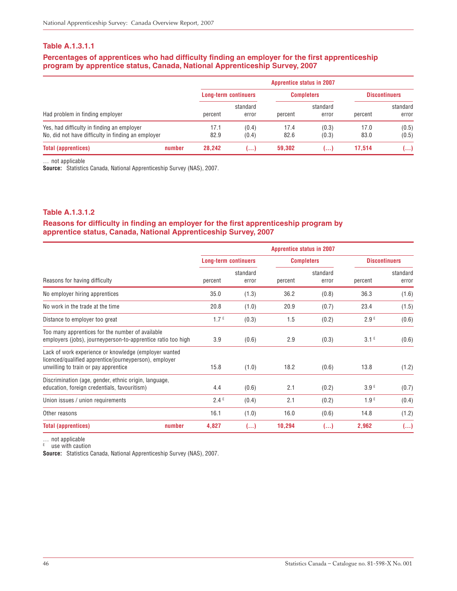#### **Percentages of apprentices who had difficulty finding an employer for the first apprenticeship program by apprentice status, Canada, National Apprenticeship Survey, 2007**

|                                                    |        | <b>Apprentice status in 2007</b> |                             |         |                   |         |                      |  |
|----------------------------------------------------|--------|----------------------------------|-----------------------------|---------|-------------------|---------|----------------------|--|
|                                                    |        |                                  | <b>Long-term continuers</b> |         | <b>Completers</b> |         | <b>Discontinuers</b> |  |
| Had problem in finding employer                    |        | percent                          | standard<br>error           | percent | standard<br>error | percent | standard<br>error    |  |
| Yes, had difficulty in finding an employer         |        | 17.1                             | (0.4)                       | 17.4    | (0.3)             | 17.0    | (0.5)                |  |
| No, did not have difficulty in finding an employer |        | 82.9                             | (0.4)                       | 82.6    | (0.3)             | 83.0    | (0.5)                |  |
| <b>Total (apprentices)</b>                         | number | 28.242                           | المعا                       | 59,302  | ا ۱۰۰۰            | 17.514  | ()                   |  |

… not applicable

Source: Statistics Canada, National Apprenticeship Survey (NAS), 2007.

#### **Table A.1.3.1.2**

#### **Reasons for difficulty in finding an employer for the first apprenticeship program by apprentice status, Canada, National Apprenticeship Survey, 2007**

|                                                                                                                                                         |                             |                   | <b>Apprentice status in 2007</b> |                   |                  |                      |
|---------------------------------------------------------------------------------------------------------------------------------------------------------|-----------------------------|-------------------|----------------------------------|-------------------|------------------|----------------------|
|                                                                                                                                                         | <b>Long-term continuers</b> |                   | <b>Completers</b>                |                   |                  | <b>Discontinuers</b> |
| Reasons for having difficulty                                                                                                                           | percent                     | standard<br>error | percent                          | standard<br>error | percent          | standard<br>error    |
| No employer hiring apprentices                                                                                                                          | 35.0                        | (1.3)             | 36.2                             | (0.8)             | 36.3             | (1.6)                |
| No work in the trade at the time                                                                                                                        | 20.8                        | (1.0)             | 20.9                             | (0.7)             | 23.4             | (1.5)                |
| Distance to employer too great                                                                                                                          | 1.7 <sup>E</sup>            | (0.3)             | 1.5                              | (0.2)             | 2.9E             | (0.6)                |
| Too many apprentices for the number of available<br>employers (jobs), journeyperson-to-apprentice ratio too high                                        | 3.9                         | (0.6)             | 2.9                              | (0.3)             | 3.1 <sup>E</sup> | (0.6)                |
| Lack of work experience or knowledge (employer wanted<br>licenced/qualified apprentice/journeyperson), employer<br>unwilling to train or pay apprentice | 15.8                        | (1.0)             | 18.2                             | (0.6)             | 13.8             | (1.2)                |
| Discrimination (age, gender, ethnic origin, language,<br>education, foreign credentials, favouritism)                                                   | 4.4                         | (0.6)             | 2.1                              | (0.2)             | 3.9 <sup>E</sup> | (0.7)                |
| Union issues / union requirements                                                                                                                       | 2.4E                        | (0.4)             | 2.1                              | (0.2)             | 1.9E             | (0.4)                |
| Other reasons                                                                                                                                           | 16.1                        | (1.0)             | 16.0                             | (0.6)             | 14.8             | (1.2)                |
| <b>Total (apprentices)</b><br>number                                                                                                                    | 4,827                       | ()                | 10,294                           | ()                | 2,962            | ()                   |

… not applicable

 $E$  use with caution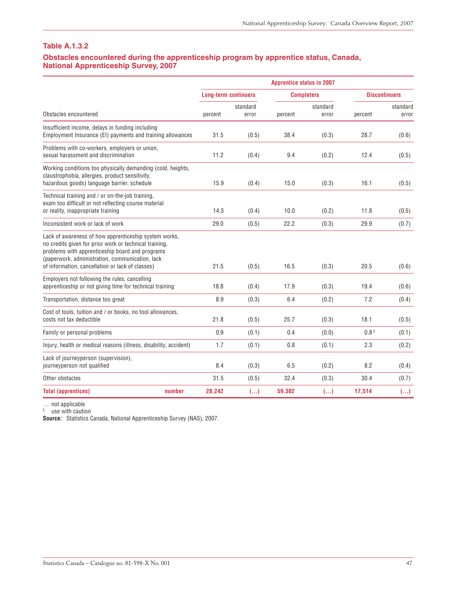#### **Obstacles encountered during the apprenticeship program by apprentice status, Canada, National Apprenticeship Survey, 2007**

|                                                                                                                                                                                                                                                                           |                             |                   | <b>Apprentice status in 2007</b> |                   |                  |                         |
|---------------------------------------------------------------------------------------------------------------------------------------------------------------------------------------------------------------------------------------------------------------------------|-----------------------------|-------------------|----------------------------------|-------------------|------------------|-------------------------|
|                                                                                                                                                                                                                                                                           | <b>Long-term continuers</b> |                   |                                  | <b>Completers</b> |                  | <b>Discontinuers</b>    |
| Obstacles encountered                                                                                                                                                                                                                                                     | percent                     | standard<br>error | percent                          | standard<br>error | percent          | standard<br>error       |
| Insufficient income, delays in funding including<br>Employment Insurance (EI) payments and training allowances                                                                                                                                                            | 31.5                        | (0.5)             | 38.4                             | (0.3)             | 28.7             | (0.6)                   |
| Problems with co-workers, employers or union,<br>sexual harassment and discrimination                                                                                                                                                                                     | 11.2                        | (0.4)             | 9.4                              | (0.2)             | 12.4             | (0.5)                   |
| Working conditions too physically demanding (cold, heights,<br>claustrophobia, allergies, product sensitivity,<br>hazardous goods) language barrier, schedule                                                                                                             | 15.9                        | (0.4)             | 15.0                             | (0.3)             | 16.1             | (0.5)                   |
| Technical training and / or on-the-job training,<br>exam too difficult or not reflecting course material<br>or reality, inappropriate training                                                                                                                            | 14.3                        | (0.4)             | 10.0                             | (0.2)             | 11.8             | (0.5)                   |
| Inconsistent work or lack of work                                                                                                                                                                                                                                         | 29.0                        | (0.5)             | 22.2                             | (0.3)             | 29.9             | (0.7)                   |
| Lack of awareness of how apprenticeship system works,<br>no credits given for prior work or technical training.<br>problems with apprenticeship board and programs<br>(paperwork, administration, communication, lack<br>of information, cancellation or lack of classes) | 21.5                        | (0.5)             | 16.5                             | (0.3)             | 20.5             | (0.6)                   |
| Employers not following the rules, cancelling<br>apprenticeship or not giving time for technical training                                                                                                                                                                 | 18.8                        | (0.4)             | 17.9                             | (0.3)             | 19.4             | (0.6)                   |
| Transportation, distance too great                                                                                                                                                                                                                                        | 8.9                         | (0.3)             | 6.4                              | (0.2)             | 7.2              | (0.4)                   |
| Cost of tools, tuition and / or books, no tool allowances,<br>costs not tax deductible                                                                                                                                                                                    | 21.8                        | (0.5)             | 25.7                             | (0.3)             | 18.1             | (0.5)                   |
| Family or personal problems                                                                                                                                                                                                                                               | 0.9                         | (0.1)             | 0.4                              | (0.0)             | 0.8 <sup>E</sup> | (0.1)                   |
| Injury, health or medical reasons (illness, disability, accident)                                                                                                                                                                                                         | 1.7                         | (0.1)             | 0.8                              | (0.1)             | 2.3              | (0.2)                   |
| Lack of journeyperson (supervision),<br>journeyperson not qualified                                                                                                                                                                                                       | 8.4                         | (0.3)             | 6.5                              | (0.2)             | 8.2              | (0.4)                   |
| Other obstacles                                                                                                                                                                                                                                                           | 31.5                        | (0.5)             | 32.4                             | (0.3)             | 30.4             | (0.7)                   |
| number<br><b>Total (apprentices)</b>                                                                                                                                                                                                                                      | 28,242                      | ()                | 59,302                           | $(\ldots)$        | 17,514           | $\left( \ldots \right)$ |

… not applicable

<sup>E</sup> use with caution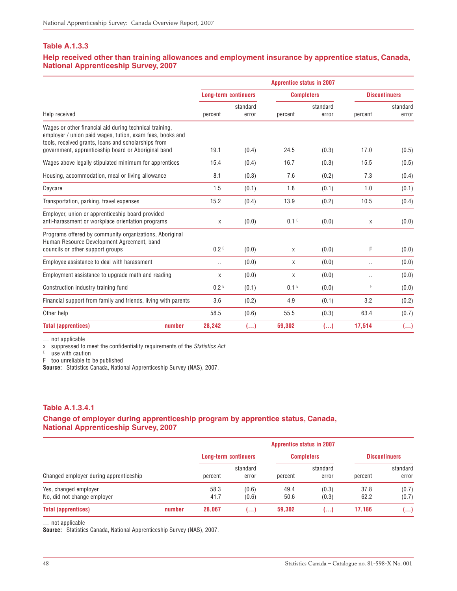#### **Help received other than training allowances and employment insurance by apprentice status, Canada, National Apprenticeship Survey, 2007**

|                                                                                                                                                                                                                                    |                             |                   | <b>Apprentice status in 2007</b> |                   |           |                      |
|------------------------------------------------------------------------------------------------------------------------------------------------------------------------------------------------------------------------------------|-----------------------------|-------------------|----------------------------------|-------------------|-----------|----------------------|
|                                                                                                                                                                                                                                    | <b>Long-term continuers</b> |                   | <b>Completers</b>                |                   |           | <b>Discontinuers</b> |
| Help received                                                                                                                                                                                                                      | percent                     | standard<br>error | percent                          | standard<br>error | percent   | standard<br>error    |
| Wages or other financial aid during technical training,<br>employer / union paid wages, tution, exam fees, books and<br>tools, received grants, loans and scholarships from<br>government, apprenticeship board or Aboriginal band | 19.1                        | (0.4)             | 24.5                             | (0.3)             | 17.0      | (0.5)                |
| Wages above legally stipulated minimum for apprentices                                                                                                                                                                             | 15.4                        | (0.4)             | 16.7                             | (0.3)             | 15.5      | (0.5)                |
|                                                                                                                                                                                                                                    |                             |                   |                                  |                   |           |                      |
| Housing, accommodation, meal or living allowance                                                                                                                                                                                   | 8.1                         | (0.3)             | 7.6                              | (0.2)             | 7.3       | (0.4)                |
| Daycare                                                                                                                                                                                                                            | 1.5                         | (0.1)             | 1.8                              | (0.1)             | 1.0       | (0.1)                |
| Transportation, parking, travel expenses                                                                                                                                                                                           | 15.2                        | (0.4)             | 13.9                             | (0.2)             | 10.5      | (0.4)                |
| Employer, union or apprenticeship board provided<br>anti-harassment or workplace orientation programs                                                                                                                              | X                           | (0.0)             | 0.1 <sup>E</sup>                 | (0.0)             | X         | (0.0)                |
| Programs offered by community organizations, Aboriginal<br>Human Resource Development Agreement, band<br>councils or other support groups                                                                                          | 0.2 <sup>E</sup>            | (0.0)             | X                                | (0.0)             | F         | (0.0)                |
| Employee assistance to deal with harassment                                                                                                                                                                                        |                             | (0.0)             | X                                | (0.0)             |           | (0.0)                |
| Employment assistance to upgrade math and reading                                                                                                                                                                                  | X                           | (0.0)             | X                                | (0.0)             | $\ddotsc$ | (0.0)                |
| Construction industry training fund                                                                                                                                                                                                | 0.2 <sup>E</sup>            | (0.1)             | 0.1 <sup>E</sup>                 | (0.0)             | F         | (0.0)                |
| Financial support from family and friends, living with parents                                                                                                                                                                     | 3.6                         | (0.2)             | 4.9                              | (0.1)             | 3.2       | (0.2)                |
| Other help                                                                                                                                                                                                                         | 58.5                        | (0.6)             | 55.5                             | (0.3)             | 63.4      | (0.7)                |
| <b>Total (apprentices)</b><br>number                                                                                                                                                                                               | 28,242                      | ()                | 59,302                           | ()                | 17,514    | ()                   |

… not applicable

x suppressed to meet the confidentiality requirements of the Statistics Act

 $E$  use with caution

F too unreliable to be published

**Source:** Statistics Canada, National Apprenticeship Survey (NAS), 2007.

#### **Table A.1.3.4.1**

#### **Change of employer during apprenticeship program by apprentice status, Canada, National Apprenticeship Survey, 2007**

|                                                      |        | <b>Apprentice status in 2007</b> |                             |              |                   |              |                      |  |  |
|------------------------------------------------------|--------|----------------------------------|-----------------------------|--------------|-------------------|--------------|----------------------|--|--|
|                                                      |        |                                  | <b>Long-term continuers</b> |              | <b>Completers</b> |              | <b>Discontinuers</b> |  |  |
| Changed employer during apprenticeship               |        | percent                          | standard<br>error           | percent      | standard<br>error | percent      | standard<br>error    |  |  |
| Yes, changed employer<br>No, did not change employer |        | 58.3<br>41.7                     | (0.6)<br>(0.6)              | 49.4<br>50.6 | (0.3)<br>(0.3)    | 37.8<br>62.2 | (0.7)<br>(0.7)       |  |  |
| <b>Total (apprentices)</b>                           | number | 28,067                           | ( )                         | 59,302       | ا ۱۰۰۰            | 17,186       | ()                   |  |  |

… not applicable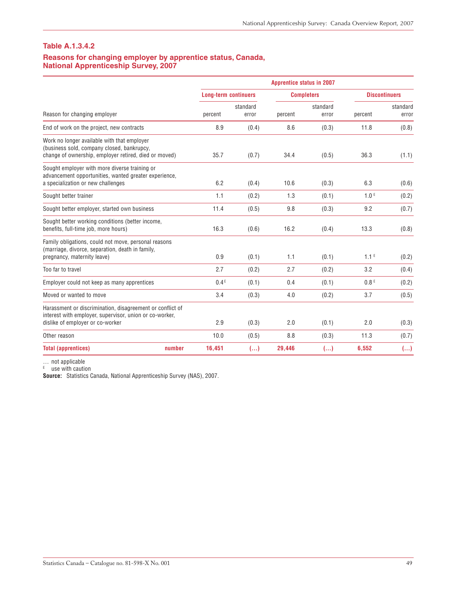#### **Table A.1.3.4.2**

#### **Reasons for changing employer by apprentice status, Canada, National Apprenticeship Survey, 2007**

|                                                                                                                                                          |        |                             |                   | <b>Apprentice status in 2007</b> |                   |                  |                      |
|----------------------------------------------------------------------------------------------------------------------------------------------------------|--------|-----------------------------|-------------------|----------------------------------|-------------------|------------------|----------------------|
|                                                                                                                                                          |        | <b>Long-term continuers</b> |                   | <b>Completers</b>                |                   |                  | <b>Discontinuers</b> |
| Reason for changing employer                                                                                                                             |        | percent                     | standard<br>error | percent                          | standard<br>error | percent          | standard<br>error    |
| End of work on the project, new contracts                                                                                                                |        | 8.9                         | (0.4)             | 8.6                              | (0.3)             | 11.8             | (0.8)                |
| Work no longer available with that employer<br>(business sold, company closed, bankrupcy,<br>change of ownership, employer retired, died or moved)       |        | 35.7                        | (0.7)             | 34.4                             | (0.5)             | 36.3             | (1.1)                |
| Sought employer with more diverse training or<br>advancement opportunities, wanted greater experience,<br>a specialization or new challenges             |        | 6.2                         | (0.4)             | 10.6                             | (0.3)             | 6.3              | (0.6)                |
| Sought better trainer                                                                                                                                    |        | 1.1                         | (0.2)             | 1.3                              | (0.1)             | 1.0 <sup>E</sup> | (0.2)                |
| Sought better employer, started own business                                                                                                             |        | 11.4                        | (0.5)             | 9.8                              | (0.3)             | 9.2              | (0.7)                |
| Sought better working conditions (better income,<br>benefits, full-time job, more hours)                                                                 |        | 16.3                        | (0.6)             | 16.2                             | (0.4)             | 13.3             | (0.8)                |
| Family obligations, could not move, personal reasons<br>(marriage, divorce, separation, death in family,<br>pregnancy, maternity leave)                  |        | 0.9                         | (0.1)             | 1.1                              | (0.1)             | 1.1 <sup>E</sup> | (0.2)                |
| Too far to travel                                                                                                                                        |        | 2.7                         | (0.2)             | 2.7                              | (0.2)             | 3.2              | (0.4)                |
| Employer could not keep as many apprentices                                                                                                              |        | 0.4E                        | (0.1)             | 0.4                              | (0.1)             | 0.8 <sup>E</sup> | (0.2)                |
| Moved or wanted to move                                                                                                                                  |        | 3.4                         | (0.3)             | 4.0                              | (0.2)             | 3.7              | (0.5)                |
| Harassment or discrimination, disagreement or conflict of<br>interest with employer, supervisor, union or co-worker,<br>dislike of employer or co-worker |        | 2.9                         | (0.3)             | 2.0                              | (0.1)             | 2.0              | (0.3)                |
| Other reason                                                                                                                                             |        | 10.0                        | (0.5)             | 8.8                              | (0.3)             | 11.3             | (0.7)                |
| <b>Total (apprentices)</b>                                                                                                                               | number | 16,451                      | ()                | 29,446                           | ()                | 6,552            | $(\ldots)$           |

… not applicable

<sup>E</sup> use with caution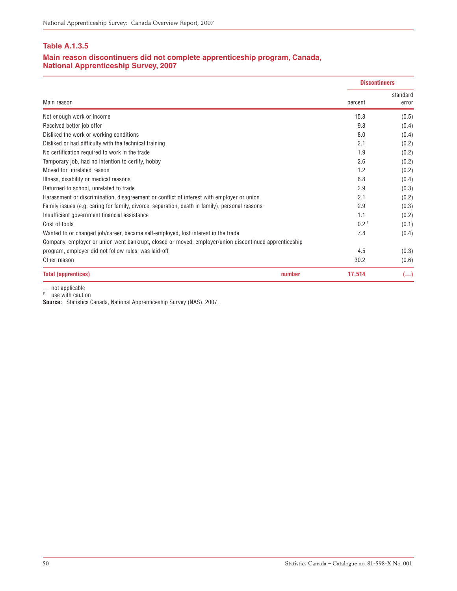#### **Main reason discontinuers did not complete apprenticeship program, Canada, National Apprenticeship Survey, 2007**

|                                                                                                       |        | <b>Discontinuers</b> |                   |
|-------------------------------------------------------------------------------------------------------|--------|----------------------|-------------------|
| Main reason                                                                                           |        | percent              | standard<br>error |
| Not enough work or income                                                                             |        | 15.8                 | (0.5)             |
| Received better job offer                                                                             |        | 9.8                  | (0.4)             |
| Disliked the work or working conditions                                                               |        | 8.0                  | (0.4)             |
| Disliked or had difficulty with the technical training                                                |        | 2.1                  | (0.2)             |
| No certification required to work in the trade                                                        |        | 1.9                  | (0.2)             |
| Temporary job, had no intention to certify, hobby                                                     |        | 2.6                  | (0.2)             |
| Moved for unrelated reason                                                                            |        | 1.2                  | (0.2)             |
| Illness, disability or medical reasons                                                                |        | 6.8                  | (0.4)             |
| Returned to school, unrelated to trade                                                                |        | 2.9                  | (0.3)             |
| Harassment or discrimination, disagreement or conflict of interest with employer or union             |        | 2.1                  | (0.2)             |
| Family issues (e.g. caring for family, divorce, separation, death in family), personal reasons        |        | 2.9                  | (0.3)             |
| Insufficient government financial assistance                                                          |        | 1.1                  | (0.2)             |
| Cost of tools                                                                                         |        | 0.2 <sup>E</sup>     | (0.1)             |
| Wanted to or changed job/career, became self-employed, lost interest in the trade                     |        | 7.8                  | (0.4)             |
| Company, employer or union went bankrupt, closed or moved; employer/union discontinued apprenticeship |        |                      |                   |
| program, employer did not follow rules, was laid-off                                                  |        | 4.5                  | (0.3)             |
| Other reason                                                                                          |        | 30.2                 | (0.6)             |
| <b>Total (apprentices)</b>                                                                            | number | 17,514               | ()                |

… not applicable

<sup>E</sup> use with caution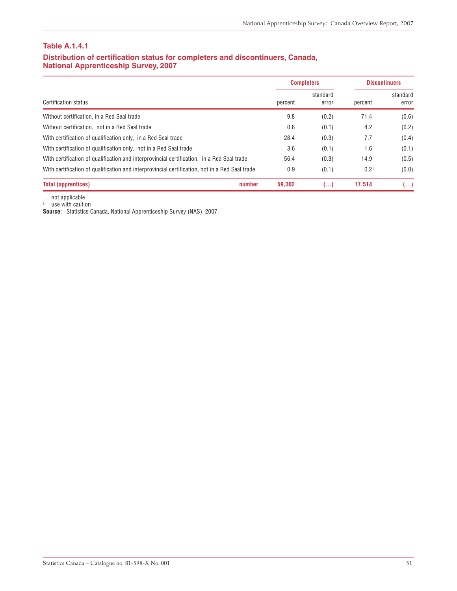#### **Distribution of certification status for completers and discontinuers, Canada, National Apprenticeship Survey, 2007**

|                                                                                                |         | <b>Completers</b> |                  | <b>Discontinuers</b> |  |
|------------------------------------------------------------------------------------------------|---------|-------------------|------------------|----------------------|--|
| <b>Certification status</b>                                                                    | percent | standard<br>error | percent          | standard<br>error    |  |
| Without certification, in a Red Seal trade                                                     | 9.8     | (0.2)             | 71.4             | (0.6)                |  |
| Without certification, not in a Red Seal trade                                                 | 0.8     | (0.1)             | 4.2              | (0.2)                |  |
| With certification of qualification only, in a Red Seal trade                                  | 28.4    | (0.3)             | 7.7              | (0.4)                |  |
| With certification of qualification only, not in a Red Seal trade                              | 3.6     | (0.1)             | 1.6              | (0.1)                |  |
| With certification of qualification and interprovincial certification, in a Red Seal trade     | 56.4    | (0.3)             | 14.9             | (0.5)                |  |
| With certification of qualification and interprovincial certification, not in a Red Seal trade | 0.9     | (0.1)             | 0.2 <sup>E</sup> | (0.0)                |  |
| <b>Total (apprentices)</b><br>number                                                           | 59.302  | ()                | 17.514           | ()                   |  |

… not applicable

<sup>E</sup> use with caution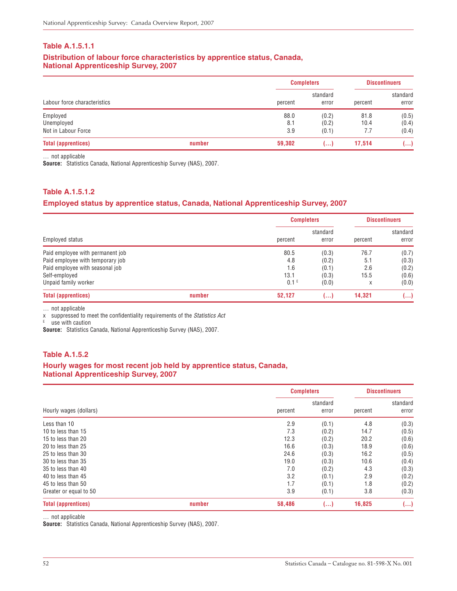#### **Distribution of labour force characteristics by apprentice status, Canada, National Apprenticeship Survey, 2007**

|                              |        |         | <b>Completers</b> |         | <b>Discontinuers</b> |  |
|------------------------------|--------|---------|-------------------|---------|----------------------|--|
| Labour force characteristics |        | percent | standard<br>error | percent | standard<br>error    |  |
| Employed                     |        | 88.0    | (0.2)             | 81.8    | (0.5)                |  |
| Unemployed                   |        | 8.1     | (0.2)             | 10.4    | (0.4)                |  |
| Not in Labour Force          |        | 3.9     | (0.1)             | 7.7     | (0.4)                |  |
| <b>Total (apprentices)</b>   | number | 59,302  | ()                | 17.514  | ()                   |  |

… not applicable

**Source:** Statistics Canada, National Apprenticeship Survey (NAS), 2007.

#### **Table A.1.5.1.2**

#### **Employed status by apprentice status, Canada, National Apprenticeship Survey, 2007**

|                                  |        |                  | <b>Completers</b> |         | <b>Discontinuers</b> |  |
|----------------------------------|--------|------------------|-------------------|---------|----------------------|--|
| Employed status                  |        | percent          | standard<br>error | percent | standard<br>error    |  |
| Paid employee with permanent job |        | 80.5             | (0.3)             | 76.7    | (0.7)                |  |
| Paid employee with temporary job |        | 4.8              | (0.2)             | 5.1     | (0.3)                |  |
| Paid employee with seasonal job  |        | 1.6              | (0.1)             | 2.6     | (0.2)                |  |
| Self-employed                    |        | 13.1             | (0.3)             | 15.5    | (0.6)                |  |
| Unpaid family worker             |        | 0.1 <sup>E</sup> | (0.0)             | X       | (0.0)                |  |
| <b>Total (apprentices)</b>       | number | 52,127           | ()                | 14,321  | ()                   |  |

… not applicable

x suppressed to meet the confidentiality requirements of the Statistics Act

<sup>E</sup> use with caution

**Source:** Statistics Canada, National Apprenticeship Survey (NAS), 2007.

#### **Table A.1.5.2**

#### **Hourly wages for most recent job held by apprentice status, Canada, National Apprenticeship Survey, 2007**

|                            |        |         | <b>Completers</b> | <b>Discontinuers</b> |                   |
|----------------------------|--------|---------|-------------------|----------------------|-------------------|
| Hourly wages (dollars)     |        | percent | standard<br>error | percent              | standard<br>error |
| Less than 10               |        | 2.9     | (0.1)             | 4.8                  | (0.3)             |
| 10 to less than 15         |        | 7.3     | (0.2)             | 14.7                 | (0.5)             |
| 15 to less than 20         |        | 12.3    | (0.2)             | 20.2                 | (0.6)             |
| 20 to less than 25         |        | 16.6    | (0.3)             | 18.9                 | (0.6)             |
| 25 to less than 30         |        | 24.6    | (0.3)             | 16.2                 | (0.5)             |
| 30 to less than 35         |        | 19.0    | (0.3)             | 10.6                 | (0.4)             |
| 35 to less than 40         |        | 7.0     | (0.2)             | 4.3                  | (0.3)             |
| 40 to less than 45         |        | 3.2     | (0.1)             | 2.9                  | (0.2)             |
| 45 to less than 50         |        | 1.7     | (0.1)             | 1.8                  | (0.2)             |
| Greater or equal to 50     |        | 3.9     | (0.1)             | 3.8                  | (0.3)             |
| <b>Total (apprentices)</b> | number | 58,486  | ()                | 16,825               | ()                |

… not applicable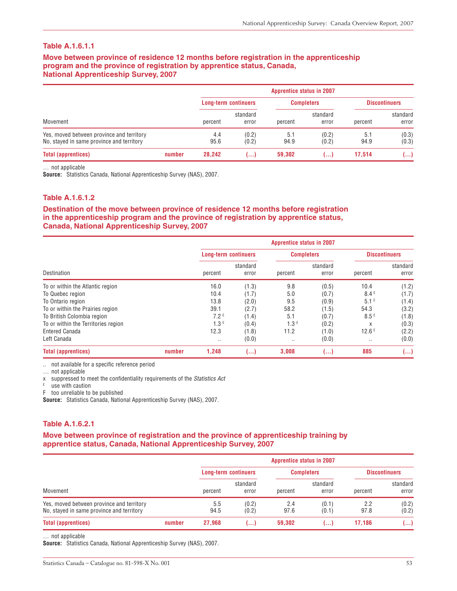**Move between province of residence 12 months before registration in the apprenticeship program and the province of registration by apprentice status, Canada, National Apprenticeship Survey, 2007**

|                                                                                        |        | <b>Apprentice status in 2007</b> |                   |                   |                   |                      |                   |  |  |
|----------------------------------------------------------------------------------------|--------|----------------------------------|-------------------|-------------------|-------------------|----------------------|-------------------|--|--|
|                                                                                        |        | <b>Long-term continuers</b>      |                   | <b>Completers</b> |                   | <b>Discontinuers</b> |                   |  |  |
| Movement                                                                               |        | percent                          | standard<br>error | percent           | standard<br>error | percent              | standard<br>error |  |  |
| Yes, moved between province and territory<br>No, stayed in same province and territory |        | 4.4<br>95.6                      | (0.2)<br>(0.2)    | 5.1<br>94.9       | (0.2)<br>(0.2)    | 5.1<br>94.9          | (0.3)<br>(0.3)    |  |  |
| <b>Total (apprentices)</b>                                                             | number | 28,242                           | المعما            | 59,302            | ا ۱۰۰۰            | 17.514               | ()                |  |  |

… not applicable

**Source:** Statistics Canada, National Apprenticeship Survey (NAS), 2007.

#### **Table A.1.6.1.2**

#### **Destination of the move between province of residence 12 months before registration in the apprenticeship program and the province of registration by apprentice status, Canada, National Apprenticeship Survey, 2007**

|                                     |        | <b>Apprentice status in 2007</b> |                   |                   |                   |                      |                   |  |  |
|-------------------------------------|--------|----------------------------------|-------------------|-------------------|-------------------|----------------------|-------------------|--|--|
|                                     |        | <b>Long-term continuers</b>      |                   | <b>Completers</b> |                   | <b>Discontinuers</b> |                   |  |  |
| Destination                         |        | percent                          | standard<br>error | percent           | standard<br>error | percent              | standard<br>error |  |  |
| To or within the Atlantic region    |        | 16.0                             | (1.3)             | 9.8               | (0.5)             | 10.4                 | (1.2)             |  |  |
| To Quebec region                    |        | 10.4                             | (1.7)             | 5.0               | (0.7)             | 8.4E                 | (1.7)             |  |  |
| To Ontario region                   |        | 13.8                             | (2.0)             | 9.5               | (0.9)             | 5.1 <sup>E</sup>     | (1.4)             |  |  |
| To or within the Prairies region    |        | 39.1                             | (2.7)             | 58.2              | (1.5)             | 54.3                 | (3.2)             |  |  |
| To British Colombia region          |        | 7.2E                             | (1.4)             | 5.1               | (0.7)             | 8.5E                 | (1.8)             |  |  |
| To or within the Territories region |        | 1.3 <sup>E</sup>                 | (0.4)             | 1.3 <sup>E</sup>  | (0.2)             | X                    | (0.3)             |  |  |
| <b>Entered Canada</b>               |        | 12.3                             | (1.8)             | 11.2              | (1.0)             | 12.6E                | (2.2)             |  |  |
| Left Canada                         |        |                                  | (0.0)             | $\cdots$          | (0.0)             | $\cdots$             | (0.0)             |  |  |
| <b>Total (apprentices)</b>          | number | 1,248                            | ()                | 3,008             | ()                | 885                  | ()                |  |  |

.. not available for a specific reference period

… not applicable

x suppressed to meet the confidentiality requirements of the Statistics Act

E use with caution

F too unreliable to be published

**Source:** Statistics Canada, National Apprenticeship Survey (NAS), 2007.

#### **Table A.1.6.2.1**

#### **Move between province of registration and the province of apprenticeship training by apprentice status, Canada, National Apprenticeship Survey, 2007**

|                                                                                        |        | <b>Apprentice status in 2007</b> |                |                              |                |                              |                |  |
|----------------------------------------------------------------------------------------|--------|----------------------------------|----------------|------------------------------|----------------|------------------------------|----------------|--|
|                                                                                        |        | <b>Long-term continuers</b>      |                | <b>Completers</b>            |                | <b>Discontinuers</b>         |                |  |
| Movement                                                                               |        | standard<br>percent<br>error     |                | standard<br>percent<br>error |                | standard<br>percent<br>error |                |  |
| Yes, moved between province and territory<br>No, stayed in same province and territory |        | 5.5<br>94.5                      | (0.2)<br>(0.2) | 2.4<br>97.6                  | (0.1)<br>(0.1) | 2.2<br>97.8                  | (0.2)<br>(0.2) |  |
| <b>Total (apprentices)</b>                                                             | number | 27.968                           | المحما         | 59,302                       | ()             | 17,186                       | ()             |  |

… not applicable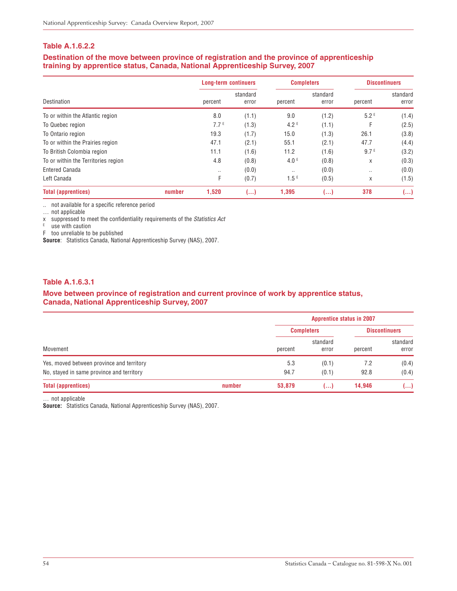#### **Table A.1.6.2.2**

#### **Destination of the move between province of registration and the province of apprenticeship training by apprentice status, Canada, National Apprenticeship Survey, 2007**

|                                     |        | <b>Long-term continuers</b> |                   | <b>Completers</b> |                   | <b>Discontinuers</b> |                   |
|-------------------------------------|--------|-----------------------------|-------------------|-------------------|-------------------|----------------------|-------------------|
| Destination                         |        | percent                     | standard<br>error | percent           | standard<br>error | percent              | standard<br>error |
| To or within the Atlantic region    |        | 8.0                         | (1.1)             | 9.0               | (1.2)             | 5.2E                 | (1.4)             |
| To Quebec region                    |        | 7.7E                        | (1.3)             | 4.2 <sup>E</sup>  | (1.1)             | F                    | (2.5)             |
| To Ontario region                   |        | 19.3                        | (1.7)             | 15.0              | (1.3)             | 26.1                 | (3.8)             |
| To or within the Prairies region    |        | 47.1                        | (2.1)             | 55.1              | (2.1)             | 47.7                 | (4.4)             |
| To British Colombia region          |        | 11.1                        | (1.6)             | 11.2              | (1.6)             | 9.7 <sup>E</sup>     | (3.2)             |
| To or within the Territories region |        | 4.8                         | (0.8)             | 4.0 <sup>E</sup>  | (0.8)             | X                    | (0.3)             |
| <b>Entered Canada</b>               |        | $\cdot$ .                   | (0.0)             | $\cdot$ .         | (0.0)             | $\cdot$ .            | (0.0)             |
| Left Canada                         |        | F                           | (0.7)             | 1.5 <sup>E</sup>  | (0.5)             | X                    | (1.5)             |
| <b>Total (apprentices)</b>          | number | 1,520                       | ()                | 1,395             | ()                | 378                  | ()                |

.. not available for a specific reference period

… not applicable

x suppressed to meet the confidentiality requirements of the Statistics Act

 $E$  use with caution

F too unreliable to be published

**Source**: Statistics Canada, National Apprenticeship Survey (NAS), 2007.

#### **Table A.1.6.3.1**

#### **Move between province of registration and current province of work by apprentice status, Canada, National Apprenticeship Survey, 2007**

|                                           |        |         | <b>Apprentice status in 2007</b> |                      |                   |  |
|-------------------------------------------|--------|---------|----------------------------------|----------------------|-------------------|--|
|                                           |        |         | <b>Completers</b>                | <b>Discontinuers</b> |                   |  |
| Movement                                  |        | percent | standard<br>error                | percent              | standard<br>error |  |
| Yes, moved between province and territory |        | 5.3     | (0.1)                            | 7.2                  | (0.4)             |  |
| No, stayed in same province and territory |        | 94.7    | (0.1)                            | 92.8                 | (0.4)             |  |
| <b>Total (apprentices)</b>                | number | 53,879  | ()                               | 14,946               | ()                |  |

… not applicable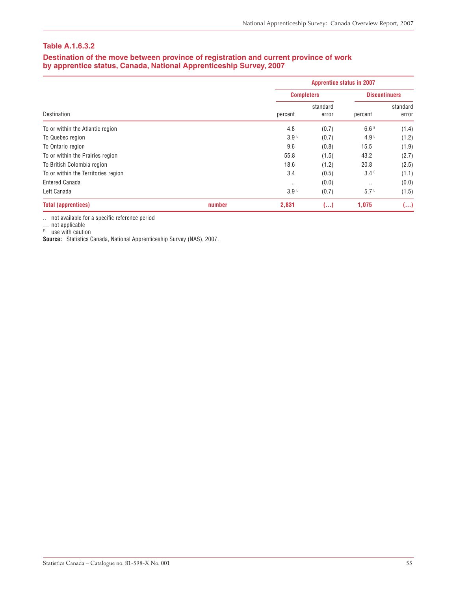#### **Table A.1.6.3.2**

#### **Destination of the move between province of registration and current province of work by apprentice status, Canada, National Apprenticeship Survey, 2007**

|                                     |        |           | <b>Apprentice status in 2007</b> |           |                      |  |  |
|-------------------------------------|--------|-----------|----------------------------------|-----------|----------------------|--|--|
|                                     |        |           | <b>Completers</b>                |           | <b>Discontinuers</b> |  |  |
| Destination                         |        | percent   | standard<br>error                | percent   | standard<br>error    |  |  |
| To or within the Atlantic region    |        | 4.8       | (0.7)                            | 6.6E      | (1.4)                |  |  |
| To Quebec region                    |        | 3.9E      | (0.7)                            | 4.9E      | (1.2)                |  |  |
| To Ontario region                   |        | 9.6       | (0.8)                            | 15.5      | (1.9)                |  |  |
| To or within the Prairies region    |        | 55.8      | (1.5)                            | 43.2      | (2.7)                |  |  |
| To British Colombia region          |        | 18.6      | (1.2)                            | 20.8      | (2.5)                |  |  |
| To or within the Territories region |        | 3.4       | (0.5)                            | 3.4E      | (1.1)                |  |  |
| <b>Entered Canada</b>               |        | $\cdot$ . | (0.0)                            | $\cdot$ . | (0.0)                |  |  |
| Left Canada                         |        | 3.9E      | (0.7)                            | 5.7E      | (1.5)                |  |  |
| <b>Total (apprentices)</b>          | number | 2,831     | ()                               | 1,075     | ()                   |  |  |

.. not available for a specific reference period

… not applicable

<sup>E</sup> use with caution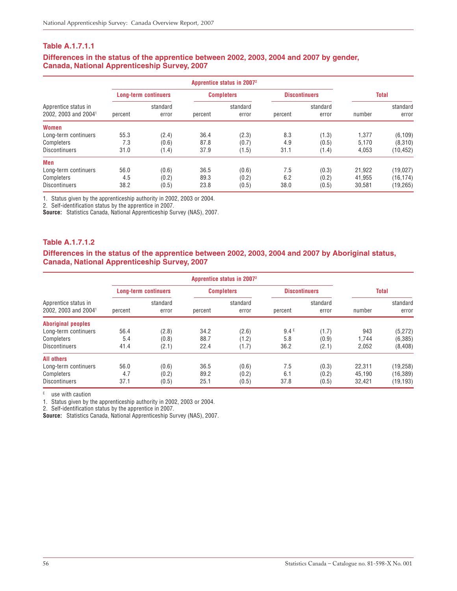#### **Differences in the status of the apprentice between 2002, 2003, 2004 and 2007 by gender, Canada, National Apprenticeship Survey, 2007**

| Apprentice status in<br>2002, 2003 and 2004 <sup>1</sup> |         | <b>Long-term continuers</b> |         | <b>Completers</b> |         | <b>Discontinuers</b> |        | <b>Total</b>      |  |
|----------------------------------------------------------|---------|-----------------------------|---------|-------------------|---------|----------------------|--------|-------------------|--|
|                                                          | percent | standard<br>error           | percent | standard<br>error | percent | standard<br>error    | number | standard<br>error |  |
| <b>Women</b>                                             |         |                             |         |                   |         |                      |        |                   |  |
| Long-term continuers                                     | 55.3    | (2.4)                       | 36.4    | (2.3)             | 8.3     | (1.3)                | 1.377  | (6, 109)          |  |
| Completers                                               | 7.3     | (0.6)                       | 87.8    | (0.7)             | 4.9     | (0.5)                | 5.170  | (8,310)           |  |
| <b>Discontinuers</b>                                     | 31.0    | (1.4)                       | 37.9    | (1.5)             | 31.1    | (1.4)                | 4,053  | (10,452)          |  |
| Men                                                      |         |                             |         |                   |         |                      |        |                   |  |
| Long-term continuers                                     | 56.0    | (0.6)                       | 36.5    | (0.6)             | 7.5     | (0.3)                | 21.922 | (19,027)          |  |
| Completers                                               | 4.5     | (0.2)                       | 89.3    | (0.2)             | 6.2     | (0.2)                | 41,955 | (16, 174)         |  |
| <b>Discontinuers</b>                                     | 38.2    | (0.5)                       | 23.8    | (0.5)             | 38.0    | (0.5)                | 30.581 | (19, 265)         |  |

1. Status given by the apprenticeship authority in 2002, 2003 or 2004.

2. Self-identification status by the apprentice in 2007.

**Source:** Statistics Canada, National Apprenticeship Survey (NAS), 2007.

#### **Table A.1.7.1.2**

**Differences in the status of the apprentice between 2002, 2003, 2004 and 2007 by Aboriginal status, Canada, National Apprenticeship Survey, 2007**

| Apprentice status in<br>2002, 2003 and 2004 <sup>1</sup> |         | <b>Long-term continuers</b> |         | <b>Completers</b> | <b>Discontinuers</b> |                   | <b>Total</b> |                   |
|----------------------------------------------------------|---------|-----------------------------|---------|-------------------|----------------------|-------------------|--------------|-------------------|
|                                                          | percent | standard<br>error           | percent | standard<br>error | percent              | standard<br>error | number       | standard<br>error |
| <b>Aboriginal peoples</b>                                |         |                             |         |                   |                      |                   |              |                   |
| Long-term continuers                                     | 56.4    | (2.8)                       | 34.2    | (2.6)             | 9.4E                 | (1.7)             | 943          | (5, 272)          |
| Completers                                               | 5.4     | (0.8)                       | 88.7    | (1.2)             | 5.8                  | (0.9)             | 1.744        | (6, 385)          |
| <b>Discontinuers</b>                                     | 41.4    | (2.1)                       | 22.4    | (1.7)             | 36.2                 | (2.1)             | 2,052        | (8, 408)          |
| <b>All others</b>                                        |         |                             |         |                   |                      |                   |              |                   |
| Long-term continuers                                     | 56.0    | (0.6)                       | 36.5    | (0.6)             | 7.5                  | (0.3)             | 22.311       | (19, 258)         |
| Completers                                               | 4.7     | (0.2)                       | 89.2    | (0.2)             | 6.1                  | (0.2)             | 45.190       | (16, 389)         |
| <b>Discontinuers</b>                                     | 37.1    | (0.5)                       | 25.1    | (0.5)             | 37.8                 | (0.5)             | 32.421       | (19, 193)         |

 $E$  use with caution

1. Status given by the apprenticeship authority in 2002, 2003 or 2004.

2. Self-identification status by the apprentice in 2007.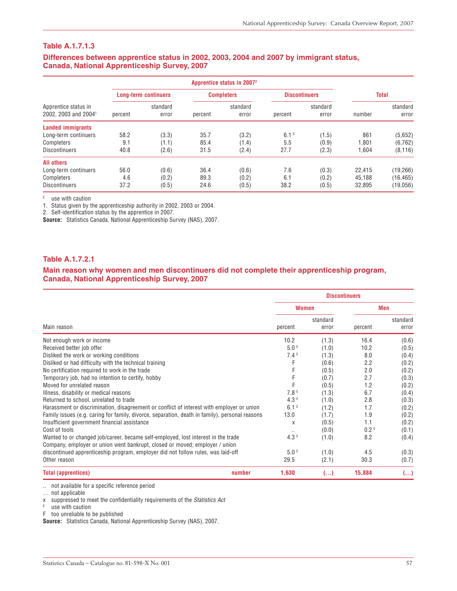#### **Differences between apprentice status in 2002, 2003, 2004 and 2007 by immigrant status, Canada, National Apprenticeship Survey, 2007**

|                                                          |         | <b>Long-term continuers</b> |         | <b>Completers</b> |                  | <b>Discontinuers</b> |        | <b>Total</b>      |  |
|----------------------------------------------------------|---------|-----------------------------|---------|-------------------|------------------|----------------------|--------|-------------------|--|
| Apprentice status in<br>2002, 2003 and 2004 <sup>1</sup> | percent | standard<br>error           | percent | standard<br>error | percent          | standard<br>error    | number | standard<br>error |  |
| <b>Landed immigrants</b>                                 |         |                             |         |                   |                  |                      |        |                   |  |
| Long-term continuers                                     | 58.2    | (3.3)                       | 35.7    | (3.2)             | 6.1 <sup>E</sup> | (1.5)                | 861    | (5,652)           |  |
| Completers                                               | 9.1     | (1.1)                       | 85.4    | (1.4)             | 5.5              | (0.9)                | 1.801  | (6, 762)          |  |
| <b>Discontinuers</b>                                     | 40.8    | (2.6)                       | 31.5    | (2.4)             | 27.7             | (2.3)                | 1,604  | (8, 116)          |  |
| <b>All others</b>                                        |         |                             |         |                   |                  |                      |        |                   |  |
| Long-term continuers                                     | 56.0    | (0.6)                       | 36.4    | (0.6)             | 7.6              | (0.3)                | 22.415 | (19,266)          |  |
| Completers                                               | 4.6     | (0.2)                       | 89.3    | (0.2)             | 6.1              | (0.2)                | 45,188 | (16, 465)         |  |
| <b>Discontinuers</b>                                     | 37.2    | (0.5)                       | 24.6    | (0.5)             | 38.2             | (0.5)                | 32.895 | (19,056)          |  |

 $E$  use with caution

1. Status given by the apprenticeship authority in 2002, 2003 or 2004.

2. Self-identification status by the apprentice in 2007.

**Source:** Statistics Canada, National Apprenticeship Survey (NAS), 2007.

#### **Table A.1.7.2.1**

#### **Main reason why women and men discontinuers did not complete their apprenticeship program, Canada, National Apprenticeship Survey, 2007**

|                                                                                                |                  |                   | <b>Discontinuers</b> |                   |
|------------------------------------------------------------------------------------------------|------------------|-------------------|----------------------|-------------------|
|                                                                                                | <b>Women</b>     |                   |                      | Men               |
| Main reason                                                                                    | percent          | standard<br>error | percent              | standard<br>error |
| Not enough work or income                                                                      | 10.2             | (1.3)             | 16.4                 | (0.6)             |
| Received better job offer                                                                      | 5.0E             | (1.0)             | 10.2                 | (0.5)             |
| Disliked the work or working conditions                                                        | 7.4E             | (1.3)             | 8.0                  | (0.4)             |
| Disliked or had difficulty with the technical training                                         | F                | (0.6)             | 2.2                  | (0.2)             |
| No certification required to work in the trade                                                 | F                | (0.5)             | 2.0                  | (0.2)             |
| Temporary job, had no intention to certify, hobby                                              | F                | (0.7)             | 2.7                  | (0.3)             |
| Moved for unrelated reason                                                                     | F                | (0.5)             | 1.2                  | (0.2)             |
| Illness, disability or medical reasons                                                         | 7.8E             | (1.3)             | 6.7                  | (0.4)             |
| Returned to school, unrelated to trade                                                         | 4.3E             | (1.0)             | 2.8                  | (0.3)             |
| Harassment or discrimination, disagreement or conflict of interest with employer or union      | 6.1 <sup>E</sup> | (1.2)             | 1.7                  | (0.2)             |
| Family issues (e.g. caring for family, divorce, separation, death in family), personal reasons | 13.0             | (1.7)             | 1.9                  | (0.2)             |
| Insufficient government financial assistance                                                   | X                | (0.5)             | 1.1                  | (0.2)             |
| Cost of tools                                                                                  | $\cdot$ .        | (0.0)             | 0.2 <sup>E</sup>     | (0.1)             |
| Wanted to or changed job/career, became self-employed, lost interest in the trade              | 4.3E             | (1.0)             | 8.2                  | (0.4)             |
| Company, employer or union went bankrupt, closed or moved; employer / union                    |                  |                   |                      |                   |
| discontinued apprenticeship program, employer did not follow rules, was laid-off               | 5.0 <sup>E</sup> | (1.0)             | 4.5                  | (0.3)             |
| Other reason                                                                                   | 29.5             | (2.1)             | 30.3                 | (0.7)             |
| number<br><b>Total (apprentices)</b>                                                           | 1,630            | ()                | 15,884               | ()                |

.. not available for a specific reference period

… not applicable

x suppressed to meet the confidentiality requirements of the Statistics Act

 $E$  use with caution

F too unreliable to be published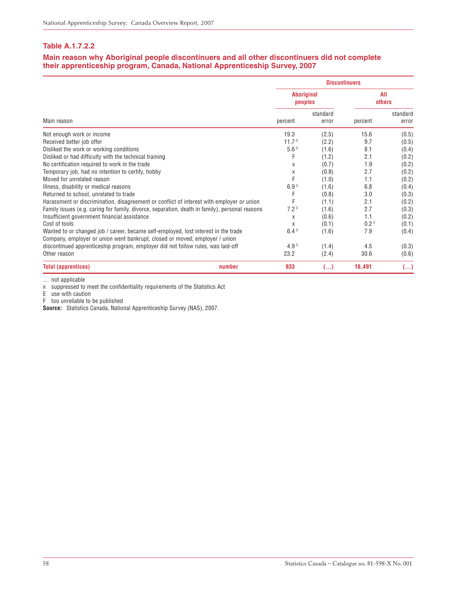#### **Table A.1.7.2.2**

#### **Main reason why Aboriginal people discontinuers and all other discontinuers did not complete their apprenticeship program, Canada, National Apprenticeship Survey, 2007**

|                                                                                                                                                                    |                   |                   | <b>Discontinuers</b> |                   |
|--------------------------------------------------------------------------------------------------------------------------------------------------------------------|-------------------|-------------------|----------------------|-------------------|
|                                                                                                                                                                    | <b>Aboriginal</b> | peoples           | AII<br>others        |                   |
| Main reason                                                                                                                                                        | percent           | standard<br>error | percent              | standard<br>error |
| Not enough work or income                                                                                                                                          | 19.3              | (2.5)             | 15.6                 | (0.5)             |
| Received better job offer                                                                                                                                          | 11.7 <sup>E</sup> | (2.2)             | 9.7                  | (0.5)             |
| Disliked the work or working conditions                                                                                                                            | 5.6E              | (1.6)             | 8.1                  | (0.4)             |
| Disliked or had difficulty with the technical training                                                                                                             | F                 | (1.2)             | 2.1                  | (0.2)             |
| No certification required to work in the trade                                                                                                                     | X                 | (0.7)             | 1.9                  | (0.2)             |
| Temporary job, had no intention to certify, hobby                                                                                                                  | X                 | (0.8)             | 2.7                  | (0.2)             |
| Moved for unrelated reason                                                                                                                                         | F                 | (1.0)             | 1.1                  | (0.2)             |
| Illness, disability or medical reasons                                                                                                                             | 6.9E              | (1.6)             | 6.8                  | (0.4)             |
| Returned to school, unrelated to trade                                                                                                                             | F                 | (0.8)             | 3.0                  | (0.3)             |
| Harassment or discrimination, disagreement or conflict of interest with employer or union                                                                          | F                 | (1.1)             | 2.1                  | (0.2)             |
| Family issues (e.g. caring for family, divorce, separation, death in family), personal reasons                                                                     | 7.2 <sup>E</sup>  | (1.6)             | 2.7                  | (0.3)             |
| Insufficient government financial assistance                                                                                                                       | X                 | (0.6)             | 1.1                  | (0.2)             |
| Cost of tools                                                                                                                                                      | X                 | (0.1)             | 0.2 <sup>E</sup>     | (0.1)             |
| Wanted to or changed job / career, became self-employed, lost interest in the trade<br>Company, employer or union went bankrupt, closed or moved; employer / union | 6.4E              | (1.6)             | 7.9                  | (0.4)             |
| discontinued apprenticeship program, employer did not follow rules, was laid-off                                                                                   | 4.9 <sup>E</sup>  | (1.4)             | 4.5                  | (0.3)             |
| Other reason                                                                                                                                                       | 23.2              | (2.4)             | 30.6                 | (0.6)             |
| <b>Total (apprentices)</b><br>number                                                                                                                               | 933               | ()                | 16,491               | ()                |

… not applicable

x suppressed to meet the confidentiality requirements of the Statistics Act

E use with caution

F too unreliable to be published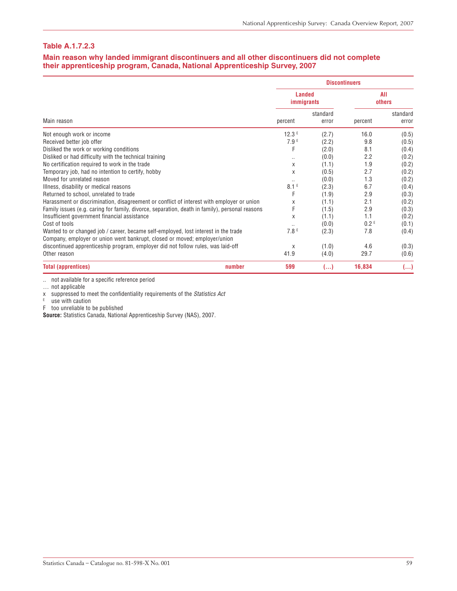#### **Table A.1.7.2.3**

#### **Main reason why landed immigrant discontinuers and all other discontinuers did not complete their apprenticeship program, Canada, National Apprenticeship Survey, 2007**

|                                                                                                                                                                  |                  |                                    | <b>Discontinuers</b> |                   |
|------------------------------------------------------------------------------------------------------------------------------------------------------------------|------------------|------------------------------------|----------------------|-------------------|
|                                                                                                                                                                  |                  | <b>Landed</b><br><i>immigrants</i> |                      | All<br>others     |
| Main reason                                                                                                                                                      | percent          | standard<br>error                  | percent              | standard<br>error |
| Not enough work or income                                                                                                                                        | 12.3E            | (2.7)                              | 16.0                 | (0.5)             |
| Received better job offer                                                                                                                                        | 7.9E             | (2.2)                              | 9.8                  | (0.5)             |
| Disliked the work or working conditions                                                                                                                          | F                | (2.0)                              | 8.1                  | (0.4)             |
| Disliked or had difficulty with the technical training                                                                                                           | $\cdot$ .        | (0.0)                              | 2.2                  | (0.2)             |
| No certification required to work in the trade                                                                                                                   | X                | (1.1)                              | 1.9                  | (0.2)             |
| Temporary job, had no intention to certify, hobby                                                                                                                | X                | (0.5)                              | 2.7                  | (0.2)             |
| Moved for unrelated reason                                                                                                                                       |                  | (0.0)                              | 1.3                  | (0.2)             |
| Illness, disability or medical reasons                                                                                                                           | 8.1 <sup>E</sup> | (2.3)                              | 6.7                  | (0.4)             |
| Returned to school, unrelated to trade                                                                                                                           | F                | (1.9)                              | 2.9                  | (0.3)             |
| Harassment or discrimination, disagreement or conflict of interest with employer or union                                                                        | X                | (1.1)                              | 2.1                  | (0.2)             |
| Family issues (e.g. caring for family, divorce, separation, death in family), personal reasons                                                                   |                  | (1.5)                              | 2.9                  | (0.3)             |
| Insufficient government financial assistance                                                                                                                     | X                | (1.1)                              | 1.1                  | (0.2)             |
| Cost of tools                                                                                                                                                    |                  | (0.0)                              | 0.2 <sup>E</sup>     | (0.1)             |
| Wanted to or changed job / career, became self-employed, lost interest in the trade<br>Company, employer or union went bankrupt, closed or moved; employer/union | 7.8E             | (2.3)                              | 7.8                  | (0.4)             |
| discontinued apprenticeship program, employer did not follow rules, was laid-off                                                                                 | X                | (1.0)                              | 4.6                  | (0.3)             |
| Other reason                                                                                                                                                     | 41.9             | (4.0)                              | 29.7                 | (0.6)             |
| <b>Total (apprentices)</b><br>number                                                                                                                             | 599              | ()                                 | 16,834               | ()                |

.. not available for a specific reference period

… not applicable

x suppressed to meet the confidentiality requirements of the Statistics Act

 $E = \text{use with caution}$ 

F too unreliable to be published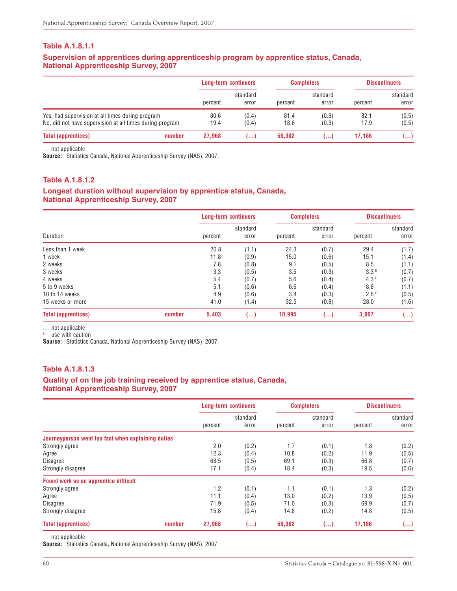#### **Supervision of apprentices during apprenticeship program by apprentice status, Canada, National Apprenticeship Survey, 2007**

|                                                                                                              |        | <b>Long-term continuers</b> |                   | <b>Completers</b> |                   | <b>Discontinuers</b>           |                   |
|--------------------------------------------------------------------------------------------------------------|--------|-----------------------------|-------------------|-------------------|-------------------|--------------------------------|-------------------|
|                                                                                                              |        | percent                     | standard<br>error | percent           | standard<br>error | percent                        | standard<br>error |
| Yes, had supervision at all times during program<br>No, did not have supervision at all times during program |        | 80.6<br>19.4                | (0.4)<br>(0.4)    | 81.4<br>18.6      | (0.3)<br>(0.3)    | (0.5)<br>82.1<br>17.9<br>(0.5) |                   |
| <b>Total (apprentices)</b>                                                                                   | number | 27.968                      | ا …               | 59,302            | ا ۱۰۰۰            | 17.186                         | ()                |

… not applicable

**Source:** Statistics Canada, National Apprenticeship Survey (NAS), 2007.

#### **Table A.1.8.1.2**

#### **Longest duration without supervision by apprentice status, Canada, National Apprenticeship Survey, 2007**

| Duration                   |        | <b>Long-term continuers</b> |                   | <b>Completers</b> |                   | <b>Discontinuers</b> |                   |
|----------------------------|--------|-----------------------------|-------------------|-------------------|-------------------|----------------------|-------------------|
|                            |        | percent                     | standard<br>error | percent           | standard<br>error | percent              | standard<br>error |
| Less than 1 week           |        | 20.8                        | (1.1)             | 24.3              | (0.7)             | 29.4                 | (1.7)             |
| 1 week                     |        | 11.8                        | (0.9)             | 15.0              | (0.6)             | 15.1                 | (1.4)             |
| 2 weeks                    |        | 7.8                         | (0.8)             | 9.1               | (0.5)             | 8.5                  | (1.1)             |
| 3 weeks                    |        | 3.3                         | (0.5)             | 3.5               | (0.3)             | 3.3E                 | (0.7)             |
| 4 weeks                    |        | 5.4                         | (0.7)             | 5.6               | (0.4)             | 4.3E                 | (0.7)             |
| 5 to 9 weeks               |        | 5.1                         | (0.6)             | 6.6               | (0.4)             | 8.8                  | (1.1)             |
| 10 to 14 weeks             |        | 4.9                         | (0.6)             | 3.4               | (0.3)             | 2.6E                 | (0.5)             |
| 15 weeks or more           |        | 41.0                        | (1.4)             | 32.5              | (0.8)             | 28.0                 | (1.6)             |
| <b>Total (apprentices)</b> | number | 5,403                       | ()                | 10,995            | ()                | 3,067                | ()                |

… not applicable

<sup>E</sup> use with caution

**Source:** Statistics Canada, National Apprenticeship Survey (NAS), 2007.

#### **Table A.1.8.1.3**

#### **Quality of on the job training received by apprentice status, Canada, National Apprenticeship Survey, 2007**

|                                                    | <b>Long-term continuers</b> |          | <b>Completers</b> |          | <b>Discontinuers</b> |            |
|----------------------------------------------------|-----------------------------|----------|-------------------|----------|----------------------|------------|
|                                                    |                             | standard |                   | standard |                      | standard   |
|                                                    | percent                     | error    | percent           | error    | percent              | error      |
| Journeyperson went too fast when explaining duties |                             |          |                   |          |                      |            |
| Strongly agree                                     | 2.0                         | (0.2)    | 1.7               | (0.1)    | 1.8                  | (0.2)      |
| Agree                                              | 12.3                        | (0.4)    | 10.8              | (0.2)    | 11.9                 | (0.5)      |
| <b>Disagree</b>                                    | 68.5                        | (0.5)    | 69.1              | (0.3)    | 66.8                 | (0.7)      |
| Strongly disagree                                  | 17.1                        | (0.4)    | 18.4              | (0.3)    | 19.5                 | (0.6)      |
| Found work as an apprentice difficult              |                             |          |                   |          |                      |            |
| Strongly agree                                     | 1.2                         | (0.1)    | 1.1               | (0.1)    | 1.3                  | (0.2)      |
| Agree                                              | 11.1                        | (0.4)    | 13.0              | (0.2)    | 13.9                 | (0.5)      |
| <b>Disagree</b>                                    | 71.9                        | (0.5)    | 71.0              | (0.3)    | 69.9                 | (0.7)      |
| Strongly disagree                                  | 15.8                        | (0.4)    | 14.8              | (0.2)    | 14.8                 | (0.5)      |
| <b>Total (apprentices)</b><br>number               | 27,968                      | ()       | 59,302            | ()       | 17,186               | $(\ldots)$ |

… not applicable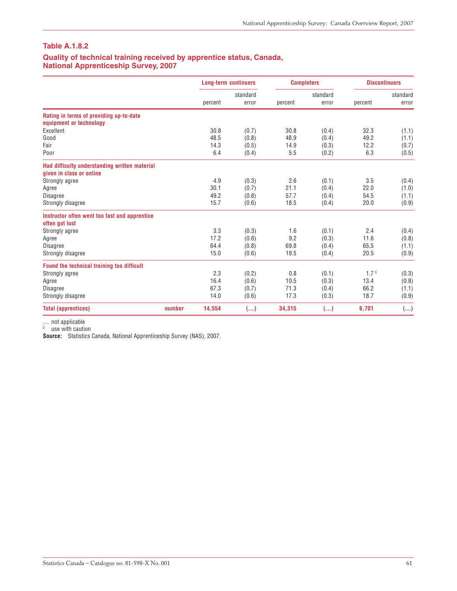#### **Quality of technical training received by apprentice status, Canada, National Apprenticeship Survey, 2007**

|                                                                           |        | <b>Long-term continuers</b><br>standard |       | <b>Completers</b><br>standard |       | <b>Discontinuers</b> |       |
|---------------------------------------------------------------------------|--------|-----------------------------------------|-------|-------------------------------|-------|----------------------|-------|
|                                                                           |        |                                         |       |                               |       | standard             |       |
|                                                                           |        | percent                                 | error | percent                       | error | percent              | error |
| Rating in terms of providing up-to-date                                   |        |                                         |       |                               |       |                      |       |
| equipment or technology                                                   |        |                                         |       |                               |       |                      |       |
| Excellent                                                                 |        | 30.8                                    | (0.7) | 30.8                          | (0.4) | 32.3                 | (1.1) |
| Good                                                                      |        | 48.5                                    | (0.8) | 48.9                          | (0.4) | 49.2                 | (1.1) |
| Fair                                                                      |        | 14.3                                    | (0.5) | 14.9                          | (0.3) | 12.2                 | (0.7) |
| Poor                                                                      |        | 6.4                                     | (0.4) | 5.5                           | (0.2) | 6.3                  | (0.5) |
| Had difficulty understanding written material<br>given in class or online |        |                                         |       |                               |       |                      |       |
| Strongly agree                                                            |        | 4.9                                     | (0.3) | 2.6                           | (0.1) | 3.5                  | (0.4) |
| Agree                                                                     |        | 30.1                                    | (0.7) | 21.1                          | (0.4) | 22.0                 | (1.0) |
| <b>Disagree</b>                                                           |        | 49.2                                    | (0.8) | 57.7                          | (0.4) | 54.5                 | (1.1) |
| Strongly disagree                                                         |        | 15.7                                    | (0.6) | 18.5                          | (0.4) | 20.0                 | (0.9) |
| Instructor often went too fast and apprentice<br>often got lost           |        |                                         |       |                               |       |                      |       |
| Strongly agree                                                            |        | 3.3                                     | (0.3) | 1.6                           | (0.1) | 2.4                  | (0.4) |
| Agree                                                                     |        | 17.2                                    | (0.6) | 9.2                           | (0.3) | 11.6                 | (0.8) |
| <b>Disagree</b>                                                           |        | 64.4                                    | (0.8) | 69.8                          | (0.4) | 65.5                 | (1.1) |
| Strongly disagree                                                         |        | 15.0                                    | (0.6) | 19.5                          | (0.4) | 20.5                 | (0.9) |
| Found the technical training too difficult                                |        |                                         |       |                               |       |                      |       |
| Strongly agree                                                            |        | 2.3                                     | (0.2) | 0.8                           | (0.1) | 1.7 <sup>E</sup>     | (0.3) |
| Agree                                                                     |        | 16.4                                    | (0.6) | 10.5                          | (0.3) | 13.4                 | (0.8) |
| <b>Disagree</b>                                                           |        | 67.3                                    | (0.7) | 71.3                          | (0.4) | 66.2                 | (1.1) |
| Strongly disagree                                                         |        | 14.0                                    | (0.6) | 17.3                          | (0.3) | 18.7                 | (0.9) |
| <b>Total (apprentices)</b>                                                | number | 14,554                                  | ()    | 34,315                        | ()    | 6,701                | ()    |

… not applicable

<sup>E</sup> use with caution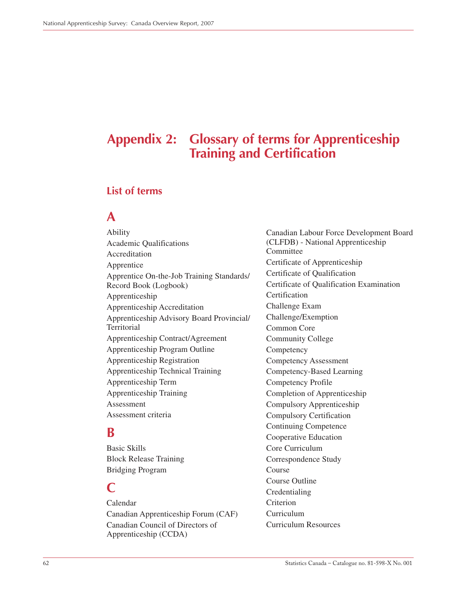## **Appendix 2: Glossary of terms for Apprenticeship Training and Certification**

### **List of terms**

### **A**

Ability Academic Qualifications Accreditation Apprentice Apprentice On-the-Job Training Standards/ Record Book (Logbook) Apprenticeship Apprenticeship Accreditation Apprenticeship Advisory Board Provincial/ **Territorial** Apprenticeship Contract/Agreement Apprenticeship Program Outline Apprenticeship Registration Apprenticeship Technical Training Apprenticeship Term Apprenticeship Training Assessment Assessment criteria

### **B**

Basic Skills Block Release Training Bridging Program

### **C**

Calendar Canadian Apprenticeship Forum (CAF) Canadian Council of Directors of Apprenticeship (CCDA)

Canadian Labour Force Development Board (CLFDB) - National Apprenticeship Committee Certificate of Apprenticeship Certificate of Qualification Certificate of Qualification Examination Certification Challenge Exam Challenge/Exemption Common Core Community College **Competency** Competency Assessment Competency-Based Learning Competency Profile Completion of Apprenticeship Compulsory Apprenticeship Compulsory Certification Continuing Competence Cooperative Education Core Curriculum Correspondence Study Course Course Outline Credentialing **Criterion** Curriculum Curriculum Resources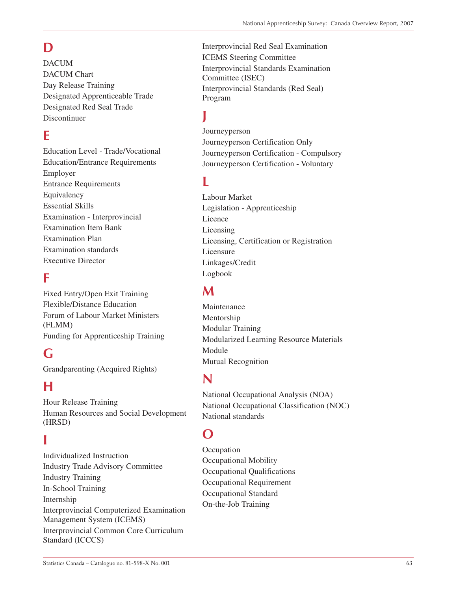# **D**

DACUM DACUM Chart Day Release Training Designated Apprenticeable Trade Designated Red Seal Trade Discontinuer

## **E**

Education Level - Trade/Vocational Education/Entrance Requirements Employer Entrance Requirements Equivalency Essential Skills Examination - Interprovincial Examination Item Bank Examination Plan Examination standards Executive Director

## **F**

Fixed Entry/Open Exit Training Flexible/Distance Education Forum of Labour Market Ministers (FLMM) Funding for Apprenticeship Training

## **G**

Grandparenting (Acquired Rights)

## **H**

Hour Release Training Human Resources and Social Development (HRSD)

## **I**

Individualized Instruction Industry Trade Advisory Committee Industry Training In-School Training Internship Interprovincial Computerized Examination Management System (ICEMS) Interprovincial Common Core Curriculum Standard (ICCCS)

Interprovincial Red Seal Examination ICEMS Steering Committee Interprovincial Standards Examination Committee (ISEC) Interprovincial Standards (Red Seal) Program

## **J**

Journeyperson Journeyperson Certification Only Journeyperson Certification - Compulsory Journeyperson Certification - Voluntary

## **L**

Labour Market Legislation - Apprenticeship Licence Licensing Licensing, Certification or Registration Licensure Linkages/Credit Logbook

## **M**

Maintenance Mentorship Modular Training Modularized Learning Resource Materials Module Mutual Recognition

## **N**

National Occupational Analysis (NOA) National Occupational Classification (NOC) National standards

## **O**

**Occupation** Occupational Mobility Occupational Qualifications Occupational Requirement Occupational Standard On-the-Job Training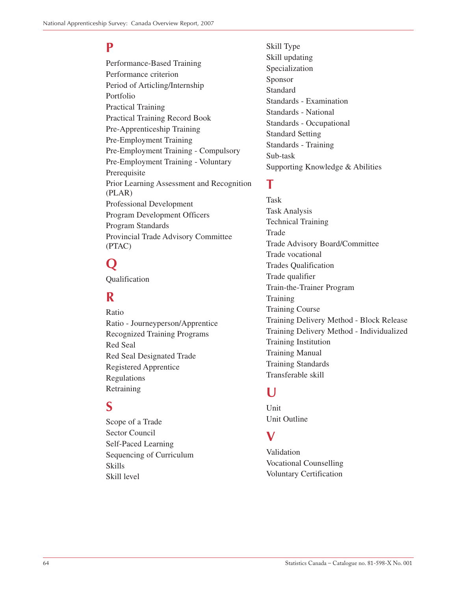## **P**

Performance-Based Training Performance criterion Period of Articling/Internship Portfolio Practical Training Practical Training Record Book Pre-Apprenticeship Training Pre-Employment Training Pre-Employment Training - Compulsory Pre-Employment Training - Voluntary Prerequisite Prior Learning Assessment and Recognition (PLAR) Professional Development Program Development Officers Program Standards Provincial Trade Advisory Committee (PTAC)

# **Q**

Qualification

## **R**

Ratio Ratio - Journeyperson/Apprentice Recognized Training Programs Red Seal Red Seal Designated Trade Registered Apprentice Regulations Retraining

## **S**

Scope of a Trade Sector Council Self-Paced Learning Sequencing of Curriculum Skills Skill level

Skill Type Skill updating Specialization Sponsor Standard Standards - Examination Standards - National Standards - Occupational Standard Setting Standards - Training Sub-task Supporting Knowledge & Abilities

## **T**

Task Task Analysis Technical Training Trade Trade Advisory Board/Committee Trade vocational Trades Qualification Trade qualifier Train-the-Trainer Program **Training** Training Course Training Delivery Method - Block Release Training Delivery Method - Individualized Training Institution Training Manual Training Standards Transferable skill

## **U**

**Unit** Unit Outline

### **V**

Validation Vocational Counselling Voluntary Certification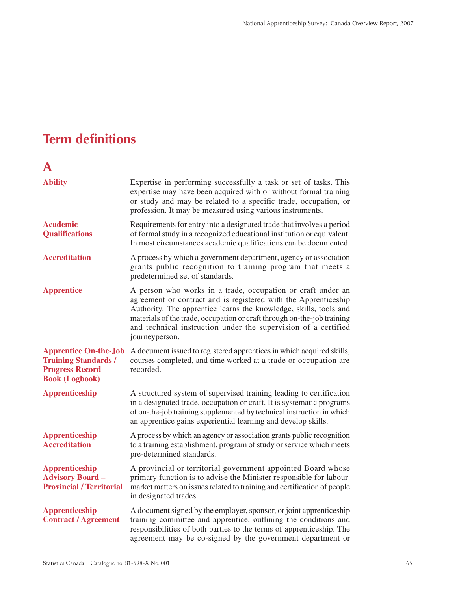# **Term definitions**

# **A**

| <b>Ability</b>                                                                                                 | Expertise in performing successfully a task or set of tasks. This<br>expertise may have been acquired with or without formal training<br>or study and may be related to a specific trade, occupation, or<br>profession. It may be measured using various instruments.                                                                                              |
|----------------------------------------------------------------------------------------------------------------|--------------------------------------------------------------------------------------------------------------------------------------------------------------------------------------------------------------------------------------------------------------------------------------------------------------------------------------------------------------------|
| <b>Academic</b><br><b>Qualifications</b>                                                                       | Requirements for entry into a designated trade that involves a period<br>of formal study in a recognized educational institution or equivalent.<br>In most circumstances academic qualifications can be documented.                                                                                                                                                |
| <b>Accreditation</b>                                                                                           | A process by which a government department, agency or association<br>grants public recognition to training program that meets a<br>predetermined set of standards.                                                                                                                                                                                                 |
| <b>Apprentice</b>                                                                                              | A person who works in a trade, occupation or craft under an<br>agreement or contract and is registered with the Apprenticeship<br>Authority. The apprentice learns the knowledge, skills, tools and<br>materials of the trade, occupation or craft through on-the-job training<br>and technical instruction under the supervision of a certified<br>journeyperson. |
| <b>Apprentice On-the-Job</b><br><b>Training Standards /</b><br><b>Progress Record</b><br><b>Book (Logbook)</b> | A document issued to registered apprentices in which acquired skills,<br>courses completed, and time worked at a trade or occupation are<br>recorded.                                                                                                                                                                                                              |
| <b>Apprenticeship</b>                                                                                          | A structured system of supervised training leading to certification<br>in a designated trade, occupation or craft. It is systematic programs<br>of on-the-job training supplemented by technical instruction in which<br>an apprentice gains experiential learning and develop skills.                                                                             |
| <b>Apprenticeship</b><br><b>Accreditation</b>                                                                  | A process by which an agency or association grants public recognition<br>to a training establishment, program of study or service which meets<br>pre-determined standards.                                                                                                                                                                                         |
| <b>Apprenticeship</b><br><b>Advisory Board -</b><br><b>Provincial / Territorial</b>                            | A provincial or territorial government appointed Board whose<br>primary function is to advise the Minister responsible for labour<br>market matters on issues related to training and certification of people<br>in designated trades.                                                                                                                             |
| <b>Apprenticeship</b><br><b>Contract / Agreement</b>                                                           | A document signed by the employer, sponsor, or joint apprenticeship<br>training committee and apprentice, outlining the conditions and<br>responsibilities of both parties to the terms of apprenticeship. The<br>agreement may be co-signed by the government department or                                                                                       |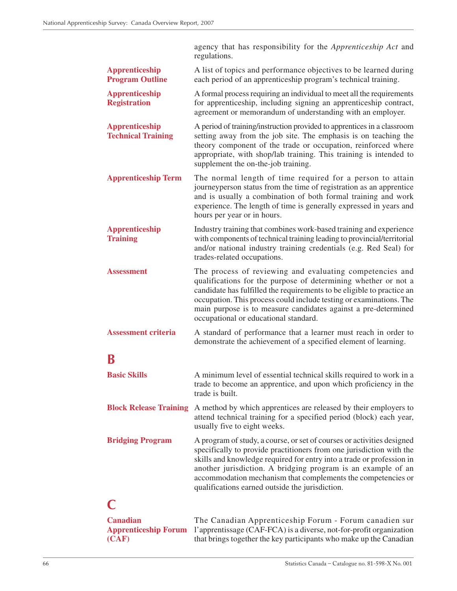|                                                    | agency that has responsibility for the Apprenticeship Act and<br>regulations.                                                                                                                                                                                                                                                                                                                              |
|----------------------------------------------------|------------------------------------------------------------------------------------------------------------------------------------------------------------------------------------------------------------------------------------------------------------------------------------------------------------------------------------------------------------------------------------------------------------|
| <b>Apprenticeship</b><br><b>Program Outline</b>    | A list of topics and performance objectives to be learned during<br>each period of an apprenticeship program's technical training.                                                                                                                                                                                                                                                                         |
| <b>Apprenticeship</b><br><b>Registration</b>       | A formal process requiring an individual to meet all the requirements<br>for apprenticeship, including signing an apprenticeship contract,<br>agreement or memorandum of understanding with an employer.                                                                                                                                                                                                   |
| <b>Apprenticeship</b><br><b>Technical Training</b> | A period of training/instruction provided to apprentices in a classroom<br>setting away from the job site. The emphasis is on teaching the<br>theory component of the trade or occupation, reinforced where<br>appropriate, with shop/lab training. This training is intended to<br>supplement the on-the-job training.                                                                                    |
| <b>Apprenticeship Term</b>                         | The normal length of time required for a person to attain<br>journeyperson status from the time of registration as an apprentice<br>and is usually a combination of both formal training and work<br>experience. The length of time is generally expressed in years and<br>hours per year or in hours.                                                                                                     |
| <b>Apprenticeship</b><br><b>Training</b>           | Industry training that combines work-based training and experience<br>with components of technical training leading to provincial/territorial<br>and/or national industry training credentials (e.g. Red Seal) for<br>trades-related occupations.                                                                                                                                                          |
| <b>Assessment</b>                                  | The process of reviewing and evaluating competencies and<br>qualifications for the purpose of determining whether or not a<br>candidate has fulfilled the requirements to be eligible to practice an<br>occupation. This process could include testing or examinations. The<br>main purpose is to measure candidates against a pre-determined<br>occupational or educational standard.                     |
| <b>Assessment criteria</b>                         | A standard of performance that a learner must reach in order to<br>demonstrate the achievement of a specified element of learning.                                                                                                                                                                                                                                                                         |
| B                                                  |                                                                                                                                                                                                                                                                                                                                                                                                            |
| <b>Basic Skills</b>                                | A minimum level of essential technical skills required to work in a<br>trade to become an apprentice, and upon which proficiency in the<br>trade is built.                                                                                                                                                                                                                                                 |
| <b>Block Release Training</b>                      | A method by which apprentices are released by their employers to<br>attend technical training for a specified period (block) each year,<br>usually five to eight weeks.                                                                                                                                                                                                                                    |
| <b>Bridging Program</b>                            | A program of study, a course, or set of courses or activities designed<br>specifically to provide practitioners from one jurisdiction with the<br>skills and knowledge required for entry into a trade or profession in<br>another jurisdiction. A bridging program is an example of an<br>accommodation mechanism that complements the competencies or<br>qualifications earned outside the jurisdiction. |
|                                                    |                                                                                                                                                                                                                                                                                                                                                                                                            |
| Canadian                                           | The Canadian Apprenticeship Forum - Forum canadien sur                                                                                                                                                                                                                                                                                                                                                     |

### **Canadian** The Canadian Apprenticeship Forum - Forum canadien sur **Apprenticeship Forum** l'apprentissage (CAF-FCA) is a diverse, not-for-profit organization (CAF) that brings together the key participants who make up the Canadian that brings together the key participants who make up the Canadian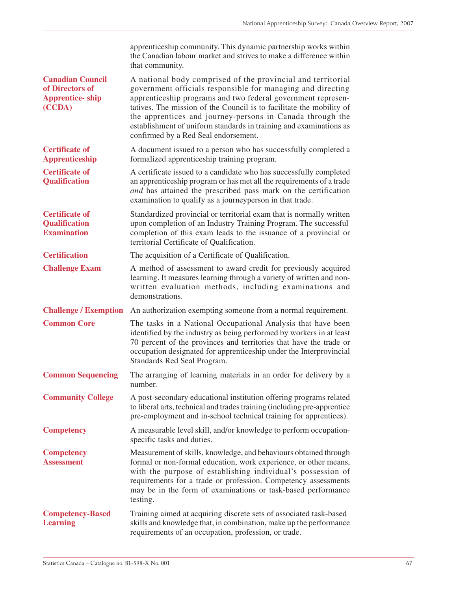|                                                                                | apprenticeship community. This dynamic partnership works within<br>the Canadian labour market and strives to make a difference within<br>that community.                                                                                                                                                                                                                                                                                      |
|--------------------------------------------------------------------------------|-----------------------------------------------------------------------------------------------------------------------------------------------------------------------------------------------------------------------------------------------------------------------------------------------------------------------------------------------------------------------------------------------------------------------------------------------|
| <b>Canadian Council</b><br>of Directors of<br><b>Apprentice-ship</b><br>(CCDA) | A national body comprised of the provincial and territorial<br>government officials responsible for managing and directing<br>apprenticeship programs and two federal government represen-<br>tatives. The mission of the Council is to facilitate the mobility of<br>the apprentices and journey-persons in Canada through the<br>establishment of uniform standards in training and examinations as<br>confirmed by a Red Seal endorsement. |
| <b>Certificate of</b><br><b>Apprenticeship</b>                                 | A document issued to a person who has successfully completed a<br>formalized apprenticeship training program.                                                                                                                                                                                                                                                                                                                                 |
| <b>Certificate of</b><br><b>Qualification</b>                                  | A certificate issued to a candidate who has successfully completed<br>an apprenticeship program or has met all the requirements of a trade<br>and has attained the prescribed pass mark on the certification<br>examination to qualify as a journeyperson in that trade.                                                                                                                                                                      |
| <b>Certificate of</b><br><b>Qualification</b><br><b>Examination</b>            | Standardized provincial or territorial exam that is normally written<br>upon completion of an Industry Training Program. The successful<br>completion of this exam leads to the issuance of a provincial or<br>territorial Certificate of Qualification.                                                                                                                                                                                      |
| <b>Certification</b>                                                           | The acquisition of a Certificate of Qualification.                                                                                                                                                                                                                                                                                                                                                                                            |
| <b>Challenge Exam</b>                                                          | A method of assessment to award credit for previously acquired<br>learning. It measures learning through a variety of written and non-<br>written evaluation methods, including examinations and<br>demonstrations.                                                                                                                                                                                                                           |
| <b>Challenge / Exemption</b>                                                   | An authorization exempting someone from a normal requirement.                                                                                                                                                                                                                                                                                                                                                                                 |
| <b>Common Core</b>                                                             | The tasks in a National Occupational Analysis that have been<br>identified by the industry as being performed by workers in at least<br>70 percent of the provinces and territories that have the trade or<br>occupation designated for apprenticeship under the Interprovincial<br>Standards Red Seal Program.                                                                                                                               |
| <b>Common Sequencing</b>                                                       | The arranging of learning materials in an order for delivery by a<br>number.                                                                                                                                                                                                                                                                                                                                                                  |
| <b>Community College</b>                                                       | A post-secondary educational institution offering programs related<br>to liberal arts, technical and trades training (including pre-apprentice<br>pre-employment and in-school technical training for apprentices).                                                                                                                                                                                                                           |
| <b>Competency</b>                                                              | A measurable level skill, and/or knowledge to perform occupation-<br>specific tasks and duties.                                                                                                                                                                                                                                                                                                                                               |
| <b>Competency</b><br><b>Assessment</b>                                         | Measurement of skills, knowledge, and behaviours obtained through<br>formal or non-formal education, work experience, or other means,<br>with the purpose of establishing individual's possession of<br>requirements for a trade or profession. Competency assessments<br>may be in the form of examinations or task-based performance<br>testing.                                                                                            |
| <b>Competency-Based</b><br><b>Learning</b>                                     | Training aimed at acquiring discrete sets of associated task-based<br>skills and knowledge that, in combination, make up the performance<br>requirements of an occupation, profession, or trade.                                                                                                                                                                                                                                              |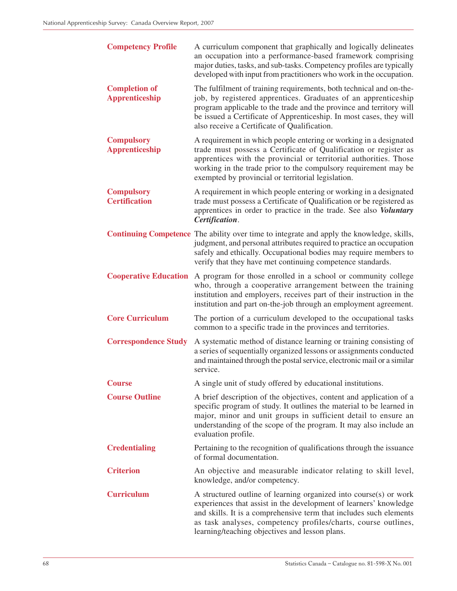| <b>Competency Profile</b>                     | A curriculum component that graphically and logically delineates<br>an occupation into a performance-based framework comprising<br>major duties, tasks, and sub-tasks. Competency profiles are typically<br>developed with input from practitioners who work in the occupation.                                                     |
|-----------------------------------------------|-------------------------------------------------------------------------------------------------------------------------------------------------------------------------------------------------------------------------------------------------------------------------------------------------------------------------------------|
| <b>Completion of</b><br><b>Apprenticeship</b> | The fulfilment of training requirements, both technical and on-the-<br>job, by registered apprentices. Graduates of an apprenticeship<br>program applicable to the trade and the province and territory will<br>be issued a Certificate of Apprenticeship. In most cases, they will<br>also receive a Certificate of Qualification. |
| <b>Compulsory</b><br><b>Apprenticeship</b>    | A requirement in which people entering or working in a designated<br>trade must possess a Certificate of Qualification or register as<br>apprentices with the provincial or territorial authorities. Those<br>working in the trade prior to the compulsory requirement may be<br>exempted by provincial or territorial legislation. |
| <b>Compulsory</b><br><b>Certification</b>     | A requirement in which people entering or working in a designated<br>trade must possess a Certificate of Qualification or be registered as<br>apprentices in order to practice in the trade. See also Voluntary<br>Certification.                                                                                                   |
|                                               | <b>Continuing Competence</b> The ability over time to integrate and apply the knowledge, skills,<br>judgment, and personal attributes required to practice an occupation<br>safely and ethically. Occupational bodies may require members to<br>verify that they have met continuing competence standards.                          |
|                                               | <b>Cooperative Education</b> A program for those enrolled in a school or community college<br>who, through a cooperative arrangement between the training<br>institution and employers, receives part of their instruction in the<br>institution and part on-the-job through an employment agreement.                               |
| <b>Core Curriculum</b>                        | The portion of a curriculum developed to the occupational tasks<br>common to a specific trade in the provinces and territories.                                                                                                                                                                                                     |
| <b>Correspondence Study</b>                   | A systematic method of distance learning or training consisting of<br>a series of sequentially organized lessons or assignments conducted<br>and maintained through the postal service, electronic mail or a similar<br>service.                                                                                                    |
| <b>Course</b>                                 | A single unit of study offered by educational institutions.                                                                                                                                                                                                                                                                         |
| <b>Course Outline</b>                         | A brief description of the objectives, content and application of a<br>specific program of study. It outlines the material to be learned in<br>major, minor and unit groups in sufficient detail to ensure an<br>understanding of the scope of the program. It may also include an<br>evaluation profile.                           |
| <b>Credentialing</b>                          | Pertaining to the recognition of qualifications through the issuance<br>of formal documentation.                                                                                                                                                                                                                                    |
| <b>Criterion</b>                              | An objective and measurable indicator relating to skill level,<br>knowledge, and/or competency.                                                                                                                                                                                                                                     |
| <b>Curriculum</b>                             | A structured outline of learning organized into course(s) or work<br>experiences that assist in the development of learners' knowledge<br>and skills. It is a comprehensive term that includes such elements<br>as task analyses, competency profiles/charts, course outlines,<br>learning/teaching objectives and lesson plans.    |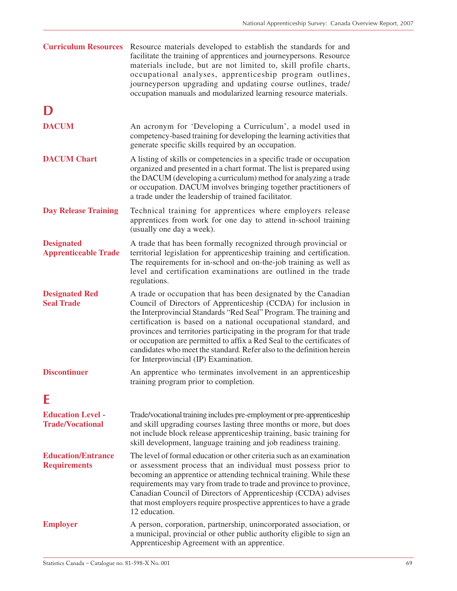| <b>Curriculum Resources</b>                         | Resource materials developed to establish the standards for and<br>facilitate the training of apprentices and journeypersons. Resource<br>materials include, but are not limited to, skill profile charts,<br>occupational analyses, apprenticeship program outlines,<br>journeyperson upgrading and updating course outlines, trade/<br>occupation manuals and modularized learning resource materials.                                                                                                                                       |
|-----------------------------------------------------|------------------------------------------------------------------------------------------------------------------------------------------------------------------------------------------------------------------------------------------------------------------------------------------------------------------------------------------------------------------------------------------------------------------------------------------------------------------------------------------------------------------------------------------------|
|                                                     |                                                                                                                                                                                                                                                                                                                                                                                                                                                                                                                                                |
| <b>DACUM</b>                                        | An acronym for 'Developing a Curriculum', a model used in<br>competency-based training for developing the learning activities that<br>generate specific skills required by an occupation.                                                                                                                                                                                                                                                                                                                                                      |
| <b>DACUM Chart</b>                                  | A listing of skills or competencies in a specific trade or occupation<br>organized and presented in a chart format. The list is prepared using<br>the DACUM (developing a curriculum) method for analyzing a trade<br>or occupation. DACUM involves bringing together practitioners of<br>a trade under the leadership of trained facilitator.                                                                                                                                                                                                 |
| <b>Day Release Training</b>                         | Technical training for apprentices where employers release<br>apprentices from work for one day to attend in-school training<br>(usually one day a week).                                                                                                                                                                                                                                                                                                                                                                                      |
| <b>Designated</b><br><b>Apprenticeable Trade</b>    | A trade that has been formally recognized through provincial or<br>territorial legislation for apprenticeship training and certification.<br>The requirements for in-school and on-the-job training as well as<br>level and certification examinations are outlined in the trade<br>regulations.                                                                                                                                                                                                                                               |
| <b>Designated Red</b><br><b>Seal Trade</b>          | A trade or occupation that has been designated by the Canadian<br>Council of Directors of Apprenticeship (CCDA) for inclusion in<br>the Interprovincial Standards "Red Seal" Program. The training and<br>certification is based on a national occupational standard, and<br>provinces and territories participating in the program for that trade<br>or occupation are permitted to affix a Red Seal to the certificates of<br>candidates who meet the standard. Refer also to the definition herein<br>for Interprovincial (IP) Examination. |
| <b>Discontinuer</b>                                 | An apprentice who terminates involvement in an apprenticeship<br>training program prior to completion.                                                                                                                                                                                                                                                                                                                                                                                                                                         |
| F                                                   |                                                                                                                                                                                                                                                                                                                                                                                                                                                                                                                                                |
| <b>Education Level -</b><br><b>Trade/Vocational</b> | Trade/vocational training includes pre-employment or pre-apprenticeship<br>and skill upgrading courses lasting three months or more, but does<br>not include block release apprenticeship training, basic training for<br>skill development, language training and job readiness training.                                                                                                                                                                                                                                                     |
| <b>Education/Entrance</b><br><b>Requirements</b>    | The level of formal education or other criteria such as an examination<br>or assessment process that an individual must possess prior to<br>becoming an apprentice or attending technical training. While these<br>requirements may vary from trade to trade and province to province,<br>Canadian Council of Directors of Apprenticeship (CCDA) advises<br>that most employers require prospective apprentices to have a grade<br>12 education.                                                                                               |
| <b>Employer</b>                                     | A person, corporation, partnership, unincorporated association, or<br>a municipal, provincial or other public authority eligible to sign an<br>Apprenticeship Agreement with an apprentice.                                                                                                                                                                                                                                                                                                                                                    |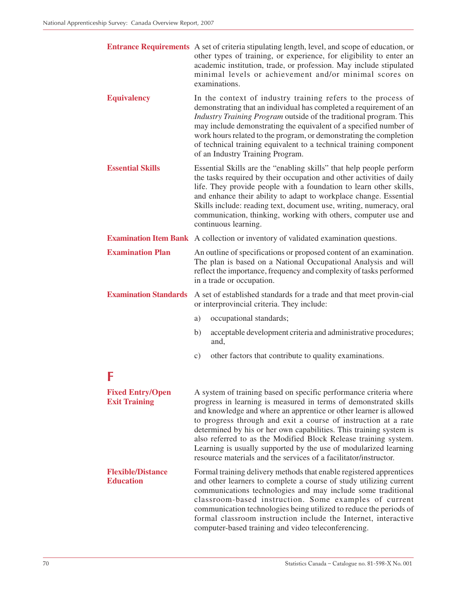|                                                 | <b>Entrance Requirements</b> A set of criteria stipulating length, level, and scope of education, or<br>other types of training, or experience, for eligibility to enter an<br>academic institution, trade, or profession. May include stipulated<br>minimal levels or achievement and/or minimal scores on<br>examinations.                                                                                                                                  |
|-------------------------------------------------|---------------------------------------------------------------------------------------------------------------------------------------------------------------------------------------------------------------------------------------------------------------------------------------------------------------------------------------------------------------------------------------------------------------------------------------------------------------|
| <b>Equivalency</b>                              | In the context of industry training refers to the process of<br>demonstrating that an individual has completed a requirement of an<br>Industry Training Program outside of the traditional program. This<br>may include demonstrating the equivalent of a specified number of<br>work hours related to the program, or demonstrating the completion<br>of technical training equivalent to a technical training component<br>of an Industry Training Program. |
| <b>Essential Skills</b>                         | Essential Skills are the "enabling skills" that help people perform<br>the tasks required by their occupation and other activities of daily<br>life. They provide people with a foundation to learn other skills,<br>and enhance their ability to adapt to workplace change. Essential<br>Skills include: reading text, document use, writing, numeracy, oral<br>communication, thinking, working with others, computer use and<br>continuous learning.       |
|                                                 | <b>Examination Item Bank</b> A collection or inventory of validated examination questions.                                                                                                                                                                                                                                                                                                                                                                    |
| <b>Examination Plan</b>                         | An outline of specifications or proposed content of an examination.<br>The plan is based on a National Occupational Analysis and will<br>reflect the importance, frequency and complexity of tasks performed<br>in a trade or occupation.                                                                                                                                                                                                                     |
| <b>Examination Standards</b>                    | A set of established standards for a trade and that meet provin-cial<br>or interprovincial criteria. They include:                                                                                                                                                                                                                                                                                                                                            |
|                                                 | a)<br>occupational standards;                                                                                                                                                                                                                                                                                                                                                                                                                                 |
|                                                 | acceptable development criteria and administrative procedures;<br>b)<br>and,                                                                                                                                                                                                                                                                                                                                                                                  |
|                                                 | other factors that contribute to quality examinations.<br>c)                                                                                                                                                                                                                                                                                                                                                                                                  |
| F                                               |                                                                                                                                                                                                                                                                                                                                                                                                                                                               |
| <b>Fixed Entry/Open</b><br><b>Exit Training</b> | A system of training based on specific performance criteria where<br>progress in learning is measured in terms of demonstrated skills                                                                                                                                                                                                                                                                                                                         |

**Exit Training** progress in learning is measured in terms of demonstrated skills and knowledge and where an apprentice or other learner is allowed to progress through and exit a course of instruction at a rate determined by his or her own capabilities. This training system is also referred to as the Modified Block Release training system. Learning is usually supported by the use of modularized learning resource materials and the services of a facilitator/instructor. **Flexible/Distance** Formal training delivery methods that enable registered apprentices **Education** and other learners to complete a course of study utilizing current communications technologies and may include some traditional classroom-based instruction. Some examples of current communication technologies being utilized to reduce the periods of

formal classroom instruction include the Internet, interactive

computer-based training and video teleconferencing.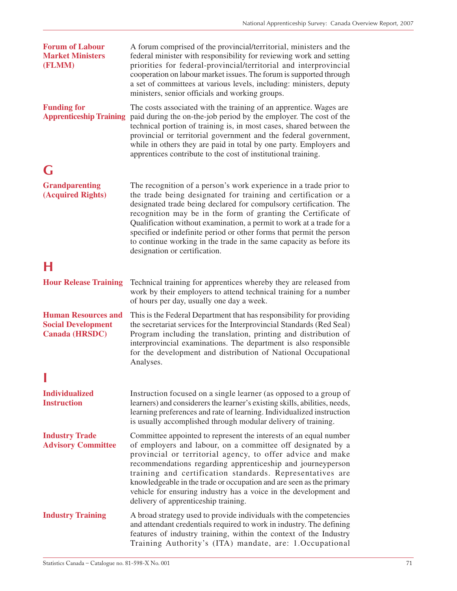| <b>Forum of Labour</b><br><b>Market Ministers</b><br>(FLMM)                      | A forum comprised of the provincial/territorial, ministers and the<br>federal minister with responsibility for reviewing work and setting<br>priorities for federal-provincial/territorial and interprovincial<br>cooperation on labour market issues. The forum is supported through<br>a set of committees at various levels, including: ministers, deputy<br>ministers, senior officials and working groups.                                                                                                                   |
|----------------------------------------------------------------------------------|-----------------------------------------------------------------------------------------------------------------------------------------------------------------------------------------------------------------------------------------------------------------------------------------------------------------------------------------------------------------------------------------------------------------------------------------------------------------------------------------------------------------------------------|
| <b>Funding for</b><br><b>Apprenticeship Training</b>                             | The costs associated with the training of an apprentice. Wages are<br>paid during the on-the-job period by the employer. The cost of the<br>technical portion of training is, in most cases, shared between the<br>provincial or territorial government and the federal government,<br>while in others they are paid in total by one party. Employers and<br>apprentices contribute to the cost of institutional training.                                                                                                        |
| G                                                                                |                                                                                                                                                                                                                                                                                                                                                                                                                                                                                                                                   |
| <b>Grandparenting</b><br>(Acquired Rights)                                       | The recognition of a person's work experience in a trade prior to<br>the trade being designated for training and certification or a<br>designated trade being declared for compulsory certification. The<br>recognition may be in the form of granting the Certificate of<br>Qualification without examination, a permit to work at a trade for a<br>specified or indefinite period or other forms that permit the person<br>to continue working in the trade in the same capacity as before its<br>designation or certification. |
| н                                                                                |                                                                                                                                                                                                                                                                                                                                                                                                                                                                                                                                   |
| <b>Hour Release Training</b>                                                     | Technical training for apprentices whereby they are released from<br>work by their employers to attend technical training for a number<br>of hours per day, usually one day a week.                                                                                                                                                                                                                                                                                                                                               |
| <b>Human Resources and</b><br><b>Social Development</b><br><b>Canada (HRSDC)</b> | This is the Federal Department that has responsibility for providing<br>the secretariat services for the Interprovincial Standards (Red Seal)<br>Program including the translation, printing and distribution of<br>interprovincial examinations. The department is also responsible<br>for the development and distribution of National Occupational<br>Analyses.                                                                                                                                                                |
|                                                                                  |                                                                                                                                                                                                                                                                                                                                                                                                                                                                                                                                   |
| <b>Individualized</b><br><b>Instruction</b>                                      | Instruction focused on a single learner (as opposed to a group of<br>learners) and considerers the learner's existing skills, abilities, needs,<br>learning preferences and rate of learning. Individualized instruction<br>is usually accomplished through modular delivery of training.                                                                                                                                                                                                                                         |
| <b>Industry Trade</b><br><b>Advisory Committee</b>                               | Committee appointed to represent the interests of an equal number<br>of employers and labour, on a committee off designated by a<br>provincial or territorial agency, to offer advice and make<br>recommendations regarding apprenticeship and journeyperson<br>training and certification standards. Representatives are<br>knowledgeable in the trade or occupation and are seen as the primary<br>vehicle for ensuring industry has a voice in the development and<br>delivery of apprenticeship training.                     |
| <b>Industry Training</b>                                                         | A broad strategy used to provide individuals with the competencies<br>and attendant credentials required to work in industry. The defining<br>features of industry training, within the context of the Industry<br>Training Authority's (ITA) mandate, are: 1.Occupational                                                                                                                                                                                                                                                        |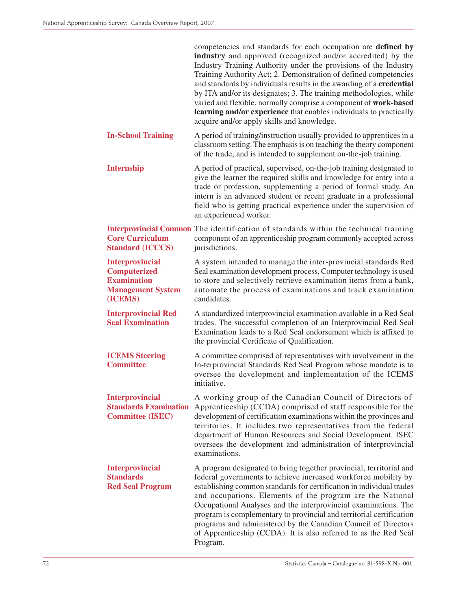|                                                                                                            | competencies and standards for each occupation are defined by<br>industry and approved (recognized and/or accredited) by the<br>Industry Training Authority under the provisions of the Industry<br>Training Authority Act; 2. Demonstration of defined competencies<br>and standards by individuals results in the awarding of a <b>credential</b><br>by ITA and/or its designates; 3. The training methodologies, while<br>varied and flexible, normally comprise a component of work-based<br>learning and/or experience that enables individuals to practically<br>acquire and/or apply skills and knowledge. |
|------------------------------------------------------------------------------------------------------------|-------------------------------------------------------------------------------------------------------------------------------------------------------------------------------------------------------------------------------------------------------------------------------------------------------------------------------------------------------------------------------------------------------------------------------------------------------------------------------------------------------------------------------------------------------------------------------------------------------------------|
| <b>In-School Training</b>                                                                                  | A period of training/instruction usually provided to apprentices in a<br>classroom setting. The emphasis is on teaching the theory component<br>of the trade, and is intended to supplement on-the-job training.                                                                                                                                                                                                                                                                                                                                                                                                  |
| <b>Internship</b>                                                                                          | A period of practical, supervised, on-the-job training designated to<br>give the learner the required skills and knowledge for entry into a<br>trade or profession, supplementing a period of formal study. An<br>intern is an advanced student or recent graduate in a professional<br>field who is getting practical experience under the supervision of<br>an experienced worker.                                                                                                                                                                                                                              |
| <b>Core Curriculum</b><br><b>Standard (ICCCS)</b>                                                          | <b>Interprovincial Common</b> The identification of standards within the technical training<br>component of an apprenticeship program commonly accepted across<br>jurisdictions.                                                                                                                                                                                                                                                                                                                                                                                                                                  |
| <b>Interprovincial</b><br><b>Computerized</b><br><b>Examination</b><br><b>Management System</b><br>(ICEMS) | A system intended to manage the inter-provincial standards Red<br>Seal examination development process, Computer technology is used<br>to store and selectively retrieve examination items from a bank,<br>automate the process of examinations and track examination<br>candidates.                                                                                                                                                                                                                                                                                                                              |
| <b>Interprovincial Red</b><br><b>Seal Examination</b>                                                      | A standardized interprovincial examination available in a Red Seal<br>trades. The successful completion of an Interprovincial Red Seal<br>Examination leads to a Red Seal endorsement which is affixed to<br>the provincial Certificate of Qualification.                                                                                                                                                                                                                                                                                                                                                         |
| <b>ICEMS Steering</b><br><b>Committee</b>                                                                  | A committee comprised of representatives with involvement in the<br>In-terprovincial Standards Red Seal Program whose mandate is to<br>oversee the development and implementation of the ICEMS<br>initiative.                                                                                                                                                                                                                                                                                                                                                                                                     |
| <b>Interprovincial</b><br><b>Standards Examination</b><br><b>Committee (ISEC)</b>                          | A working group of the Canadian Council of Directors of<br>Apprenticeship (CCDA) comprised of staff responsible for the<br>development of certification examinations within the provinces and<br>territories. It includes two representatives from the federal<br>department of Human Resources and Social Development. ISEC<br>oversees the development and administration of interprovincial<br>examinations.                                                                                                                                                                                                   |
| <b>Interprovincial</b><br><b>Standards</b><br><b>Red Seal Program</b>                                      | A program designated to bring together provincial, territorial and<br>federal governments to achieve increased workforce mobility by<br>establishing common standards for certification in individual trades<br>and occupations. Elements of the program are the National<br>Occupational Analyses and the interprovincial examinations. The<br>program is complementary to provincial and territorial certification<br>programs and administered by the Canadian Council of Directors<br>of Apprenticeship (CCDA). It is also referred to as the Red Seal<br>Program.                                            |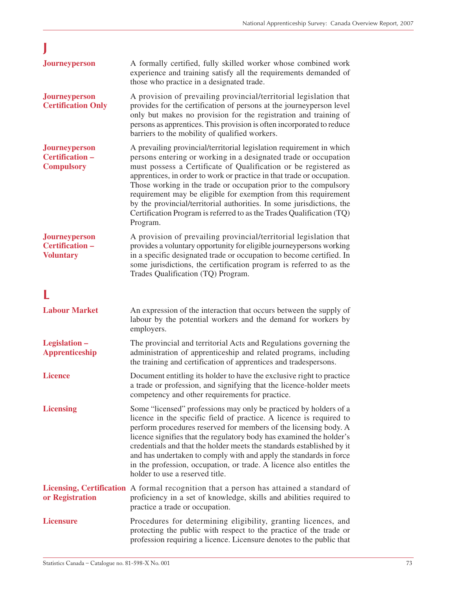| <b>Journeyperson</b>                                         | A formally certified, fully skilled worker whose combined work<br>experience and training satisfy all the requirements demanded of<br>those who practice in a designated trade.                                                                                                                                                                                                                                                                                                                                                                                                           |
|--------------------------------------------------------------|-------------------------------------------------------------------------------------------------------------------------------------------------------------------------------------------------------------------------------------------------------------------------------------------------------------------------------------------------------------------------------------------------------------------------------------------------------------------------------------------------------------------------------------------------------------------------------------------|
| <b>Journeyperson</b><br><b>Certification Only</b>            | A provision of prevailing provincial/territorial legislation that<br>provides for the certification of persons at the journeyperson level<br>only but makes no provision for the registration and training of<br>persons as apprentices. This provision is often incorporated to reduce<br>barriers to the mobility of qualified workers.                                                                                                                                                                                                                                                 |
| <b>Journeyperson</b><br>Certification -<br><b>Compulsory</b> | A prevailing provincial/territorial legislation requirement in which<br>persons entering or working in a designated trade or occupation<br>must possess a Certificate of Qualification or be registered as<br>apprentices, in order to work or practice in that trade or occupation.<br>Those working in the trade or occupation prior to the compulsory<br>requirement may be eligible for exemption from this requirement<br>by the provincial/territorial authorities. In some jurisdictions, the<br>Certification Program is referred to as the Trades Qualification (TQ)<br>Program. |
| Journeyperson<br>Certification-<br><b>Voluntary</b>          | A provision of prevailing provincial/territorial legislation that<br>provides a voluntary opportunity for eligible journeypersons working<br>in a specific designated trade or occupation to become certified. In<br>some jurisdictions, the certification program is referred to as the<br>Trades Qualification (TQ) Program.                                                                                                                                                                                                                                                            |
|                                                              |                                                                                                                                                                                                                                                                                                                                                                                                                                                                                                                                                                                           |
| <b>Labour Market</b>                                         | An expression of the interaction that occurs between the supply of<br>labour by the potential workers and the demand for workers by<br>employers.                                                                                                                                                                                                                                                                                                                                                                                                                                         |
| Legislation -<br><b>Apprenticeship</b>                       | The provincial and territorial Acts and Regulations governing the<br>administration of apprenticeship and related programs, including<br>the training and certification of apprentices and tradespersons.                                                                                                                                                                                                                                                                                                                                                                                 |
| <b>Licence</b>                                               | Document entitling its holder to have the exclusive right to practice<br>a trade or profession, and signifying that the licence-holder meets<br>competency and other requirements for practice.                                                                                                                                                                                                                                                                                                                                                                                           |
| <b>Licensing</b>                                             | Some "licensed" professions may only be practiced by holders of a<br>licence in the specific field of practice. A licence is required to<br>perform procedures reserved for members of the licensing body. A<br>licence signifies that the regulatory body has examined the holder's<br>credentials and that the holder meets the standards established by it<br>and has undertaken to comply with and apply the standards in force<br>in the profession, occupation, or trade. A licence also entitles the<br>holder to use a reserved title.                                            |
| or Registration                                              | Licensing, Certification A formal recognition that a person has attained a standard of<br>proficiency in a set of knowledge, skills and abilities required to<br>practice a trade or occupation.                                                                                                                                                                                                                                                                                                                                                                                          |
| <b>Licensure</b>                                             | Procedures for determining eligibility, granting licences, and<br>protecting the public with respect to the practice of the trade or<br>profession requiring a licence. Licensure denotes to the public that                                                                                                                                                                                                                                                                                                                                                                              |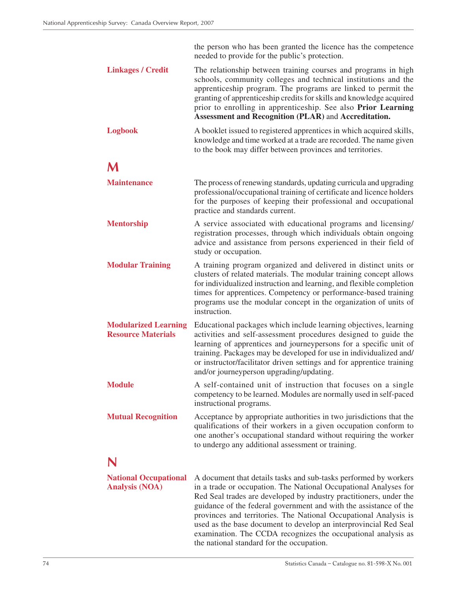|                                                          | the person who has been granted the licence has the competence<br>needed to provide for the public's protection.                                                                                                                                                                                                                                                                                                        |
|----------------------------------------------------------|-------------------------------------------------------------------------------------------------------------------------------------------------------------------------------------------------------------------------------------------------------------------------------------------------------------------------------------------------------------------------------------------------------------------------|
| <b>Linkages / Credit</b>                                 | The relationship between training courses and programs in high<br>schools, community colleges and technical institutions and the<br>apprenticeship program. The programs are linked to permit the<br>granting of apprenticeship credits for skills and knowledge acquired<br>prior to enrolling in apprenticeship. See also Prior Learning<br>Assessment and Recognition (PLAR) and Accreditation.                      |
| <b>Logbook</b>                                           | A booklet issued to registered apprentices in which acquired skills,<br>knowledge and time worked at a trade are recorded. The name given<br>to the book may differ between provinces and territories.                                                                                                                                                                                                                  |
|                                                          |                                                                                                                                                                                                                                                                                                                                                                                                                         |
| <b>Maintenance</b>                                       | The process of renewing standards, updating curricula and upgrading<br>professional/occupational training of certificate and licence holders<br>for the purposes of keeping their professional and occupational<br>practice and standards current.                                                                                                                                                                      |
| <b>Mentorship</b>                                        | A service associated with educational programs and licensing/<br>registration processes, through which individuals obtain ongoing<br>advice and assistance from persons experienced in their field of<br>study or occupation.                                                                                                                                                                                           |
| <b>Modular Training</b>                                  | A training program organized and delivered in distinct units or<br>clusters of related materials. The modular training concept allows<br>for individualized instruction and learning, and flexible completion<br>times for apprentices. Competency or performance-based training<br>programs use the modular concept in the organization of units of<br>instruction.                                                    |
| <b>Modularized Learning</b><br><b>Resource Materials</b> | Educational packages which include learning objectives, learning<br>activities and self-assessment procedures designed to guide the<br>learning of apprentices and journeypersons for a specific unit of<br>training. Packages may be developed for use in individualized and/<br>or instructor/facilitator driven settings and for apprentice training<br>and/or journeyperson upgrading/updating.                     |
| <b>Module</b>                                            | A self-contained unit of instruction that focuses on a single<br>competency to be learned. Modules are normally used in self-paced<br>instructional programs.                                                                                                                                                                                                                                                           |
| <b>Mutual Recognition</b>                                | Acceptance by appropriate authorities in two jurisdictions that the<br>qualifications of their workers in a given occupation conform to<br>one another's occupational standard without requiring the worker<br>to undergo any additional assessment or training.                                                                                                                                                        |
|                                                          |                                                                                                                                                                                                                                                                                                                                                                                                                         |
| <b>National Occupational</b><br><b>Analysis (NOA)</b>    | A document that details tasks and sub-tasks performed by workers<br>in a trade or occupation. The National Occupational Analyses for<br>Red Seal trades are developed by industry practitioners, under the<br>guidance of the federal government and with the assistance of the<br>provinces and territories. The National Occupational Analysis is<br>used as the base document to develop an interprovincial Red Seal |

examination. The CCDA recognizes the occupational analysis as

the national standard for the occupation.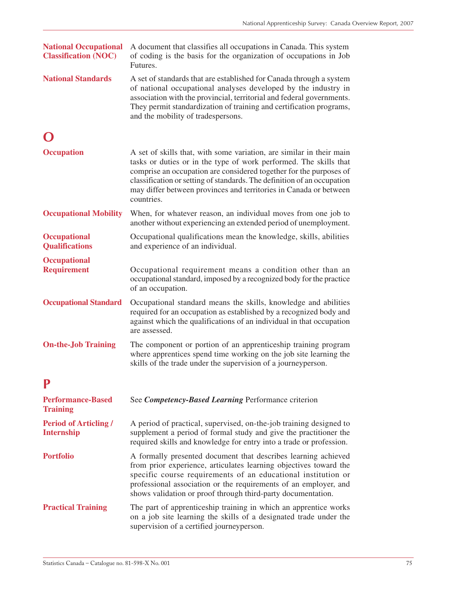| <b>National Occupational</b><br><b>Classification (NOC)</b> | A document that classifies all occupations in Canada. This system<br>of coding is the basis for the organization of occupations in Job<br>Futures.                                                                                                                                                                                                                            |
|-------------------------------------------------------------|-------------------------------------------------------------------------------------------------------------------------------------------------------------------------------------------------------------------------------------------------------------------------------------------------------------------------------------------------------------------------------|
| <b>National Standards</b>                                   | A set of standards that are established for Canada through a system<br>of national occupational analyses developed by the industry in<br>association with the provincial, territorial and federal governments.<br>They permit standardization of training and certification programs,<br>and the mobility of tradespersons.                                                   |
|                                                             |                                                                                                                                                                                                                                                                                                                                                                               |
| <b>Occupation</b>                                           | A set of skills that, with some variation, are similar in their main<br>tasks or duties or in the type of work performed. The skills that<br>comprise an occupation are considered together for the purposes of<br>classification or setting of standards. The definition of an occupation<br>may differ between provinces and territories in Canada or between<br>countries. |
| <b>Occupational Mobility</b>                                | When, for whatever reason, an individual moves from one job to<br>another without experiencing an extended period of unemployment.                                                                                                                                                                                                                                            |
| <b>Occupational</b><br><b>Qualifications</b>                | Occupational qualifications mean the knowledge, skills, abilities<br>and experience of an individual.                                                                                                                                                                                                                                                                         |
| <b>Occupational</b><br><b>Requirement</b>                   | Occupational requirement means a condition other than an<br>occupational standard, imposed by a recognized body for the practice<br>of an occupation.                                                                                                                                                                                                                         |
| <b>Occupational Standard</b>                                | Occupational standard means the skills, knowledge and abilities<br>required for an occupation as established by a recognized body and<br>against which the qualifications of an individual in that occupation<br>are assessed.                                                                                                                                                |
| <b>On-the-Job Training</b>                                  | The component or portion of an apprenticeship training program<br>where apprentices spend time working on the job site learning the<br>skills of the trade under the supervision of a journeyperson.                                                                                                                                                                          |
|                                                             |                                                                                                                                                                                                                                                                                                                                                                               |
| <b>Performance-Based</b><br><b>Training</b>                 | See Competency-Based Learning Performance criterion                                                                                                                                                                                                                                                                                                                           |
| <b>Period of Articling /</b><br><b>Internship</b>           | A period of practical, supervised, on-the-job training designed to<br>supplement a period of formal study and give the practitioner the<br>required skills and knowledge for entry into a trade or profession.                                                                                                                                                                |
| <b>Portfolio</b>                                            | A formally presented document that describes learning achieved<br>from prior experience, articulates learning objectives toward the<br>specific course requirements of an educational institution or<br>professional association or the requirements of an employer, and<br>shows validation or proof through third-party documentation.                                      |
| <b>Practical Training</b>                                   | The part of apprenticeship training in which an apprentice works<br>on a job site learning the skills of a designated trade under the<br>supervision of a certified journeyperson.                                                                                                                                                                                            |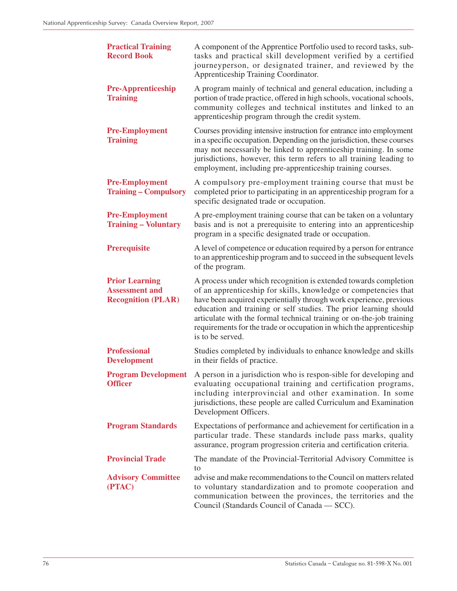| <b>Practical Training</b><br><b>Record Book</b>                             | A component of the Apprentice Portfolio used to record tasks, sub-<br>tasks and practical skill development verified by a certified<br>journeyperson, or designated trainer, and reviewed by the<br>Apprenticeship Training Coordinator.                                                                                                                                                                                                            |
|-----------------------------------------------------------------------------|-----------------------------------------------------------------------------------------------------------------------------------------------------------------------------------------------------------------------------------------------------------------------------------------------------------------------------------------------------------------------------------------------------------------------------------------------------|
| <b>Pre-Apprenticeship</b><br><b>Training</b>                                | A program mainly of technical and general education, including a<br>portion of trade practice, offered in high schools, vocational schools,<br>community colleges and technical institutes and linked to an<br>apprenticeship program through the credit system.                                                                                                                                                                                    |
| <b>Pre-Employment</b><br><b>Training</b>                                    | Courses providing intensive instruction for entrance into employment<br>in a specific occupation. Depending on the jurisdiction, these courses<br>may not necessarily be linked to apprenticeship training. In some<br>jurisdictions, however, this term refers to all training leading to<br>employment, including pre-apprenticeship training courses.                                                                                            |
| <b>Pre-Employment</b><br><b>Training – Compulsory</b>                       | A compulsory pre-employment training course that must be<br>completed prior to participating in an apprenticeship program for a<br>specific designated trade or occupation.                                                                                                                                                                                                                                                                         |
| <b>Pre-Employment</b><br><b>Training – Voluntary</b>                        | A pre-employment training course that can be taken on a voluntary<br>basis and is not a prerequisite to entering into an apprenticeship<br>program in a specific designated trade or occupation.                                                                                                                                                                                                                                                    |
| <b>Prerequisite</b>                                                         | A level of competence or education required by a person for entrance<br>to an apprenticeship program and to succeed in the subsequent levels<br>of the program.                                                                                                                                                                                                                                                                                     |
| <b>Prior Learning</b><br><b>Assessment and</b><br><b>Recognition (PLAR)</b> | A process under which recognition is extended towards completion<br>of an apprenticeship for skills, knowledge or competencies that<br>have been acquired experientially through work experience, previous<br>education and training or self studies. The prior learning should<br>articulate with the formal technical training or on-the-job training<br>requirements for the trade or occupation in which the apprenticeship<br>is to be served. |
| <b>Professional</b><br><b>Development</b>                                   | Studies completed by individuals to enhance knowledge and skills<br>in their fields of practice.                                                                                                                                                                                                                                                                                                                                                    |
| <b>Officer</b>                                                              | <b>Program Development</b> A person in a jurisdiction who is respon-sible for developing and<br>evaluating occupational training and certification programs,<br>including interprovincial and other examination. In some<br>jurisdictions, these people are called Curriculum and Examination<br>Development Officers.                                                                                                                              |
| <b>Program Standards</b>                                                    | Expectations of performance and achievement for certification in a<br>particular trade. These standards include pass marks, quality<br>assurance, program progression criteria and certification criteria.                                                                                                                                                                                                                                          |
| <b>Provincial Trade</b>                                                     | The mandate of the Provincial-Territorial Advisory Committee is                                                                                                                                                                                                                                                                                                                                                                                     |
| <b>Advisory Committee</b><br>(PTAC)                                         | to<br>advise and make recommendations to the Council on matters related<br>to voluntary standardization and to promote cooperation and<br>communication between the provinces, the territories and the<br>Council (Standards Council of Canada — SCC).                                                                                                                                                                                              |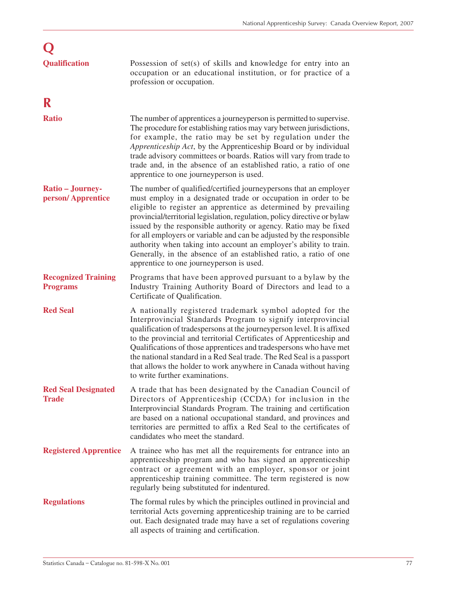| <b>Qualification</b>                          | Possession of $set(s)$ of skills and knowledge for entry into an<br>occupation or an educational institution, or for practice of a<br>profession or occupation.                                                                                                                                                                                                                                                                                                                                                                                                                                                        |
|-----------------------------------------------|------------------------------------------------------------------------------------------------------------------------------------------------------------------------------------------------------------------------------------------------------------------------------------------------------------------------------------------------------------------------------------------------------------------------------------------------------------------------------------------------------------------------------------------------------------------------------------------------------------------------|
| R                                             |                                                                                                                                                                                                                                                                                                                                                                                                                                                                                                                                                                                                                        |
| <b>Ratio</b>                                  | The number of apprentices a journey person is permitted to supervise.<br>The procedure for establishing ratios may vary between jurisdictions,<br>for example, the ratio may be set by regulation under the<br>Apprenticeship Act, by the Apprenticeship Board or by individual<br>trade advisory committees or boards. Ratios will vary from trade to<br>trade and, in the absence of an established ratio, a ratio of one<br>apprentice to one journeyperson is used.                                                                                                                                                |
| Ratio - Journey-<br>person/Apprentice         | The number of qualified/certified journeypersons that an employer<br>must employ in a designated trade or occupation in order to be<br>eligible to register an apprentice as determined by prevailing<br>provincial/territorial legislation, regulation, policy directive or bylaw<br>issued by the responsible authority or agency. Ratio may be fixed<br>for all employers or variable and can be adjusted by the responsible<br>authority when taking into account an employer's ability to train.<br>Generally, in the absence of an established ratio, a ratio of one<br>apprentice to one journeyperson is used. |
| <b>Recognized Training</b><br><b>Programs</b> | Programs that have been approved pursuant to a bylaw by the<br>Industry Training Authority Board of Directors and lead to a<br>Certificate of Qualification.                                                                                                                                                                                                                                                                                                                                                                                                                                                           |
| <b>Red Seal</b>                               | A nationally registered trademark symbol adopted for the<br>Interprovincial Standards Program to signify interprovincial<br>qualification of tradespersons at the journeyperson level. It is affixed<br>to the provincial and territorial Certificates of Apprenticeship and<br>Qualifications of those apprentices and tradespersons who have met<br>the national standard in a Red Seal trade. The Red Seal is a passport<br>that allows the holder to work anywhere in Canada without having<br>to write further examinations.                                                                                      |
| <b>Red Seal Designated</b><br><b>Trade</b>    | A trade that has been designated by the Canadian Council of<br>Directors of Apprenticeship (CCDA) for inclusion in the<br>Interprovincial Standards Program. The training and certification<br>are based on a national occupational standard, and provinces and<br>territories are permitted to affix a Red Seal to the certificates of<br>candidates who meet the standard.                                                                                                                                                                                                                                           |
| <b>Registered Apprentice</b>                  | A trainee who has met all the requirements for entrance into an<br>apprenticeship program and who has signed an apprenticeship<br>contract or agreement with an employer, sponsor or joint<br>apprenticeship training committee. The term registered is now<br>regularly being substituted for indentured.                                                                                                                                                                                                                                                                                                             |
| <b>Regulations</b>                            | The formal rules by which the principles outlined in provincial and<br>territorial Acts governing apprenticeship training are to be carried<br>out. Each designated trade may have a set of regulations covering<br>all aspects of training and certification.                                                                                                                                                                                                                                                                                                                                                         |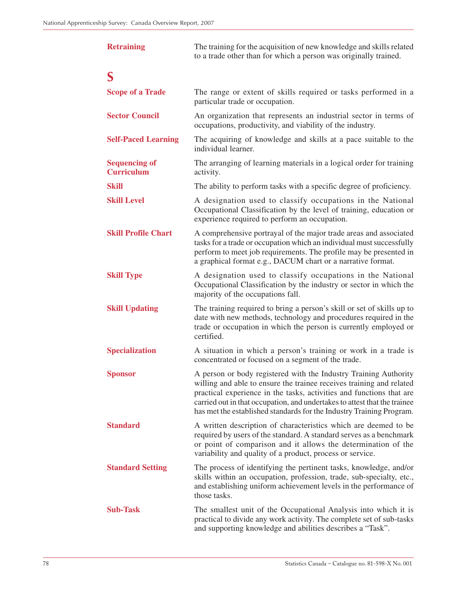| <b>Retraining</b>                         | The training for the acquisition of new knowledge and skills related<br>to a trade other than for which a person was originally trained.                                                                                                                                                                                                                              |  |
|-------------------------------------------|-----------------------------------------------------------------------------------------------------------------------------------------------------------------------------------------------------------------------------------------------------------------------------------------------------------------------------------------------------------------------|--|
| S                                         |                                                                                                                                                                                                                                                                                                                                                                       |  |
| <b>Scope of a Trade</b>                   | The range or extent of skills required or tasks performed in a<br>particular trade or occupation.                                                                                                                                                                                                                                                                     |  |
| <b>Sector Council</b>                     | An organization that represents an industrial sector in terms of<br>occupations, productivity, and viability of the industry.                                                                                                                                                                                                                                         |  |
| <b>Self-Paced Learning</b>                | The acquiring of knowledge and skills at a pace suitable to the<br>individual learner.                                                                                                                                                                                                                                                                                |  |
| <b>Sequencing of</b><br><b>Curriculum</b> | The arranging of learning materials in a logical order for training<br>activity.                                                                                                                                                                                                                                                                                      |  |
| <b>Skill</b>                              | The ability to perform tasks with a specific degree of proficiency.                                                                                                                                                                                                                                                                                                   |  |
| <b>Skill Level</b>                        | A designation used to classify occupations in the National<br>Occupational Classification by the level of training, education or<br>experience required to perform an occupation.                                                                                                                                                                                     |  |
| <b>Skill Profile Chart</b>                | A comprehensive portrayal of the major trade areas and associated<br>tasks for a trade or occupation which an individual must successfully<br>perform to meet job requirements. The profile may be presented in<br>a graphical format e.g., DACUM chart or a narrative format.                                                                                        |  |
| <b>Skill Type</b>                         | A designation used to classify occupations in the National<br>Occupational Classification by the industry or sector in which the<br>majority of the occupations fall.                                                                                                                                                                                                 |  |
| <b>Skill Updating</b>                     | The training required to bring a person's skill or set of skills up to<br>date with new methods, technology and procedures required in the<br>trade or occupation in which the person is currently employed or<br>certified.                                                                                                                                          |  |
| <b>Specialization</b>                     | A situation in which a person's training or work in a trade is<br>concentrated or focused on a segment of the trade.                                                                                                                                                                                                                                                  |  |
| <b>Sponsor</b>                            | A person or body registered with the Industry Training Authority<br>willing and able to ensure the trainee receives training and related<br>practical experience in the tasks, activities and functions that are<br>carried out in that occupation, and undertakes to attest that the trainee<br>has met the established standards for the Industry Training Program. |  |
| <b>Standard</b>                           | A written description of characteristics which are deemed to be<br>required by users of the standard. A standard serves as a benchmark<br>or point of comparison and it allows the determination of the<br>variability and quality of a product, process or service.                                                                                                  |  |
| <b>Standard Setting</b>                   | The process of identifying the pertinent tasks, knowledge, and/or<br>skills within an occupation, profession, trade, sub-specialty, etc.,<br>and establishing uniform achievement levels in the performance of<br>those tasks.                                                                                                                                        |  |
| <b>Sub-Task</b>                           | The smallest unit of the Occupational Analysis into which it is<br>practical to divide any work activity. The complete set of sub-tasks<br>and supporting knowledge and abilities describes a "Task".                                                                                                                                                                 |  |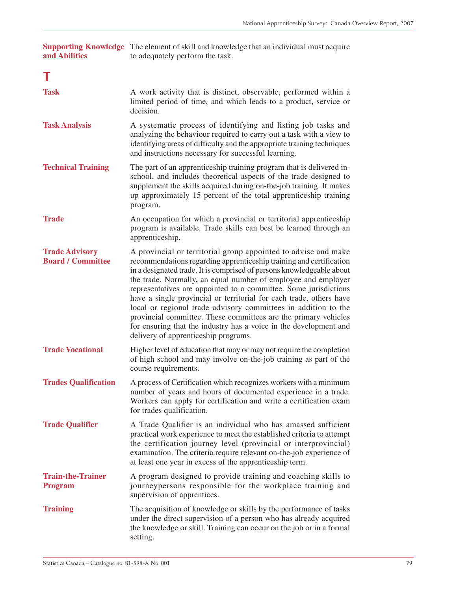| and Abilities                                     | <b>Supporting Knowledge</b> The element of skill and knowledge that an individual must acquire<br>to adequately perform the task.                                                                                                                                                                                                                                                                                                                                                                                                                                                                                                                                            |
|---------------------------------------------------|------------------------------------------------------------------------------------------------------------------------------------------------------------------------------------------------------------------------------------------------------------------------------------------------------------------------------------------------------------------------------------------------------------------------------------------------------------------------------------------------------------------------------------------------------------------------------------------------------------------------------------------------------------------------------|
|                                                   |                                                                                                                                                                                                                                                                                                                                                                                                                                                                                                                                                                                                                                                                              |
| <b>Task</b>                                       | A work activity that is distinct, observable, performed within a<br>limited period of time, and which leads to a product, service or<br>decision.                                                                                                                                                                                                                                                                                                                                                                                                                                                                                                                            |
| <b>Task Analysis</b>                              | A systematic process of identifying and listing job tasks and<br>analyzing the behaviour required to carry out a task with a view to<br>identifying areas of difficulty and the appropriate training techniques<br>and instructions necessary for successful learning.                                                                                                                                                                                                                                                                                                                                                                                                       |
| <b>Technical Training</b>                         | The part of an apprenticeship training program that is delivered in-<br>school, and includes theoretical aspects of the trade designed to<br>supplement the skills acquired during on-the-job training. It makes<br>up approximately 15 percent of the total apprenticeship training<br>program.                                                                                                                                                                                                                                                                                                                                                                             |
| <b>Trade</b>                                      | An occupation for which a provincial or territorial apprenticeship<br>program is available. Trade skills can best be learned through an<br>apprenticeship.                                                                                                                                                                                                                                                                                                                                                                                                                                                                                                                   |
| <b>Trade Advisory</b><br><b>Board / Committee</b> | A provincial or territorial group appointed to advise and make<br>recommendations regarding apprenticeship training and certification<br>in a designated trade. It is comprised of persons knowledgeable about<br>the trade. Normally, an equal number of employee and employer<br>representatives are appointed to a committee. Some jurisdictions<br>have a single provincial or territorial for each trade, others have<br>local or regional trade advisory committees in addition to the<br>provincial committee. These committees are the primary vehicles<br>for ensuring that the industry has a voice in the development and<br>delivery of apprenticeship programs. |
| <b>Trade Vocational</b>                           | Higher level of education that may or may not require the completion<br>of high school and may involve on-the-job training as part of the<br>course requirements.                                                                                                                                                                                                                                                                                                                                                                                                                                                                                                            |
| <b>Trades Qualification</b>                       | A process of Certification which recognizes workers with a minimum<br>number of years and hours of documented experience in a trade.<br>Workers can apply for certification and write a certification exam<br>for trades qualification.                                                                                                                                                                                                                                                                                                                                                                                                                                      |
| <b>Trade Qualifier</b>                            | A Trade Qualifier is an individual who has amassed sufficient<br>practical work experience to meet the established criteria to attempt<br>the certification journey level (provincial or interprovincial)<br>examination. The criteria require relevant on-the-job experience of<br>at least one year in excess of the apprenticeship term.                                                                                                                                                                                                                                                                                                                                  |
| <b>Train-the-Trainer</b><br><b>Program</b>        | A program designed to provide training and coaching skills to<br>journeypersons responsible for the workplace training and<br>supervision of apprentices.                                                                                                                                                                                                                                                                                                                                                                                                                                                                                                                    |
| <b>Training</b>                                   | The acquisition of knowledge or skills by the performance of tasks<br>under the direct supervision of a person who has already acquired<br>the knowledge or skill. Training can occur on the job or in a formal<br>setting.                                                                                                                                                                                                                                                                                                                                                                                                                                                  |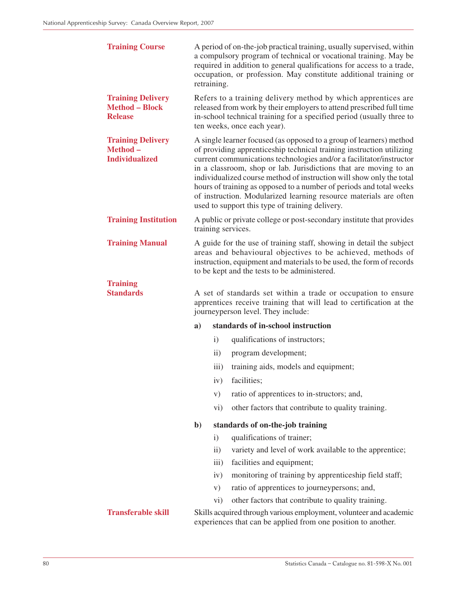| <b>Training Course</b>                                              | A period of on-the-job practical training, usually supervised, within<br>a compulsory program of technical or vocational training. May be<br>required in addition to general qualifications for access to a trade,<br>occupation, or profession. May constitute additional training or<br>retraining.                                                                                                                                                                                                                                                         |                                                                                                                                     |  |  |  |
|---------------------------------------------------------------------|---------------------------------------------------------------------------------------------------------------------------------------------------------------------------------------------------------------------------------------------------------------------------------------------------------------------------------------------------------------------------------------------------------------------------------------------------------------------------------------------------------------------------------------------------------------|-------------------------------------------------------------------------------------------------------------------------------------|--|--|--|
| <b>Training Delivery</b><br><b>Method - Block</b><br><b>Release</b> | Refers to a training delivery method by which apprentices are<br>released from work by their employers to attend prescribed full time<br>in-school technical training for a specified period (usually three to<br>ten weeks, once each year).                                                                                                                                                                                                                                                                                                                 |                                                                                                                                     |  |  |  |
| <b>Training Delivery</b><br>Method-<br><b>Individualized</b>        | A single learner focused (as opposed to a group of learners) method<br>of providing apprenticeship technical training instruction utilizing<br>current communications technologies and/or a facilitator/instructor<br>in a classroom, shop or lab. Jurisdictions that are moving to an<br>individualized course method of instruction will show only the total<br>hours of training as opposed to a number of periods and total weeks<br>of instruction. Modularized learning resource materials are often<br>used to support this type of training delivery. |                                                                                                                                     |  |  |  |
| <b>Training Institution</b>                                         |                                                                                                                                                                                                                                                                                                                                                                                                                                                                                                                                                               | A public or private college or post-secondary institute that provides<br>training services.                                         |  |  |  |
| <b>Training Manual</b>                                              | A guide for the use of training staff, showing in detail the subject<br>areas and behavioural objectives to be achieved, methods of<br>instruction, equipment and materials to be used, the form of records<br>to be kept and the tests to be administered.                                                                                                                                                                                                                                                                                                   |                                                                                                                                     |  |  |  |
| <b>Training</b><br><b>Standards</b>                                 | A set of standards set within a trade or occupation to ensure<br>apprentices receive training that will lead to certification at the<br>journeyperson level. They include:                                                                                                                                                                                                                                                                                                                                                                                    |                                                                                                                                     |  |  |  |
|                                                                     | a)                                                                                                                                                                                                                                                                                                                                                                                                                                                                                                                                                            | standards of in-school instruction                                                                                                  |  |  |  |
|                                                                     | $\mathbf{i}$                                                                                                                                                                                                                                                                                                                                                                                                                                                                                                                                                  | qualifications of instructors;                                                                                                      |  |  |  |
|                                                                     | $\rm ii)$                                                                                                                                                                                                                                                                                                                                                                                                                                                                                                                                                     | program development;                                                                                                                |  |  |  |
|                                                                     | $\overline{iii}$                                                                                                                                                                                                                                                                                                                                                                                                                                                                                                                                              | training aids, models and equipment;                                                                                                |  |  |  |
|                                                                     | iv)                                                                                                                                                                                                                                                                                                                                                                                                                                                                                                                                                           | facilities;                                                                                                                         |  |  |  |
|                                                                     | V)                                                                                                                                                                                                                                                                                                                                                                                                                                                                                                                                                            | ratio of apprentices to in-structors; and,                                                                                          |  |  |  |
|                                                                     | $\rm vi)$                                                                                                                                                                                                                                                                                                                                                                                                                                                                                                                                                     | other factors that contribute to quality training.                                                                                  |  |  |  |
|                                                                     | $\mathbf{b}$                                                                                                                                                                                                                                                                                                                                                                                                                                                                                                                                                  | standards of on-the-job training                                                                                                    |  |  |  |
|                                                                     | $\mathbf{i}$                                                                                                                                                                                                                                                                                                                                                                                                                                                                                                                                                  | qualifications of trainer;                                                                                                          |  |  |  |
|                                                                     | $\overline{ii}$ )                                                                                                                                                                                                                                                                                                                                                                                                                                                                                                                                             | variety and level of work available to the apprentice;                                                                              |  |  |  |
|                                                                     | iii)                                                                                                                                                                                                                                                                                                                                                                                                                                                                                                                                                          | facilities and equipment;                                                                                                           |  |  |  |
|                                                                     | iv)                                                                                                                                                                                                                                                                                                                                                                                                                                                                                                                                                           | monitoring of training by apprenticeship field staff;                                                                               |  |  |  |
|                                                                     | V)                                                                                                                                                                                                                                                                                                                                                                                                                                                                                                                                                            | ratio of apprentices to journeypersons; and,                                                                                        |  |  |  |
|                                                                     | $\rm vi)$                                                                                                                                                                                                                                                                                                                                                                                                                                                                                                                                                     | other factors that contribute to quality training.                                                                                  |  |  |  |
| <b>Transferable skill</b>                                           |                                                                                                                                                                                                                                                                                                                                                                                                                                                                                                                                                               | Skills acquired through various employment, volunteer and academic<br>experiences that can be applied from one position to another. |  |  |  |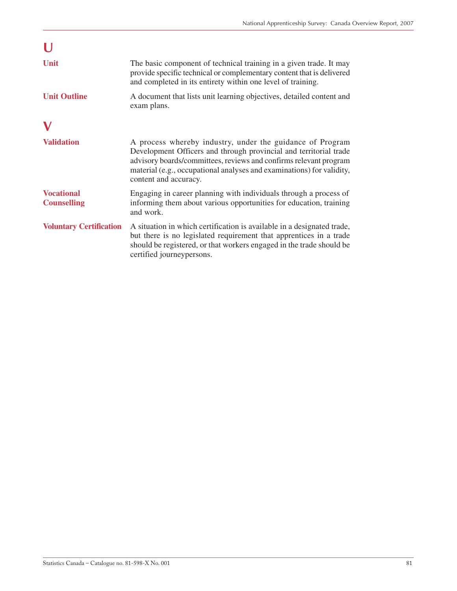| Unit                                    | The basic component of technical training in a given trade. It may<br>provide specific technical or complementary content that is delivered<br>and completed in its entirety within one level of training.                                                                                            |
|-----------------------------------------|-------------------------------------------------------------------------------------------------------------------------------------------------------------------------------------------------------------------------------------------------------------------------------------------------------|
| <b>Unit Outline</b>                     | A document that lists unit learning objectives, detailed content and<br>exam plans.                                                                                                                                                                                                                   |
|                                         |                                                                                                                                                                                                                                                                                                       |
| <b>Validation</b>                       | A process whereby industry, under the guidance of Program<br>Development Officers and through provincial and territorial trade<br>advisory boards/committees, reviews and confirms relevant program<br>material (e.g., occupational analyses and examinations) for validity,<br>content and accuracy. |
| <b>Vocational</b><br><b>Counselling</b> | Engaging in career planning with individuals through a process of<br>informing them about various opportunities for education, training<br>and work.                                                                                                                                                  |
| <b>Voluntary Certification</b>          | A situation in which certification is available in a designated trade,<br>but there is no legislated requirement that apprentices in a trade<br>should be registered, or that workers engaged in the trade should be<br>certified journeypersons.                                                     |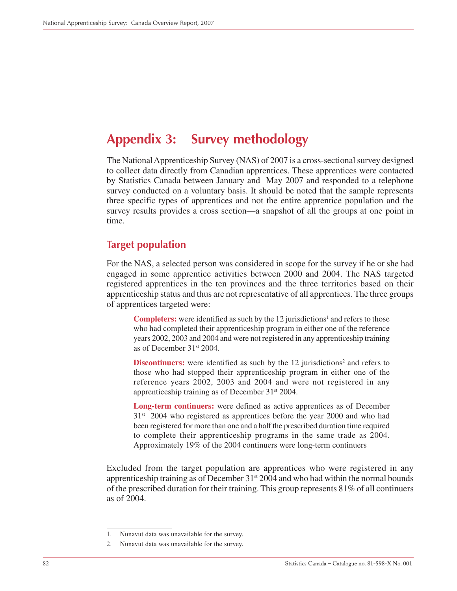# **Appendix 3: Survey methodology**

The National Apprenticeship Survey (NAS) of 2007 is a cross-sectional survey designed to collect data directly from Canadian apprentices. These apprentices were contacted by Statistics Canada between January and May 2007 and responded to a telephone survey conducted on a voluntary basis. It should be noted that the sample represents three specific types of apprentices and not the entire apprentice population and the survey results provides a cross section—a snapshot of all the groups at one point in time.

# **Target population**

For the NAS, a selected person was considered in scope for the survey if he or she had engaged in some apprentice activities between 2000 and 2004. The NAS targeted registered apprentices in the ten provinces and the three territories based on their apprenticeship status and thus are not representative of all apprentices. The three groups of apprentices targeted were:

**Completers:** were identified as such by the 12 jurisdictions<sup>1</sup> and refers to those who had completed their apprenticeship program in either one of the reference years 2002, 2003 and 2004 and were not registered in any apprenticeship training as of December 31st 2004.

**Discontinuers:** were identified as such by the 12 jurisdictions<sup>2</sup> and refers to those who had stopped their apprenticeship program in either one of the reference years 2002, 2003 and 2004 and were not registered in any apprenticeship training as of December 31st 2004.

**Long-term continuers:** were defined as active apprentices as of December  $31<sup>st</sup>$  2004 who registered as apprentices before the year 2000 and who had been registered for more than one and a half the prescribed duration time required to complete their apprenticeship programs in the same trade as 2004. Approximately 19% of the 2004 continuers were long-term continuers

Excluded from the target population are apprentices who were registered in any apprenticeship training as of December 31<sup>st</sup> 2004 and who had within the normal bounds of the prescribed duration for their training. This group represents 81% of all continuers as of 2004.

<sup>1.</sup> Nunavut data was unavailable for the survey.

<sup>2.</sup> Nunavut data was unavailable for the survey.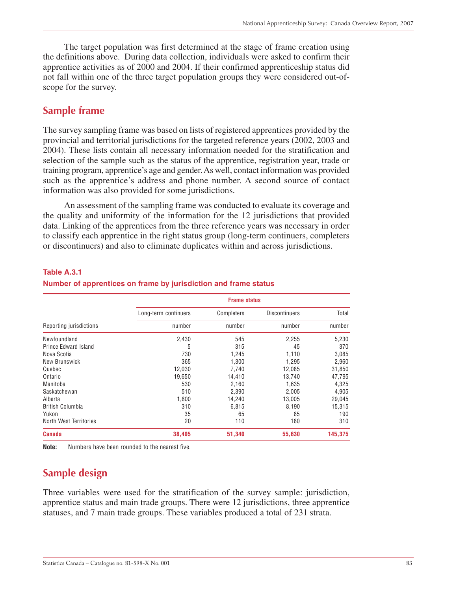The target population was first determined at the stage of frame creation using the definitions above. During data collection, individuals were asked to confirm their apprentice activities as of 2000 and 2004. If their confirmed apprenticeship status did not fall within one of the three target population groups they were considered out-ofscope for the survey.

# **Sample frame**

The survey sampling frame was based on lists of registered apprentices provided by the provincial and territorial jurisdictions for the targeted reference years (2002, 2003 and 2004). These lists contain all necessary information needed for the stratification and selection of the sample such as the status of the apprentice, registration year, trade or training program, apprentice's age and gender. As well, contact information was provided such as the apprentice's address and phone number. A second source of contact information was also provided for some jurisdictions.

An assessment of the sampling frame was conducted to evaluate its coverage and the quality and uniformity of the information for the 12 jurisdictions that provided data. Linking of the apprentices from the three reference years was necessary in order to classify each apprentice in the right status group (long-term continuers, completers or discontinuers) and also to eliminate duplicates within and across jurisdictions.

|                         | <b>Frame status</b>  |            |                      |         |  |  |
|-------------------------|----------------------|------------|----------------------|---------|--|--|
|                         | Long-term continuers | Completers | <b>Discontinuers</b> | Total   |  |  |
| Reporting jurisdictions | number               | number     | number               | number  |  |  |
| Newfoundland            | 2,430                | 545        | 2,255                | 5,230   |  |  |
| Prince Edward Island    | 5                    | 315        | 45                   | 370     |  |  |
| Nova Scotia             | 730                  | 1,245      | 1,110                | 3,085   |  |  |
| New Brunswick           | 365                  | 1,300      | 1,295                | 2,960   |  |  |
| Quebec                  | 12,030               | 7,740      | 12,085               | 31,850  |  |  |
| Ontario                 | 19.650               | 14,410     | 13.740               | 47,795  |  |  |
| Manitoba                | 530                  | 2,160      | 1,635                | 4,325   |  |  |
| Saskatchewan            | 510                  | 2,390      | 2,005                | 4,905   |  |  |
| Alberta                 | 1,800                | 14,240     | 13,005               | 29,045  |  |  |
| <b>British Columbia</b> | 310                  | 6,815      | 8,190                | 15,315  |  |  |
| Yukon                   | 35                   | 65         | 85                   | 190     |  |  |
| North West Territories  | 20                   | 110        | 180                  | 310     |  |  |
| <b>Canada</b>           | 38,405               | 51,340     | 55,630               | 145,375 |  |  |

## **Table A.3.1**

## **Number of apprentices on frame by jurisdiction and frame status**

**Note:** Numbers have been rounded to the nearest five.

# **Sample design**

Three variables were used for the stratification of the survey sample: jurisdiction, apprentice status and main trade groups. There were 12 jurisdictions, three apprentice statuses, and 7 main trade groups. These variables produced a total of 231 strata.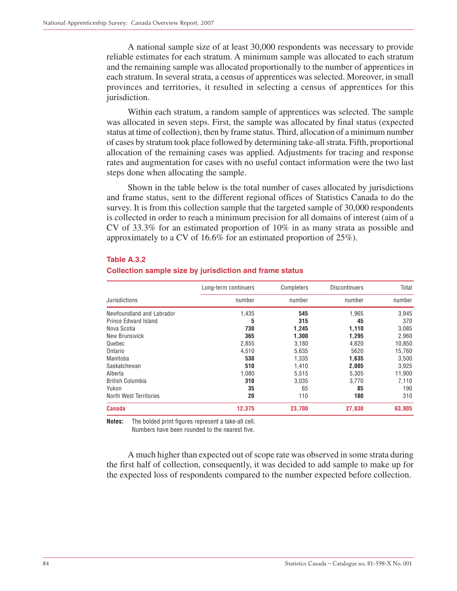A national sample size of at least 30,000 respondents was necessary to provide reliable estimates for each stratum. A minimum sample was allocated to each stratum and the remaining sample was allocated proportionally to the number of apprentices in each stratum. In several strata, a census of apprentices was selected. Moreover, in small provinces and territories, it resulted in selecting a census of apprentices for this jurisdiction.

Within each stratum, a random sample of apprentices was selected. The sample was allocated in seven steps. First, the sample was allocated by final status (expected status at time of collection), then by frame status. Third, allocation of a minimum number of cases by stratum took place followed by determining take-all strata. Fifth, proportional allocation of the remaining cases was applied. Adjustments for tracing and response rates and augmentation for cases with no useful contact information were the two last steps done when allocating the sample.

Shown in the table below is the total number of cases allocated by jurisdictions and frame status, sent to the different regional offices of Statistics Canada to do the survey. It is from this collection sample that the targeted sample of 30,000 respondents is collected in order to reach a minimum precision for all domains of interest (aim of a CV of 33.3% for an estimated proportion of 10% in as many strata as possible and approximately to a CV of 16.6% for an estimated proportion of 25%).

|                           | Long-term continuers | Completers | <b>Discontinuers</b> | Total  |
|---------------------------|----------------------|------------|----------------------|--------|
| Jurisdictions             | number               | number     | number               | number |
| Newfoundland and Labrador | 1,435                | 545        | 1,965                | 3,945  |
| Prince Edward Island      | 5                    | 315        | 45                   | 370    |
| Nova Scotia               | 730                  | 1,245      | 1,110                | 3,085  |
| New Brunswick             | 365                  | 1,300      | 1,295                | 2,960  |
| Quebec                    | 2,855                | 3,180      | 4,820                | 10,850 |
| Ontario                   | 4,510                | 5,635      | 5620                 | 15,760 |
| Manitoba                  | 530                  | 1,335      | 1,635                | 3,500  |
| Saskatchewan              | 510                  | 1,410      | 2,005                | 3,925  |
| Alberta                   | 1,080                | 5,515      | 5,305                | 11,900 |
| <b>British Columbia</b>   | 310                  | 3,035      | 3,770                | 7,110  |
| Yukon                     | 35                   | 65         | 85                   | 190    |
| North West Territories    | 20                   | 110        | 180                  | 310    |
| <b>Canada</b>             | 12,375               | 23,700     | 27,830               | 63,905 |

## **Table A.3.2**

### **Collection sample size by jurisdiction and frame status**

**Notes:** The bolded print figures represent a take-all cell.

Numbers have been rounded to the nearest five.

A much higher than expected out of scope rate was observed in some strata during the first half of collection, consequently, it was decided to add sample to make up for the expected loss of respondents compared to the number expected before collection.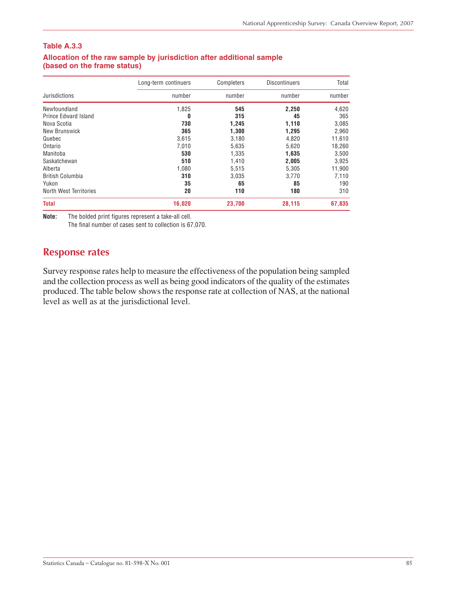## **Table A.3.3**

|                             | Long-term continuers | Completers | <b>Discontinuers</b> | Total  |
|-----------------------------|----------------------|------------|----------------------|--------|
| Jurisdictions               | number               | number     | number               | number |
| Newfoundland                | 1,825                | 545        | 2,250                | 4,620  |
| <b>Prince Edward Island</b> | 0                    | 315        | 45                   | 365    |
| Nova Scotia                 | 730                  | 1,245      | 1,110                | 3,085  |
| New Brunswick               | 365                  | 1,300      | 1,295                | 2,960  |
| Quebec                      | 3,615                | 3,180      | 4,820                | 11,610 |
| Ontario                     | 7,010                | 5,635      | 5,620                | 18,260 |
| Manitoba                    | 530                  | 1,335      | 1,635                | 3,500  |
| Saskatchewan                | 510                  | 1,410      | 2,005                | 3,925  |
| Alberta                     | 1,080                | 5,515      | 5,305                | 11,900 |
| British Columbia            | 310                  | 3,035      | 3,770                | 7,110  |
| Yukon                       | 35                   | 65         | 85                   | 190    |
| North West Territories      | 20                   | 110        | 180                  | 310    |
| <b>Total</b>                | 16,020               | 23,700     | 28,115               | 67,835 |

## **Allocation of the raw sample by jurisdiction after additional sample (based on the frame status)**

**Note:** The bolded print figures represent a take-all cell.

The final number of cases sent to collection is 67,070.

# **Response rates**

Survey response rates help to measure the effectiveness of the population being sampled and the collection process as well as being good indicators of the quality of the estimates produced. The table below shows the response rate at collection of NAS, at the national level as well as at the jurisdictional level.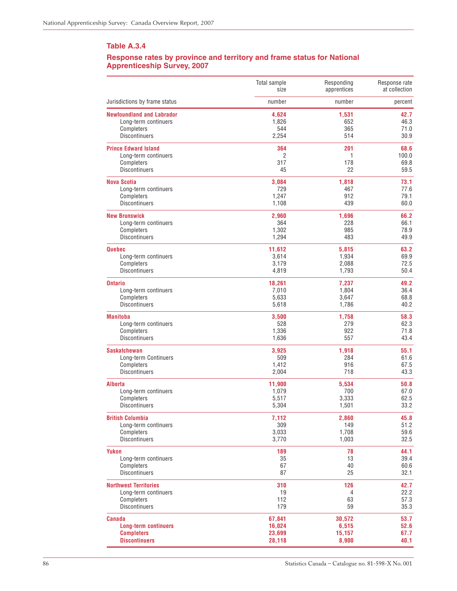#### **Table A.3.4**

#### **Response rates by province and territory and frame status for National Apprenticeship Survey, 2007**

|                                  | Total sample | Responding  | Response rate |
|----------------------------------|--------------|-------------|---------------|
|                                  | size         | apprentices | at collection |
| Jurisdictions by frame status    | number       | number      | percent       |
| <b>Newfoundland and Labrador</b> | 4,624        | 1,531       | 42.7          |
| Long-term continuers             | 1,826        | 652         | 46.3          |
| Completers                       | 544          | 365         | 71.0          |
| <b>Discontinuers</b>             | 2,254        | 514         | 30.9          |
| <b>Prince Edward Island</b>      | 364          | 201         | 68.6          |
| Long-term continuers             | 2            | 1           | 100.0         |
| Completers                       | 317          | 178         | 69.8          |
| <b>Discontinuers</b>             | 45           | 22          | 59.5          |
| <b>Nova Scotia</b>               | 3,084        | 1,818       | 73.1          |
| Long-term continuers             | 729          | 467         | 77.6          |
| Completers                       | 1,247        | 912         | 79.1          |
| <b>Discontinuers</b>             | 1,108        | 439         | 60.0          |
| <b>New Brunswick</b>             | 2,960        | 1,696       | 66.2          |
| Long-term continuers             | 364          | 228         | 66.1          |
| Completers                       | 1,302        | 985         | 78.9          |
| <b>Discontinuers</b>             | 1,294        | 483         | 49.9          |
| <b>Quebec</b>                    | 11,612       | 5,815       | 63.2          |
| Long-term continuers             | 3,614        | 1,934       | 69.9          |
| Completers                       | 3,179        | 2,088       | 72.5          |
| <b>Discontinuers</b>             | 4,819        | 1,793       | 50.4          |
| <b>Ontario</b>                   | 18,261       | 7,237       | 49.2          |
| Long-term continuers             | 7,010        | 1,804       | 36.4          |
| Completers                       | 5,633        | 3,647       | 68.8          |
| <b>Discontinuers</b>             | 5,618        | 1,786       | 40.2          |
| <b>Manitoba</b>                  | 3,500        | 1,758       | 58.3          |
| Long-term continuers             | 528          | 279         | 62.3          |
| Completers                       | 1,336        | 922         | 71.8          |
| <b>Discontinuers</b>             | 1,636        | 557         | 43.4          |
| <b>Saskatchewan</b>              | 3,925        | 1,918       | 55.1          |
| Long-term Continuers             | 509          | 284         | 61.6          |
| Completers                       | 1,412        | 916         | 67.5          |
| <b>Discontinuers</b>             | 2,004        | 718         | 43.3          |
| <b>Alberta</b>                   | 11,900       | 5,534       | 50.8          |
| Long-term continuers             | 1,079        | 700         | 67.0          |
| Completers                       | 5,517        | 3,333       | 62.5          |
| <b>Discontinuers</b>             | 5,304        | 1,501       | 33.2          |
| <b>British Columbia</b>          | 7,112        | 2,860       | 45.8          |
| Long-term continuers             | 309          | 149         | 51.2          |
| Completers                       | 3,033        | 1,708       | 59.6          |
| <b>Discontinuers</b>             | 3,770        | 1,003       | 32.5          |
| Yukon                            | 189          | 78          | 44.1          |
| Long-term continuers             | 35           | 13          | 39.4          |
| Completers                       | 67           | 40          | 60.6          |
| <b>Discontinuers</b>             | 87           | 25          | 32.1          |
| <b>Northwest Territories</b>     | 310          | 126         | 42.7          |
| Long-term continuers             | 19           | 4           | 22.2          |
| Completers                       | 112          | 63          | 57.3          |
| Discontinuers                    | 179          | 59          | 35.3          |
| <b>Canada</b>                    | 67,841       | 30,572      | 53.7          |
| <b>Long-term continuers</b>      | 16,024       | 6,515       | 52.6          |
| <b>Completers</b>                | 23,699       | 15,157      | 67.7          |
| <b>Discontinuers</b>             | 28,118       | 8,900       | 40.1          |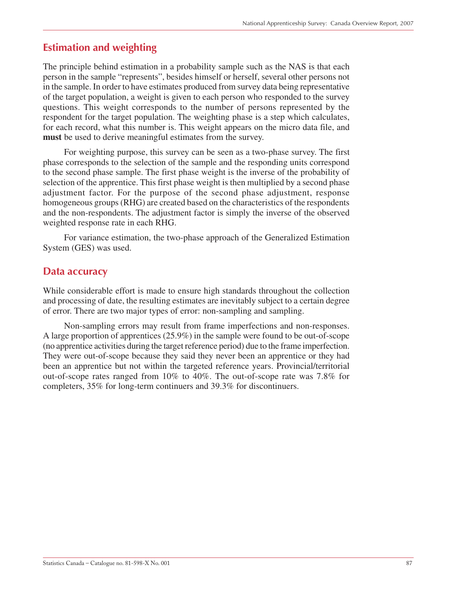# **Estimation and weighting**

The principle behind estimation in a probability sample such as the NAS is that each person in the sample "represents", besides himself or herself, several other persons not in the sample. In order to have estimates produced from survey data being representative of the target population, a weight is given to each person who responded to the survey questions. This weight corresponds to the number of persons represented by the respondent for the target population. The weighting phase is a step which calculates, for each record, what this number is. This weight appears on the micro data file, and **must** be used to derive meaningful estimates from the survey.

For weighting purpose, this survey can be seen as a two-phase survey. The first phase corresponds to the selection of the sample and the responding units correspond to the second phase sample. The first phase weight is the inverse of the probability of selection of the apprentice. This first phase weight is then multiplied by a second phase adjustment factor. For the purpose of the second phase adjustment, response homogeneous groups (RHG) are created based on the characteristics of the respondents and the non-respondents. The adjustment factor is simply the inverse of the observed weighted response rate in each RHG.

For variance estimation, the two-phase approach of the Generalized Estimation System (GES) was used.

# **Data accuracy**

While considerable effort is made to ensure high standards throughout the collection and processing of date, the resulting estimates are inevitably subject to a certain degree of error. There are two major types of error: non-sampling and sampling.

Non-sampling errors may result from frame imperfections and non-responses. A large proportion of apprentices (25.9%) in the sample were found to be out-of-scope (no apprentice activities during the target reference period) due to the frame imperfection. They were out-of-scope because they said they never been an apprentice or they had been an apprentice but not within the targeted reference years. Provincial/territorial out-of-scope rates ranged from 10% to 40%. The out-of-scope rate was 7.8% for completers, 35% for long-term continuers and 39.3% for discontinuers.